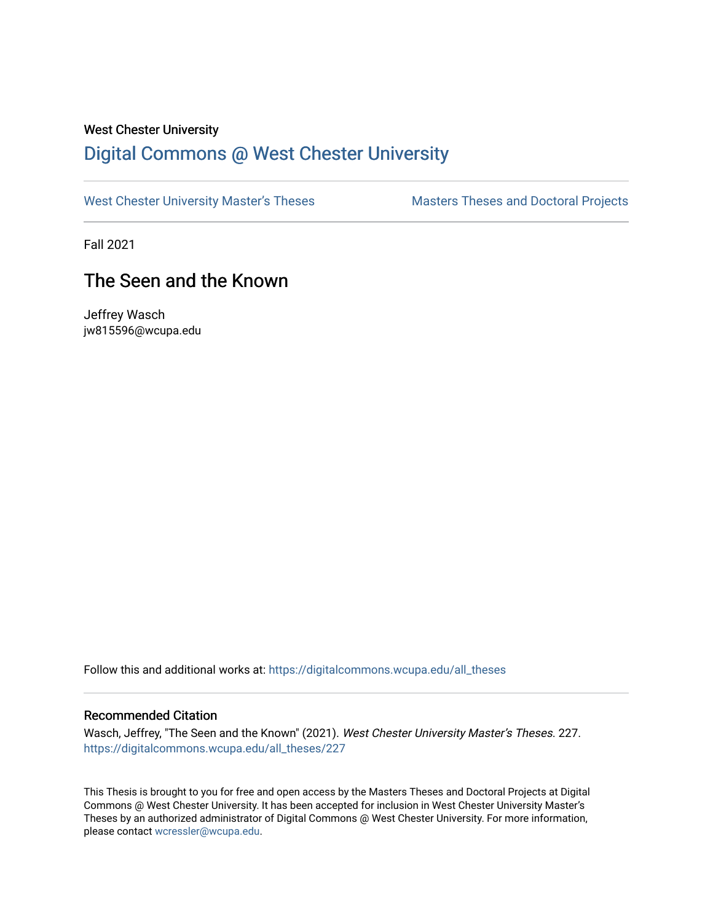#### West Chester University

# [Digital Commons @ West Chester University](https://digitalcommons.wcupa.edu/)

[West Chester University Master's Theses](https://digitalcommons.wcupa.edu/all_theses) Masters Theses and Doctoral Projects

Fall 2021

# The Seen and the Known

Jeffrey Wasch jw815596@wcupa.edu

Follow this and additional works at: [https://digitalcommons.wcupa.edu/all\\_theses](https://digitalcommons.wcupa.edu/all_theses?utm_source=digitalcommons.wcupa.edu%2Fall_theses%2F227&utm_medium=PDF&utm_campaign=PDFCoverPages) 

#### Recommended Citation

Wasch, Jeffrey, "The Seen and the Known" (2021). West Chester University Master's Theses. 227. [https://digitalcommons.wcupa.edu/all\\_theses/227](https://digitalcommons.wcupa.edu/all_theses/227?utm_source=digitalcommons.wcupa.edu%2Fall_theses%2F227&utm_medium=PDF&utm_campaign=PDFCoverPages) 

This Thesis is brought to you for free and open access by the Masters Theses and Doctoral Projects at Digital Commons @ West Chester University. It has been accepted for inclusion in West Chester University Master's Theses by an authorized administrator of Digital Commons @ West Chester University. For more information, please contact [wcressler@wcupa.edu](mailto:wcressler@wcupa.edu).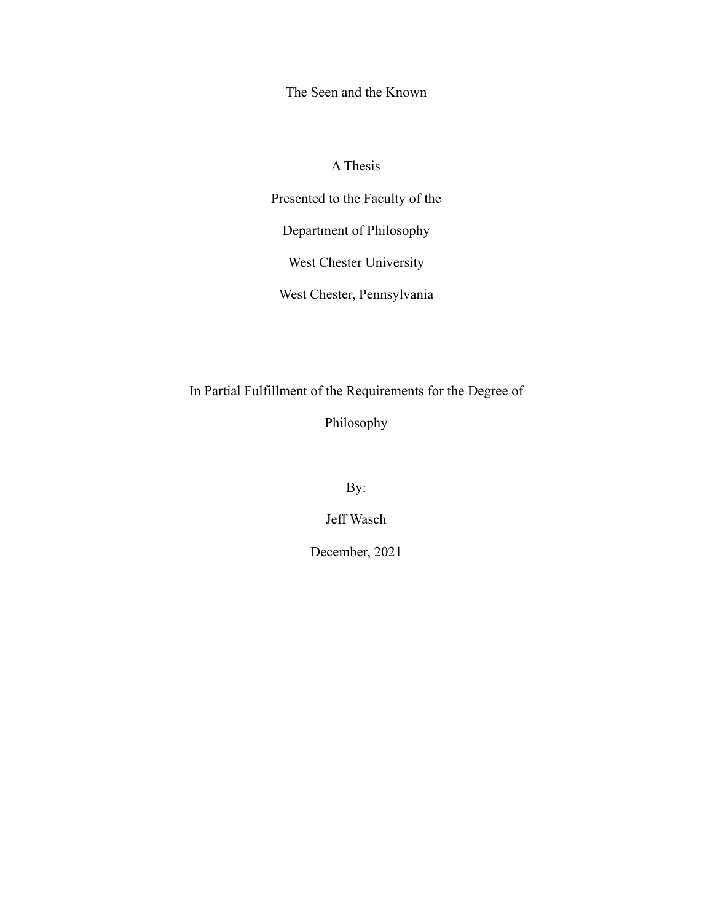The Seen and the Known

## A Thesis

Presented to the Faculty of the

Department of Philosophy

West Chester University

West Chester, Pennsylvania

In Partial Fulfillment of the Requirements for the Degree of

Philosophy

By:

Jeff Wasch

December, 2021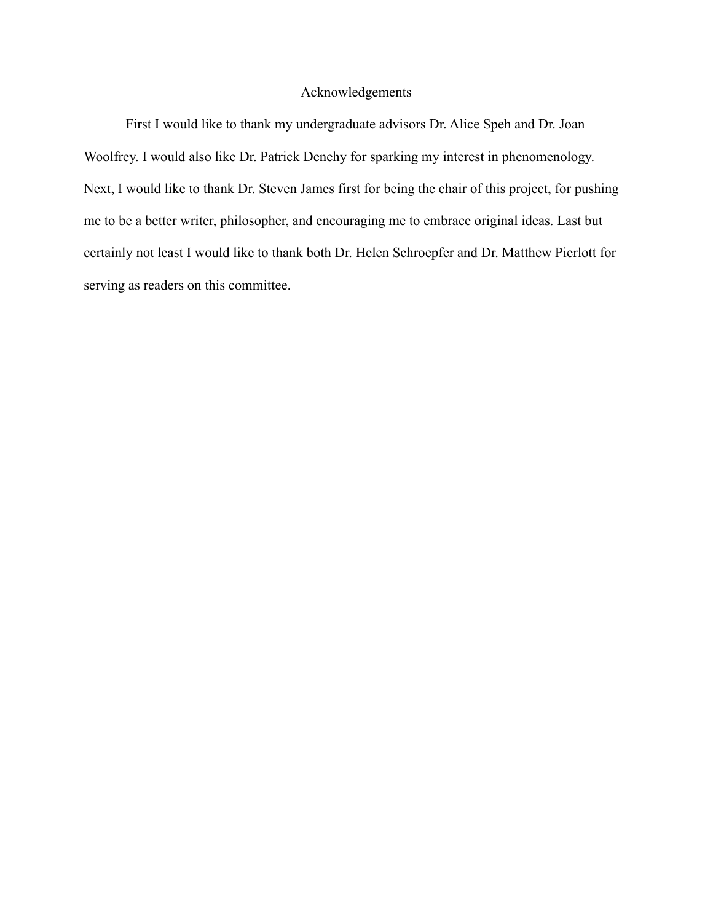## Acknowledgements

First I would like to thank my undergraduate advisors Dr. Alice Speh and Dr. Joan Woolfrey. I would also like Dr. Patrick Denehy for sparking my interest in phenomenology. Next, I would like to thank Dr. Steven James first for being the chair of this project, for pushing me to be a better writer, philosopher, and encouraging me to embrace original ideas. Last but certainly not least I would like to thank both Dr. Helen Schroepfer and Dr. Matthew Pierlott for serving as readers on this committee.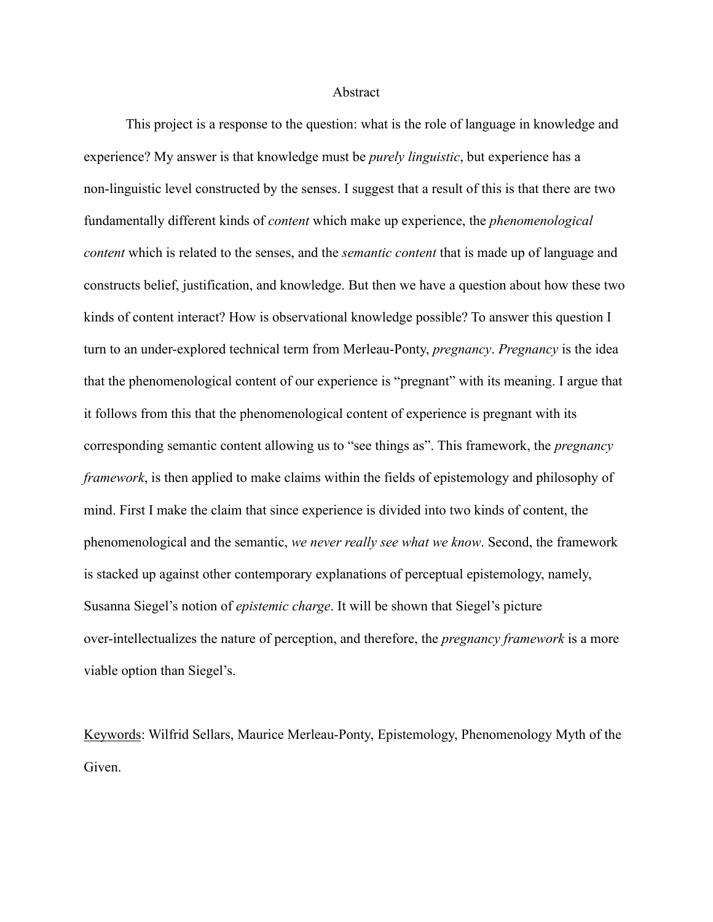#### Abstract

This project is a response to the question: what is the role of language in knowledge and experience? My answer is that knowledge must be *purely linguistic*, but experience has a non-linguistic level constructed by the senses. I suggest that a result of this is that there are two fundamentally different kinds of *content* which make up experience, the *phenomenological content* which is related to the senses, and the *semantic content* that is made up of language and constructs belief, justification, and knowledge. But then we have a question about how these two kinds of content interact? How is observational knowledge possible? To answer this question I turn to an under-explored technical term from Merleau-Ponty, *pregnancy*. *Pregnancy* is the idea that the phenomenological content of our experience is "pregnant" with its meaning. I argue that it follows from this that the phenomenological content of experience is pregnant with its corresponding semantic content allowing us to "see things as". This framework, the *pregnancy framework*, is then applied to make claims within the fields of epistemology and philosophy of mind. First I make the claim that since experience is divided into two kinds of content, the phenomenological and the semantic, *we never really see what we know*. Second, the framework is stacked up against other contemporary explanations of perceptual epistemology, namely, Susanna Siegel's notion of *epistemic charge*. It will be shown that Siegel's picture over-intellectualizes the nature of perception, and therefore, the *pregnancy framework* is a more viable option than Siegel's.

Keywords: Wilfrid Sellars, Maurice Merleau-Ponty, Epistemology, Phenomenology Myth of the Given.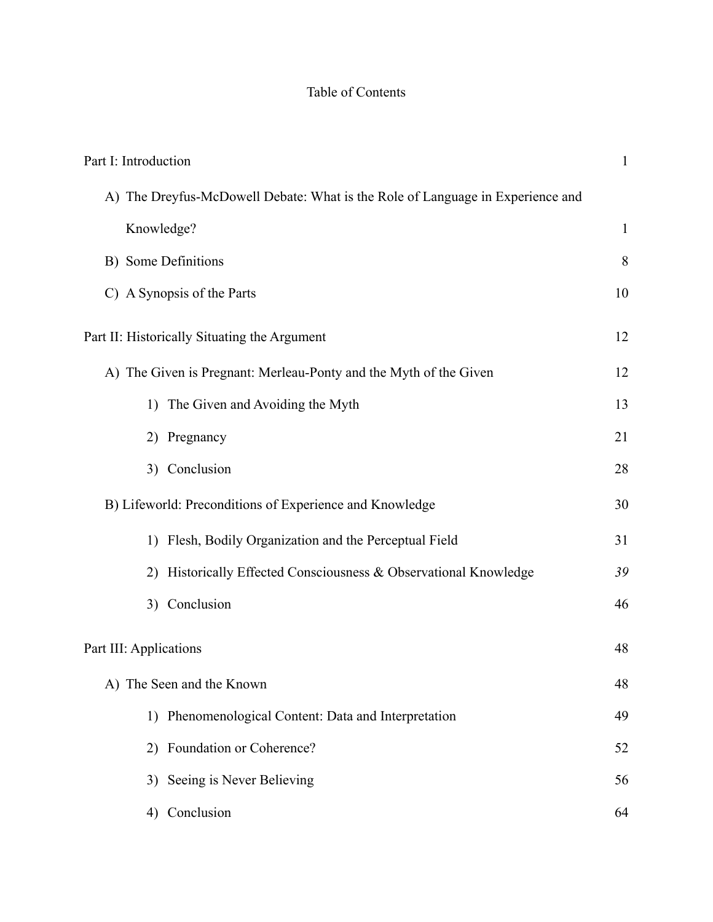## Table of Contents

| Part I: Introduction                                                           | $\mathbf{1}$ |
|--------------------------------------------------------------------------------|--------------|
| A) The Dreyfus-McDowell Debate: What is the Role of Language in Experience and |              |
| Knowledge?                                                                     | $\mathbf{1}$ |
| B) Some Definitions                                                            | 8            |
| C) A Synopsis of the Parts                                                     | 10           |
| Part II: Historically Situating the Argument                                   | 12           |
| A) The Given is Pregnant: Merleau-Ponty and the Myth of the Given              | 12           |
| 1) The Given and Avoiding the Myth                                             | 13           |
| 2) Pregnancy                                                                   | 21           |
| 3) Conclusion                                                                  | 28           |
| B) Lifeworld: Preconditions of Experience and Knowledge                        | 30           |
| 1) Flesh, Bodily Organization and the Perceptual Field                         | 31           |
| Historically Effected Consciousness & Observational Knowledge<br>2)            | 39           |
| 3) Conclusion                                                                  | 46           |
| Part III: Applications                                                         | 48           |
| A) The Seen and the Known                                                      | 48           |
| 1) Phenomenological Content: Data and Interpretation                           | 49           |
| 2) Foundation or Coherence?                                                    | 52           |
| 3) Seeing is Never Believing                                                   | 56           |
| Conclusion<br>4)                                                               | 64           |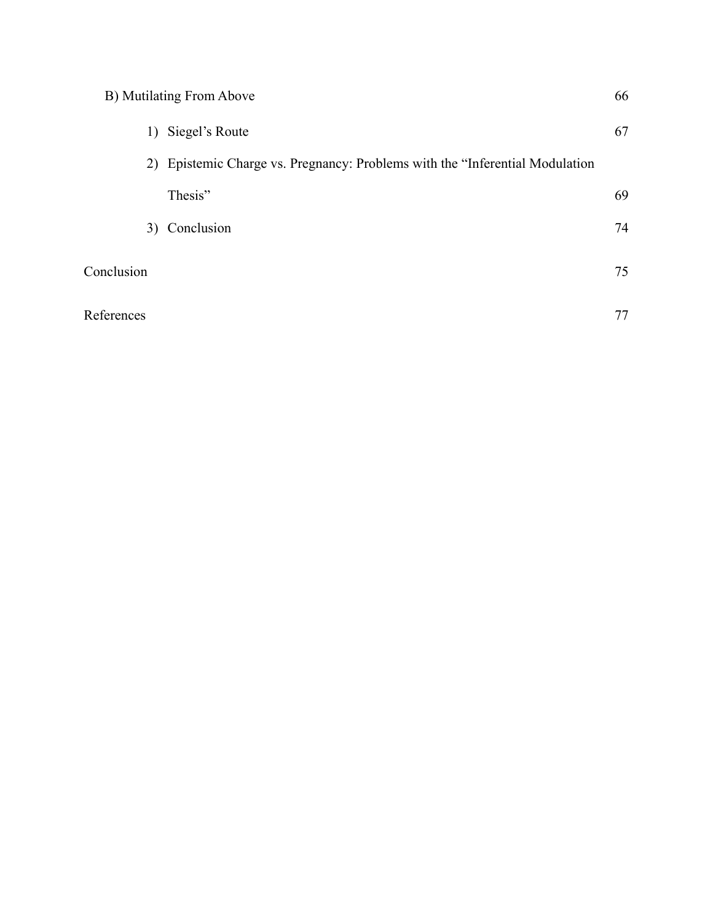| B) Mutilating From Above | 66 |
|--------------------------|----|
|--------------------------|----|

|            | Siegel's Route<br>1)                                                          | 67 |
|------------|-------------------------------------------------------------------------------|----|
|            | 2) Epistemic Charge vs. Pregnancy: Problems with the "Inferential Modulation" |    |
|            | Thesis"                                                                       | 69 |
| 3)         | Conclusion                                                                    | 74 |
| Conclusion |                                                                               | 75 |
| References |                                                                               |    |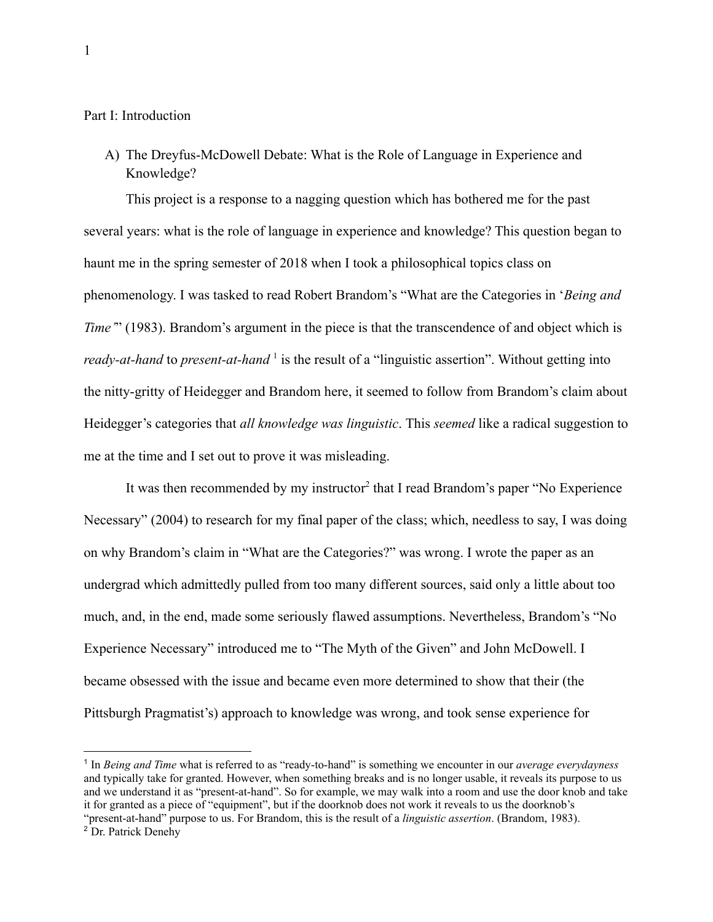<span id="page-6-0"></span>Part I: Introduction

<span id="page-6-1"></span>A) The Dreyfus-McDowell Debate: What is the Role of Language in Experience and Knowledge?

This project is a response to a nagging question which has bothered me for the past several years: what is the role of language in experience and knowledge? This question began to haunt me in the spring semester of 2018 when I took a philosophical topics class on phenomenology. I was tasked to read Robert Brandom's "What are the Categories in '*Being and Time*" (1983). Brandom's argument in the piece is that the transcendence of and object which is *ready-at-hand* to *present-at-hand*<sup>1</sup> is the result of a "linguistic assertion". Without getting into the nitty-gritty of Heidegger and Brandom here, it seemed to follow from Brandom's claim about Heidegger's categories that *all knowledge was linguistic*. This *seemed* like a radical suggestion to me at the time and I set out to prove it was misleading.

It was then recommended by my instructor<sup>2</sup> that I read Brandom's paper "No Experience Necessary" (2004) to research for my final paper of the class; which, needless to say, I was doing on why Brandom's claim in "What are the Categories?" was wrong. I wrote the paper as an undergrad which admittedly pulled from too many different sources, said only a little about too much, and, in the end, made some seriously flawed assumptions. Nevertheless, Brandom's "No Experience Necessary" introduced me to "The Myth of the Given" and John McDowell. I became obsessed with the issue and became even more determined to show that their (the Pittsburgh Pragmatist's) approach to knowledge was wrong, and took sense experience for

<sup>&</sup>lt;sup>2</sup> Dr. Patrick Denehy 1 In *Being and Time* what is referred to as "ready-to-hand" is something we encounter in our *average everydayness* and typically take for granted. However, when something breaks and is no longer usable, it reveals its purpose to us and we understand it as "present-at-hand". So for example, we may walk into a room and use the door knob and take it for granted as a piece of "equipment", but if the doorknob does not work it reveals to us the doorknob's "present-at-hand" purpose to us. For Brandom, this is the result of a *linguistic assertion*. (Brandom, 1983).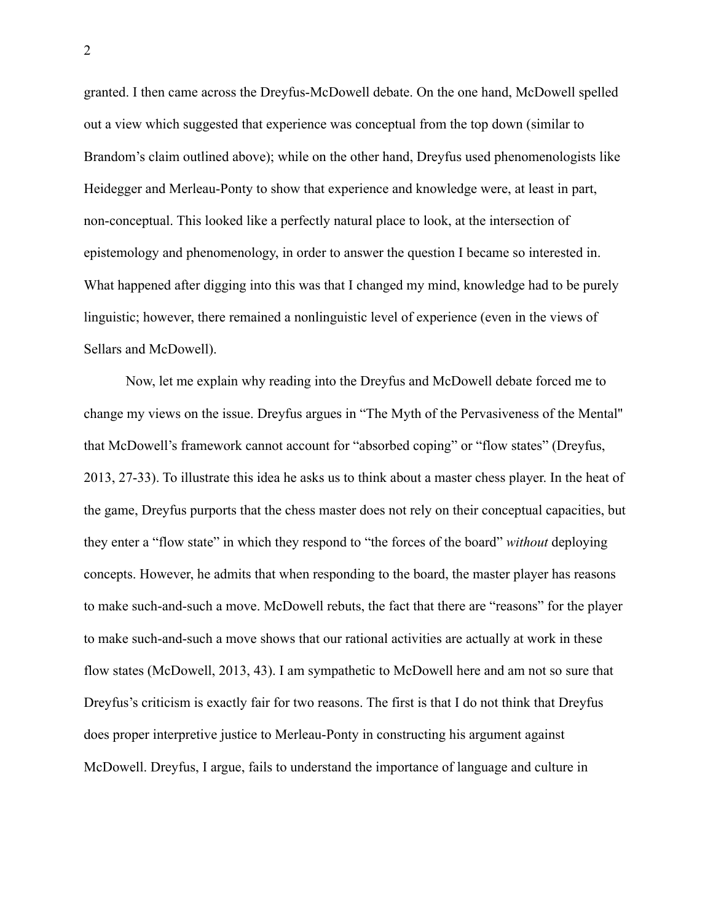granted. I then came across the Dreyfus-McDowell debate. On the one hand, McDowell spelled out a view which suggested that experience was conceptual from the top down (similar to Brandom's claim outlined above); while on the other hand, Dreyfus used phenomenologists like Heidegger and Merleau-Ponty to show that experience and knowledge were, at least in part, non-conceptual. This looked like a perfectly natural place to look, at the intersection of epistemology and phenomenology, in order to answer the question I became so interested in. What happened after digging into this was that I changed my mind, knowledge had to be purely linguistic; however, there remained a nonlinguistic level of experience (even in the views of Sellars and McDowell).

Now, let me explain why reading into the Dreyfus and McDowell debate forced me to change my views on the issue. Dreyfus argues in "The Myth of the Pervasiveness of the Mental'' that McDowell's framework cannot account for "absorbed coping" or "flow states" (Dreyfus, 2013, 27-33). To illustrate this idea he asks us to think about a master chess player. In the heat of the game, Dreyfus purports that the chess master does not rely on their conceptual capacities, but they enter a "flow state" in which they respond to "the forces of the board" *without* deploying concepts. However, he admits that when responding to the board, the master player has reasons to make such-and-such a move. McDowell rebuts, the fact that there are "reasons" for the player to make such-and-such a move shows that our rational activities are actually at work in these flow states (McDowell, 2013, 43). I am sympathetic to McDowell here and am not so sure that Dreyfus's criticism is exactly fair for two reasons. The first is that I do not think that Dreyfus does proper interpretive justice to Merleau-Ponty in constructing his argument against McDowell. Dreyfus, I argue, fails to understand the importance of language and culture in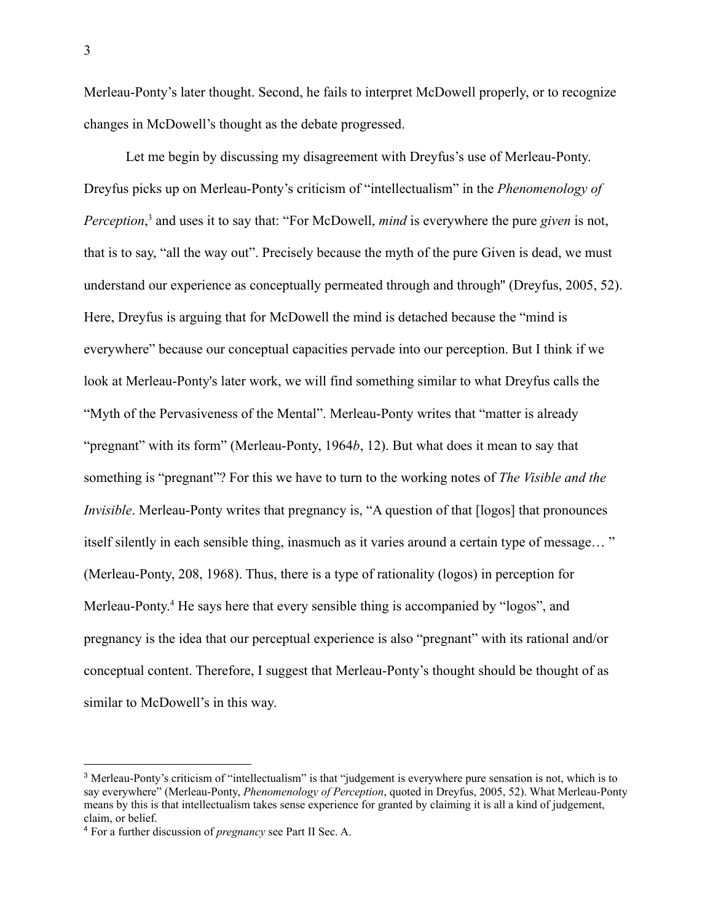Merleau-Ponty's later thought. Second, he fails to interpret McDowell properly, or to recognize changes in McDowell's thought as the debate progressed.

Let me begin by discussing my disagreement with Dreyfus's use of Merleau-Ponty. Dreyfus picks up on Merleau-Ponty's criticism of "intellectualism" in the *Phenomenology of Perception*, <sup>3</sup> and uses it to say that: "For McDowell, *mind* is everywhere the pure *given* is not, that is to say, "all the way out". Precisely because the myth of the pure Given is dead, we must understand our experience as conceptually permeated through and through'' (Dreyfus, 2005, 52). Here, Dreyfus is arguing that for McDowell the mind is detached because the "mind is everywhere" because our conceptual capacities pervade into our perception. But I think if we look at Merleau-Ponty's later work, we will find something similar to what Dreyfus calls the "Myth of the Pervasiveness of the Mental". Merleau-Ponty writes that "matter is already "pregnant" with its form" (Merleau-Ponty, 1964*b*, 12). But what does it mean to say that something is "pregnant"? For this we have to turn to the working notes of *The Visible and the Invisible*. Merleau-Ponty writes that pregnancy is, "A question of that [logos] that pronounces itself silently in each sensible thing, inasmuch as it varies around a certain type of message… " (Merleau-Ponty, 208, 1968). Thus, there is a type of rationality (logos) in perception for Merleau-Ponty. <sup>4</sup> He says here that every sensible thing is accompanied by "logos", and pregnancy is the idea that our perceptual experience is also "pregnant" with its rational and/or conceptual content. Therefore, I suggest that Merleau-Ponty's thought should be thought of as similar to McDowell's in this way.

<sup>&</sup>lt;sup>3</sup> Merleau-Ponty's criticism of "intellectualism" is that "judgement is everywhere pure sensation is not, which is to say everywhere" (Merleau-Ponty, *Phenomenology of Perception*, quoted in Dreyfus, 2005, 52). What Merleau-Ponty means by this is that intellectualism takes sense experience for granted by claiming it is all a kind of judgement, claim, or belief.

<sup>4</sup> For a further discussion of *pregnancy* see Part II Sec. A.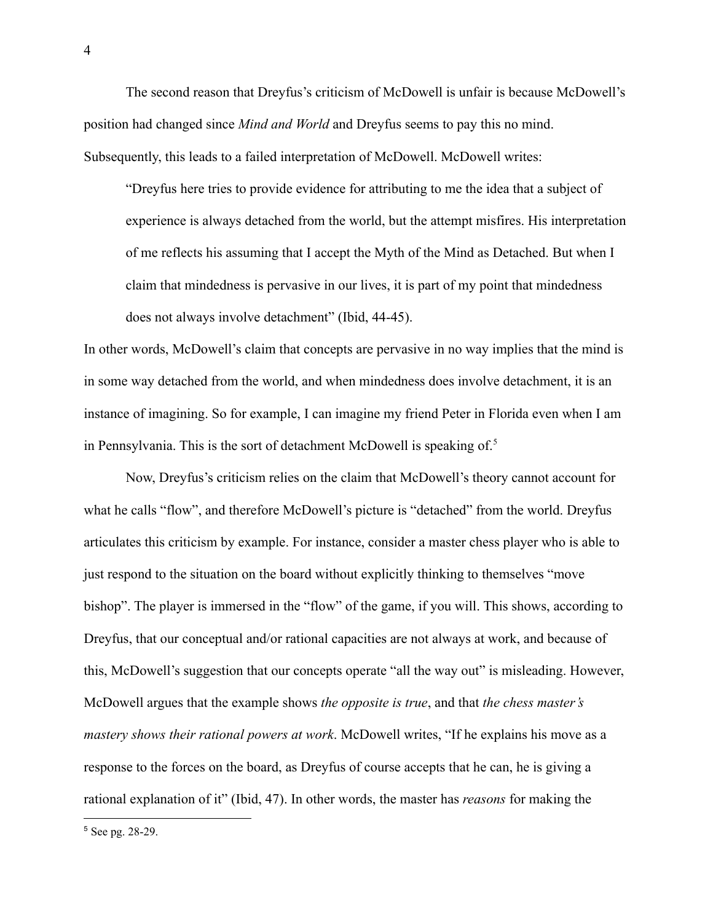The second reason that Dreyfus's criticism of McDowell is unfair is because McDowell's position had changed since *Mind and World* and Dreyfus seems to pay this no mind. Subsequently, this leads to a failed interpretation of McDowell. McDowell writes:

"Dreyfus here tries to provide evidence for attributing to me the idea that a subject of experience is always detached from the world, but the attempt misfires. His interpretation of me reflects his assuming that I accept the Myth of the Mind as Detached. But when I claim that mindedness is pervasive in our lives, it is part of my point that mindedness does not always involve detachment" (Ibid, 44-45).

In other words, McDowell's claim that concepts are pervasive in no way implies that the mind is in some way detached from the world, and when mindedness does involve detachment, it is an instance of imagining. So for example, I can imagine my friend Peter in Florida even when I am in Pennsylvania. This is the sort of detachment McDowell is speaking of.<sup>5</sup>

Now, Dreyfus's criticism relies on the claim that McDowell's theory cannot account for what he calls "flow", and therefore McDowell's picture is "detached" from the world. Dreyfus articulates this criticism by example. For instance, consider a master chess player who is able to just respond to the situation on the board without explicitly thinking to themselves "move bishop". The player is immersed in the "flow" of the game, if you will. This shows, according to Dreyfus, that our conceptual and/or rational capacities are not always at work, and because of this, McDowell's suggestion that our concepts operate "all the way out" is misleading. However, McDowell argues that the example shows *the opposite is true*, and that *the chess master's mastery shows their rational powers at work*. McDowell writes, "If he explains his move as a response to the forces on the board, as Dreyfus of course accepts that he can, he is giving a rational explanation of it" (Ibid, 47). In other words, the master has *reasons* for making the

<sup>5</sup> See pg. 28-29.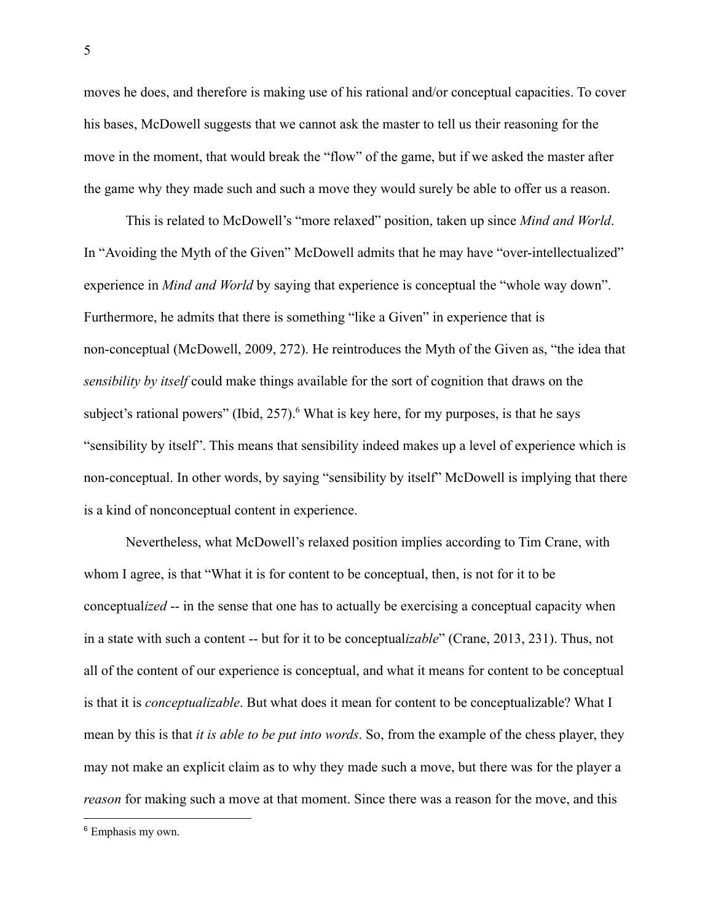moves he does, and therefore is making use of his rational and/or conceptual capacities. To cover his bases, McDowell suggests that we cannot ask the master to tell us their reasoning for the move in the moment, that would break the "flow" of the game, but if we asked the master after the game why they made such and such a move they would surely be able to offer us a reason.

This is related to McDowell's "more relaxed" position, taken up since *Mind and World*. In "Avoiding the Myth of the Given" McDowell admits that he may have "over-intellectualized" experience in *Mind and World* by saying that experience is conceptual the "whole way down". Furthermore, he admits that there is something "like a Given" in experience that is non-conceptual (McDowell, 2009, 272). He reintroduces the Myth of the Given as, "the idea that *sensibility by itself* could make things available for the sort of cognition that draws on the subject's rational powers" (Ibid,  $257$ ).<sup>6</sup> What is key here, for my purposes, is that he says "sensibility by itself". This means that sensibility indeed makes up a level of experience which is non-conceptual. In other words, by saying "sensibility by itself" McDowell is implying that there is a kind of nonconceptual content in experience.

Nevertheless, what McDowell's relaxed position implies according to Tim Crane, with whom I agree, is that "What it is for content to be conceptual, then, is not for it to be conceptual*ized* -- in the sense that one has to actually be exercising a conceptual capacity when in a state with such a content -- but for it to be conceptual*izable*" (Crane, 2013, 231). Thus, not all of the content of our experience is conceptual, and what it means for content to be conceptual is that it is *conceptualizable*. But what does it mean for content to be conceptualizable? What I mean by this is that *it is able to be put into words*. So, from the example of the chess player, they may not make an explicit claim as to why they made such a move, but there was for the player a *reason* for making such a move at that moment. Since there was a reason for the move, and this

<sup>6</sup> Emphasis my own.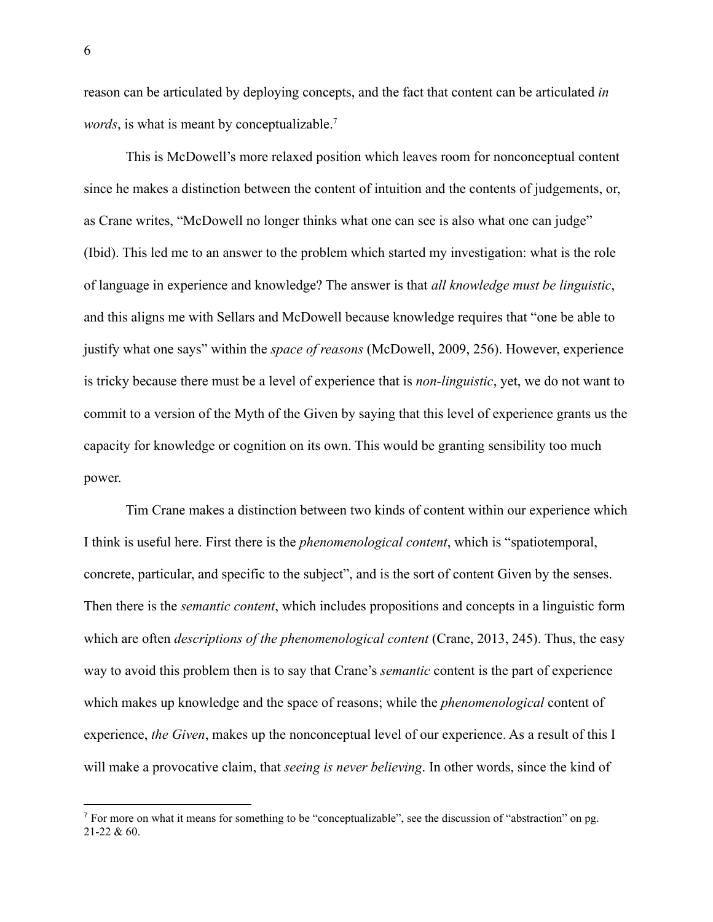reason can be articulated by deploying concepts, and the fact that content can be articulated *in words*, is what is meant by conceptualizable.<sup>7</sup>

This is McDowell's more relaxed position which leaves room for nonconceptual content since he makes a distinction between the content of intuition and the contents of judgements, or, as Crane writes, "McDowell no longer thinks what one can see is also what one can judge" (Ibid). This led me to an answer to the problem which started my investigation: what is the role of language in experience and knowledge? The answer is that *all knowledge must be linguistic*, and this aligns me with Sellars and McDowell because knowledge requires that "one be able to justify what one says" within the *space of reasons* (McDowell, 2009, 256). However, experience is tricky because there must be a level of experience that is *non-linguistic*, yet, we do not want to commit to a version of the Myth of the Given by saying that this level of experience grants us the capacity for knowledge or cognition on its own. This would be granting sensibility too much power.

Tim Crane makes a distinction between two kinds of content within our experience which I think is useful here. First there is the *phenomenological content*, which is "spatiotemporal, concrete, particular, and specific to the subject", and is the sort of content Given by the senses. Then there is the *semantic content*, which includes propositions and concepts in a linguistic form which are often *descriptions of the phenomenological content* (Crane, 2013, 245). Thus, the easy way to avoid this problem then is to say that Crane's *semantic* content is the part of experience which makes up knowledge and the space of reasons; while the *phenomenological* content of experience, *the Given*, makes up the nonconceptual level of our experience. As a result of this I will make a provocative claim, that *seeing is never believing*. In other words, since the kind of

<sup>&</sup>lt;sup>7</sup> For more on what it means for something to be "conceptualizable", see the discussion of "abstraction" on pg. 21-22 & 60.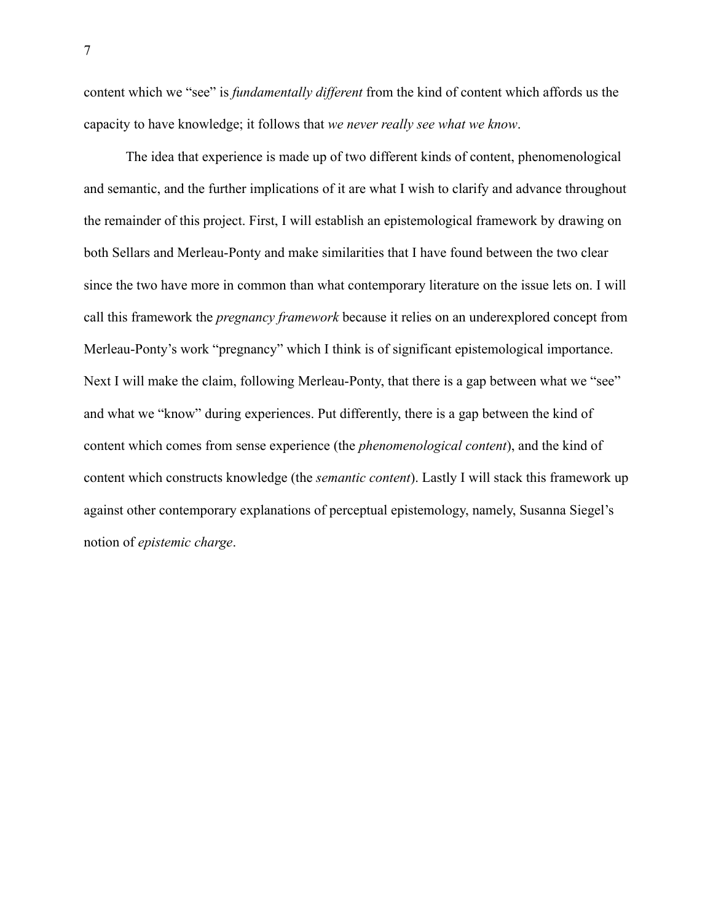content which we "see" is *fundamentally different* from the kind of content which affords us the capacity to have knowledge; it follows that *we never really see what we know*.

The idea that experience is made up of two different kinds of content, phenomenological and semantic, and the further implications of it are what I wish to clarify and advance throughout the remainder of this project. First, I will establish an epistemological framework by drawing on both Sellars and Merleau-Ponty and make similarities that I have found between the two clear since the two have more in common than what contemporary literature on the issue lets on. I will call this framework the *pregnancy framework* because it relies on an underexplored concept from Merleau-Ponty's work "pregnancy" which I think is of significant epistemological importance. Next I will make the claim, following Merleau-Ponty, that there is a gap between what we "see" and what we "know" during experiences. Put differently, there is a gap between the kind of content which comes from sense experience (the *phenomenological content*), and the kind of content which constructs knowledge (the *semantic content*). Lastly I will stack this framework up against other contemporary explanations of perceptual epistemology, namely, Susanna Siegel's notion of *epistemic charge*.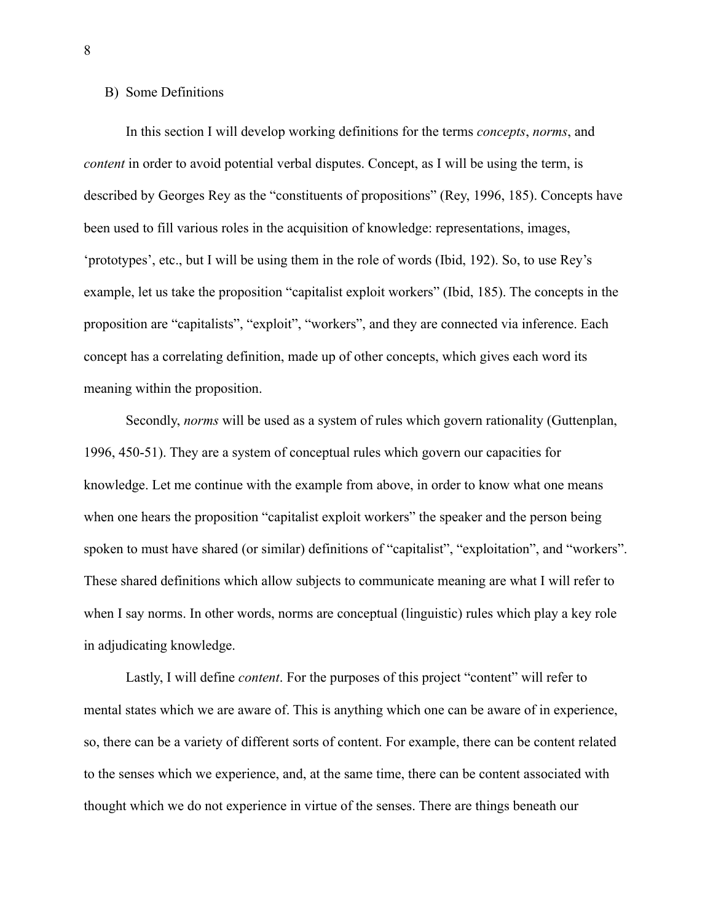#### <span id="page-13-0"></span>B) Some Definitions

In this section I will develop working definitions for the terms *concepts*, *norms*, and *content* in order to avoid potential verbal disputes. Concept, as I will be using the term, is described by Georges Rey as the "constituents of propositions" (Rey, 1996, 185). Concepts have been used to fill various roles in the acquisition of knowledge: representations, images, 'prototypes', etc., but I will be using them in the role of words (Ibid, 192). So, to use Rey's example, let us take the proposition "capitalist exploit workers" (Ibid, 185). The concepts in the proposition are "capitalists", "exploit", "workers", and they are connected via inference. Each concept has a correlating definition, made up of other concepts, which gives each word its meaning within the proposition.

Secondly, *norms* will be used as a system of rules which govern rationality (Guttenplan, 1996, 450-51). They are a system of conceptual rules which govern our capacities for knowledge. Let me continue with the example from above, in order to know what one means when one hears the proposition "capitalist exploit workers" the speaker and the person being spoken to must have shared (or similar) definitions of "capitalist", "exploitation", and "workers". These shared definitions which allow subjects to communicate meaning are what I will refer to when I say norms. In other words, norms are conceptual (linguistic) rules which play a key role in adjudicating knowledge.

Lastly, I will define *content*. For the purposes of this project "content" will refer to mental states which we are aware of. This is anything which one can be aware of in experience, so, there can be a variety of different sorts of content. For example, there can be content related to the senses which we experience, and, at the same time, there can be content associated with thought which we do not experience in virtue of the senses. There are things beneath our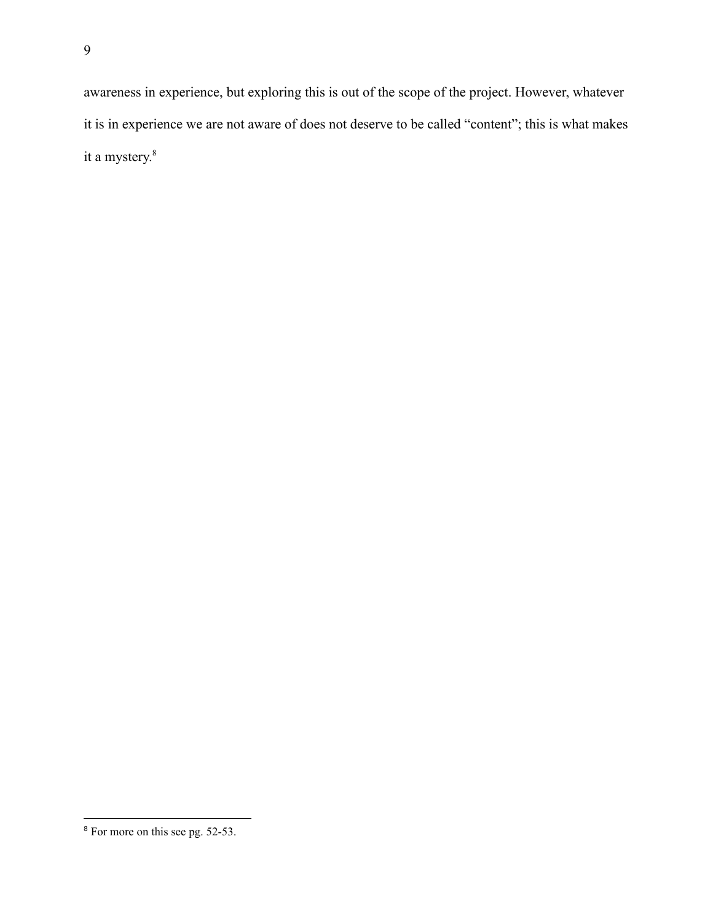awareness in experience, but exploring this is out of the scope of the project. However, whatever it is in experience we are not aware of does not deserve to be called "content"; this is what makes it a mystery. 8

<sup>8</sup> For more on this see pg. 52-53.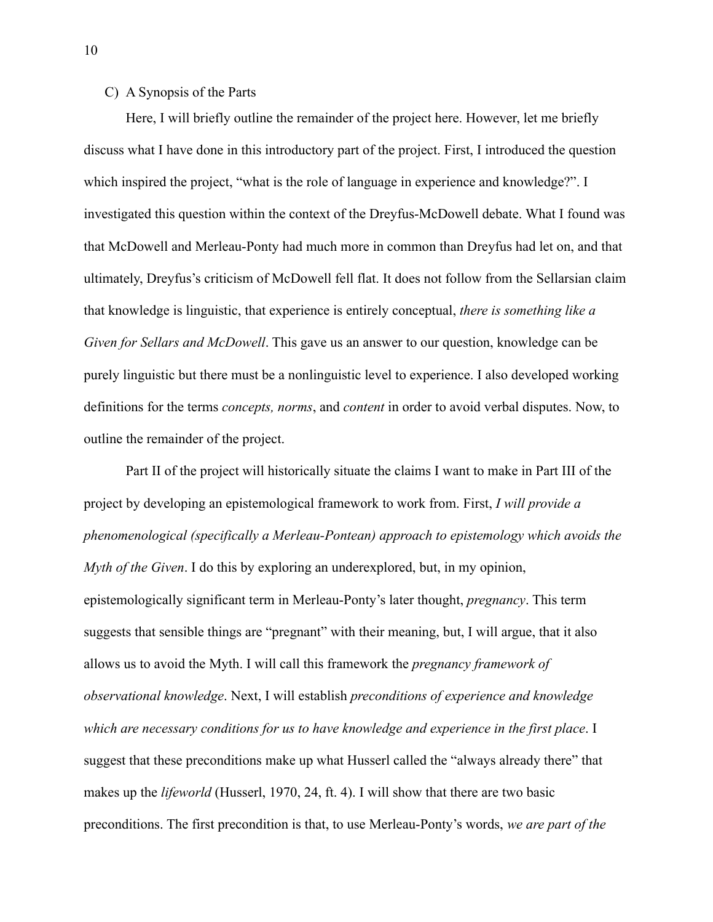## <span id="page-15-0"></span>C) A Synopsis of the Parts

Here, I will briefly outline the remainder of the project here. However, let me briefly discuss what I have done in this introductory part of the project. First, I introduced the question which inspired the project, "what is the role of language in experience and knowledge?". I investigated this question within the context of the Dreyfus-McDowell debate. What I found was that McDowell and Merleau-Ponty had much more in common than Dreyfus had let on, and that ultimately, Dreyfus's criticism of McDowell fell flat. It does not follow from the Sellarsian claim that knowledge is linguistic, that experience is entirely conceptual, *there is something like a Given for Sellars and McDowell*. This gave us an answer to our question, knowledge can be purely linguistic but there must be a nonlinguistic level to experience. I also developed working definitions for the terms *concepts, norms*, and *content* in order to avoid verbal disputes. Now, to outline the remainder of the project.

Part II of the project will historically situate the claims I want to make in Part III of the project by developing an epistemological framework to work from. First, *I will provide a phenomenological (specifically a Merleau-Pontean) approach to epistemology which avoids the Myth of the Given*. I do this by exploring an underexplored, but, in my opinion, epistemologically significant term in Merleau-Ponty's later thought, *pregnancy*. This term suggests that sensible things are "pregnant" with their meaning, but, I will argue, that it also allows us to avoid the Myth. I will call this framework the *pregnancy framework of observational knowledge*. Next, I will establish *preconditions of experience and knowledge which are necessary conditions for us to have knowledge and experience in the first place*. I suggest that these preconditions make up what Husserl called the "always already there" that makes up the *lifeworld* (Husserl, 1970, 24, ft. 4). I will show that there are two basic preconditions. The first precondition is that, to use Merleau-Ponty's words, *we are part of the*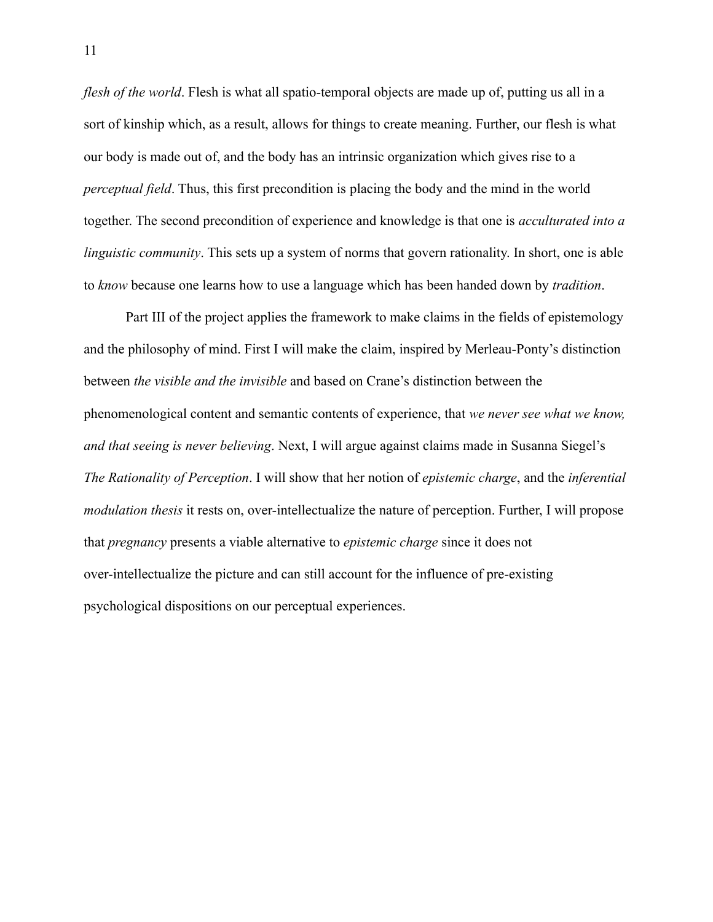*flesh of the world*. Flesh is what all spatio-temporal objects are made up of, putting us all in a sort of kinship which, as a result, allows for things to create meaning. Further, our flesh is what our body is made out of, and the body has an intrinsic organization which gives rise to a *perceptual field*. Thus, this first precondition is placing the body and the mind in the world together. The second precondition of experience and knowledge is that one is *acculturated into a linguistic community*. This sets up a system of norms that govern rationality. In short, one is able to *know* because one learns how to use a language which has been handed down by *tradition*.

Part III of the project applies the framework to make claims in the fields of epistemology and the philosophy of mind. First I will make the claim, inspired by Merleau-Ponty's distinction between *the visible and the invisible* and based on Crane's distinction between the phenomenological content and semantic contents of experience, that *we never see what we know, and that seeing is never believing*. Next, I will argue against claims made in Susanna Siegel's *The Rationality of Perception*. I will show that her notion of *epistemic charge*, and the *inferential modulation thesis* it rests on, over-intellectualize the nature of perception. Further, I will propose that *pregnancy* presents a viable alternative to *epistemic charge* since it does not over-intellectualize the picture and can still account for the influence of pre-existing psychological dispositions on our perceptual experiences.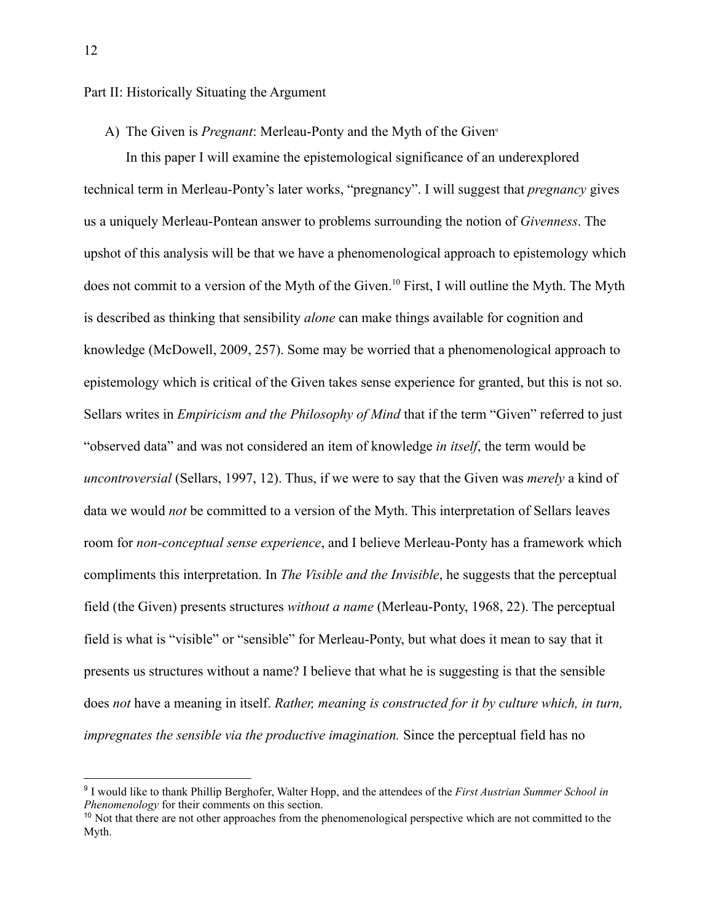#### <span id="page-17-1"></span><span id="page-17-0"></span>Part II: Historically Situating the Argument

A) The Given is *Pregnant*: Merleau-Ponty and the Myth of the Given<sup>9</sup>

In this paper I will examine the epistemological significance of an underexplored technical term in Merleau-Ponty's later works, "pregnancy". I will suggest that *pregnancy* gives us a uniquely Merleau-Pontean answer to problems surrounding the notion of *Givenness*. The upshot of this analysis will be that we have a phenomenological approach to epistemology which does not commit to a version of the Myth of the Given.<sup>10</sup> First, I will outline the Myth. The Myth is described as thinking that sensibility *alone* can make things available for cognition and knowledge (McDowell, 2009, 257). Some may be worried that a phenomenological approach to epistemology which is critical of the Given takes sense experience for granted, but this is not so. Sellars writes in *Empiricism and the Philosophy of Mind* that if the term "Given" referred to just "observed data" and was not considered an item of knowledge *in itself*, the term would be *uncontroversial* (Sellars, 1997, 12). Thus, if we were to say that the Given was *merely* a kind of data we would *not* be committed to a version of the Myth. This interpretation of Sellars leaves room for *non-conceptual sense experience*, and I believe Merleau-Ponty has a framework which compliments this interpretation. In *The Visible and the Invisible*, he suggests that the perceptual field (the Given) presents structures *without a name* (Merleau-Ponty, 1968, 22). The perceptual field is what is "visible" or "sensible" for Merleau-Ponty, but what does it mean to say that it presents us structures without a name? I believe that what he is suggesting is that the sensible does *not* have a meaning in itself. *Rather, meaning is constructed for it by culture which, in turn, impregnates the sensible via the productive imagination.* Since the perceptual field has no

<sup>9</sup> I would like to thank Phillip Berghofer, Walter Hopp, and the attendees of the *First Austrian Summer School in Phenomenology* for their comments on this section.

<sup>&</sup>lt;sup>10</sup> Not that there are not other approaches from the phenomenological perspective which are not committed to the Myth.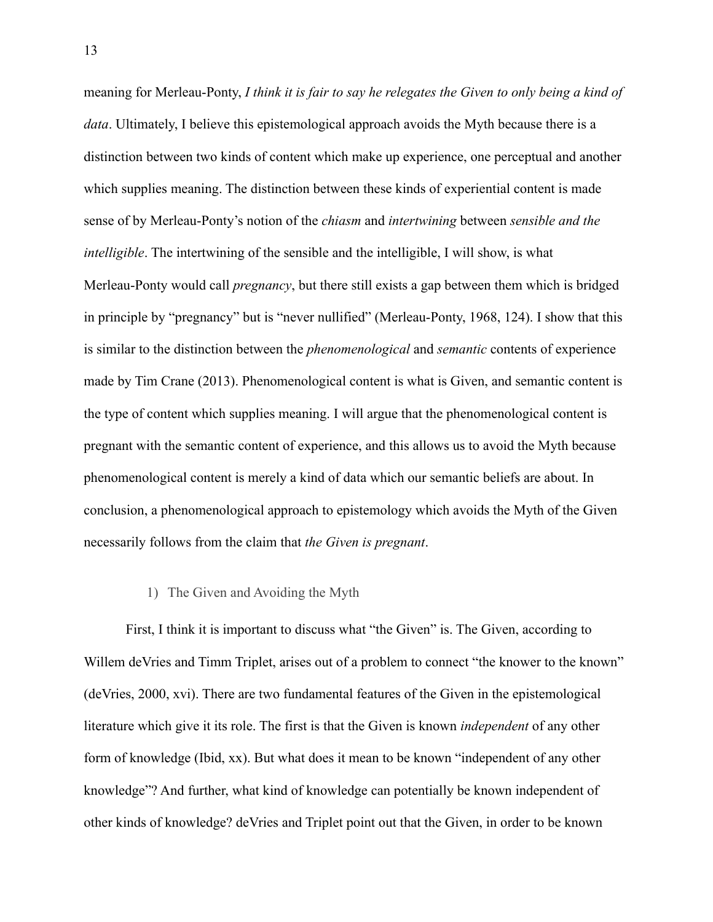meaning for Merleau-Ponty, *I think it is fair to say he relegates the Given to only being a kind of data*. Ultimately, I believe this epistemological approach avoids the Myth because there is a distinction between two kinds of content which make up experience, one perceptual and another which supplies meaning. The distinction between these kinds of experiential content is made sense of by Merleau-Ponty's notion of the *chiasm* and *intertwining* between *sensible and the intelligible*. The intertwining of the sensible and the intelligible, I will show, is what Merleau-Ponty would call *pregnancy*, but there still exists a gap between them which is bridged in principle by "pregnancy" but is "never nullified" (Merleau-Ponty, 1968, 124). I show that this is similar to the distinction between the *phenomenological* and *semantic* contents of experience made by Tim Crane (2013). Phenomenological content is what is Given, and semantic content is the type of content which supplies meaning. I will argue that the phenomenological content is pregnant with the semantic content of experience, and this allows us to avoid the Myth because phenomenological content is merely a kind of data which our semantic beliefs are about. In conclusion, a phenomenological approach to epistemology which avoids the Myth of the Given necessarily follows from the claim that *the Given is pregnant*.

#### 1) The Given and Avoiding the Myth

<span id="page-18-0"></span>First, I think it is important to discuss what "the Given" is. The Given, according to Willem deVries and Timm Triplet, arises out of a problem to connect "the knower to the known" (deVries, 2000, xvi). There are two fundamental features of the Given in the epistemological literature which give it its role. The first is that the Given is known *independent* of any other form of knowledge (Ibid, xx). But what does it mean to be known "independent of any other knowledge"? And further, what kind of knowledge can potentially be known independent of other kinds of knowledge? deVries and Triplet point out that the Given, in order to be known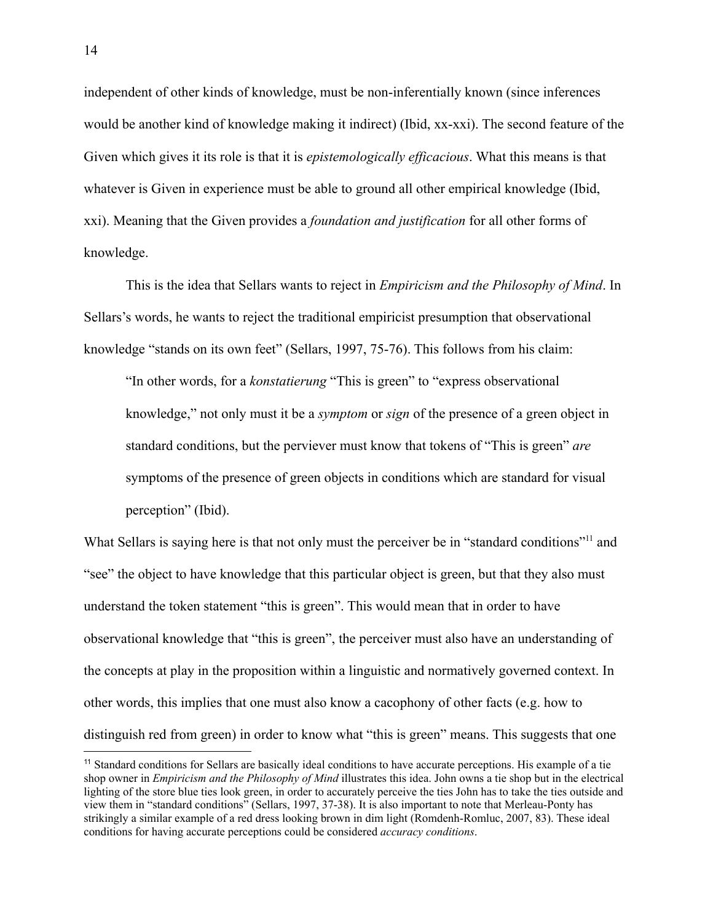independent of other kinds of knowledge, must be non-inferentially known (since inferences would be another kind of knowledge making it indirect) (Ibid, xx-xxi). The second feature of the Given which gives it its role is that it is *epistemologically efficacious*. What this means is that whatever is Given in experience must be able to ground all other empirical knowledge (Ibid, xxi). Meaning that the Given provides a *foundation and justification* for all other forms of knowledge.

This is the idea that Sellars wants to reject in *Empiricism and the Philosophy of Mind*. In Sellars's words, he wants to reject the traditional empiricist presumption that observational knowledge "stands on its own feet" (Sellars, 1997, 75-76). This follows from his claim:

"In other words, for a *konstatierung* "This is green" to "express observational knowledge," not only must it be a *symptom* or *sign* of the presence of a green object in standard conditions, but the perviever must know that tokens of "This is green" *are* symptoms of the presence of green objects in conditions which are standard for visual perception" (Ibid).

What Sellars is saying here is that not only must the perceiver be in "standard conditions"<sup>11</sup> and "see" the object to have knowledge that this particular object is green, but that they also must understand the token statement "this is green". This would mean that in order to have observational knowledge that "this is green", the perceiver must also have an understanding of the concepts at play in the proposition within a linguistic and normatively governed context. In other words, this implies that one must also know a cacophony of other facts (e.g. how to distinguish red from green) in order to know what "this is green" means. This suggests that one

<sup>&</sup>lt;sup>11</sup> Standard conditions for Sellars are basically ideal conditions to have accurate perceptions. His example of a tie shop owner in *Empiricism and the Philosophy of Mind* illustrates this idea. John owns a tie shop but in the electrical lighting of the store blue ties look green, in order to accurately perceive the ties John has to take the ties outside and view them in "standard conditions" (Sellars, 1997, 37-38). It is also important to note that Merleau-Ponty has strikingly a similar example of a red dress looking brown in dim light (Romdenh-Romluc, 2007, 83). These ideal conditions for having accurate perceptions could be considered *accuracy conditions*.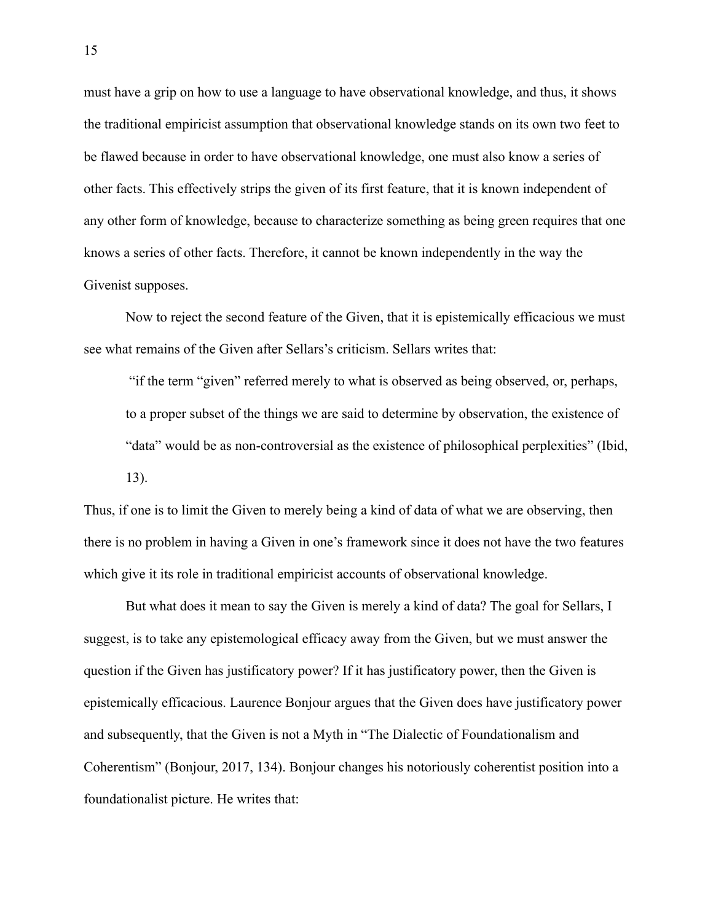must have a grip on how to use a language to have observational knowledge, and thus, it shows the traditional empiricist assumption that observational knowledge stands on its own two feet to be flawed because in order to have observational knowledge, one must also know a series of other facts. This effectively strips the given of its first feature, that it is known independent of any other form of knowledge, because to characterize something as being green requires that one knows a series of other facts. Therefore, it cannot be known independently in the way the Givenist supposes.

Now to reject the second feature of the Given, that it is epistemically efficacious we must see what remains of the Given after Sellars's criticism. Sellars writes that:

"if the term "given" referred merely to what is observed as being observed, or, perhaps, to a proper subset of the things we are said to determine by observation, the existence of "data" would be as non-controversial as the existence of philosophical perplexities" (Ibid, 13).

Thus, if one is to limit the Given to merely being a kind of data of what we are observing, then there is no problem in having a Given in one's framework since it does not have the two features which give it its role in traditional empiricist accounts of observational knowledge.

But what does it mean to say the Given is merely a kind of data? The goal for Sellars, I suggest, is to take any epistemological efficacy away from the Given, but we must answer the question if the Given has justificatory power? If it has justificatory power, then the Given is epistemically efficacious. Laurence Bonjour argues that the Given does have justificatory power and subsequently, that the Given is not a Myth in "The Dialectic of Foundationalism and Coherentism" (Bonjour, 2017, 134). Bonjour changes his notoriously coherentist position into a foundationalist picture. He writes that: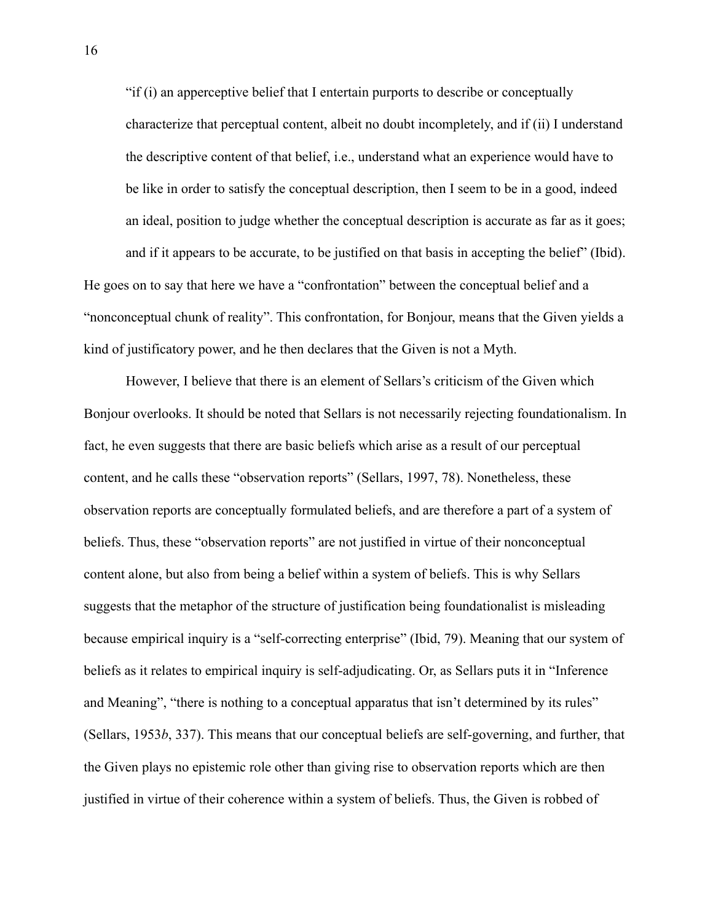"if (i) an apperceptive belief that I entertain purports to describe or conceptually characterize that perceptual content, albeit no doubt incompletely, and if (ii) I understand the descriptive content of that belief, i.e., understand what an experience would have to be like in order to satisfy the conceptual description, then I seem to be in a good, indeed an ideal, position to judge whether the conceptual description is accurate as far as it goes; and if it appears to be accurate, to be justified on that basis in accepting the belief" (Ibid).

"nonconceptual chunk of reality". This confrontation, for Bonjour, means that the Given yields a kind of justificatory power, and he then declares that the Given is not a Myth.

He goes on to say that here we have a "confrontation" between the conceptual belief and a

However, I believe that there is an element of Sellars's criticism of the Given which Bonjour overlooks. It should be noted that Sellars is not necessarily rejecting foundationalism. In fact, he even suggests that there are basic beliefs which arise as a result of our perceptual content, and he calls these "observation reports" (Sellars, 1997, 78). Nonetheless, these observation reports are conceptually formulated beliefs, and are therefore a part of a system of beliefs. Thus, these "observation reports" are not justified in virtue of their nonconceptual content alone, but also from being a belief within a system of beliefs. This is why Sellars suggests that the metaphor of the structure of justification being foundationalist is misleading because empirical inquiry is a "self-correcting enterprise" (Ibid, 79). Meaning that our system of beliefs as it relates to empirical inquiry is self-adjudicating. Or, as Sellars puts it in "Inference and Meaning", "there is nothing to a conceptual apparatus that isn't determined by its rules" (Sellars, 1953*b*, 337). This means that our conceptual beliefs are self-governing, and further, that the Given plays no epistemic role other than giving rise to observation reports which are then justified in virtue of their coherence within a system of beliefs. Thus, the Given is robbed of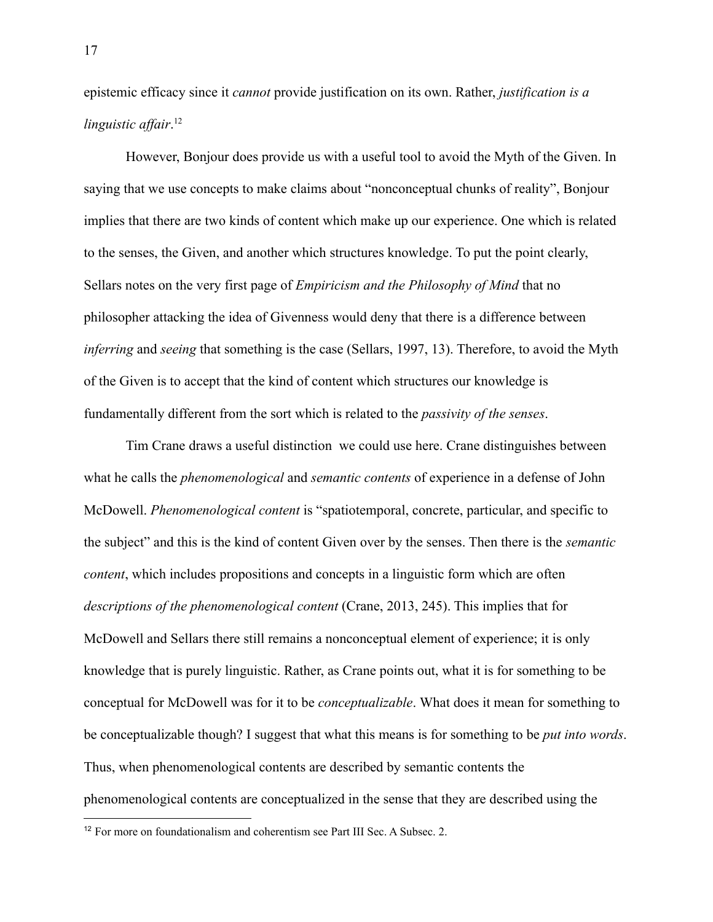epistemic efficacy since it *cannot* provide justification on its own. Rather, *justification is a linguistic affair*. 12

However, Bonjour does provide us with a useful tool to avoid the Myth of the Given. In saying that we use concepts to make claims about "nonconceptual chunks of reality", Bonjour implies that there are two kinds of content which make up our experience. One which is related to the senses, the Given, and another which structures knowledge. To put the point clearly, Sellars notes on the very first page of *Empiricism and the Philosophy of Mind* that no philosopher attacking the idea of Givenness would deny that there is a difference between *inferring* and *seeing* that something is the case (Sellars, 1997, 13). Therefore, to avoid the Myth of the Given is to accept that the kind of content which structures our knowledge is fundamentally different from the sort which is related to the *passivity of the senses*.

Tim Crane draws a useful distinction we could use here. Crane distinguishes between what he calls the *phenomenological* and *semantic contents* of experience in a defense of John McDowell. *Phenomenological content* is "spatiotemporal, concrete, particular, and specific to the subject" and this is the kind of content Given over by the senses. Then there is the *semantic content*, which includes propositions and concepts in a linguistic form which are often *descriptions of the phenomenological content* (Crane, 2013, 245). This implies that for McDowell and Sellars there still remains a nonconceptual element of experience; it is only knowledge that is purely linguistic. Rather, as Crane points out, what it is for something to be conceptual for McDowell was for it to be *conceptualizable*. What does it mean for something to be conceptualizable though? I suggest that what this means is for something to be *put into words*. Thus, when phenomenological contents are described by semantic contents the phenomenological contents are conceptualized in the sense that they are described using the

<sup>&</sup>lt;sup>12</sup> For more on foundationalism and coherentism see Part III Sec. A Subsec. 2.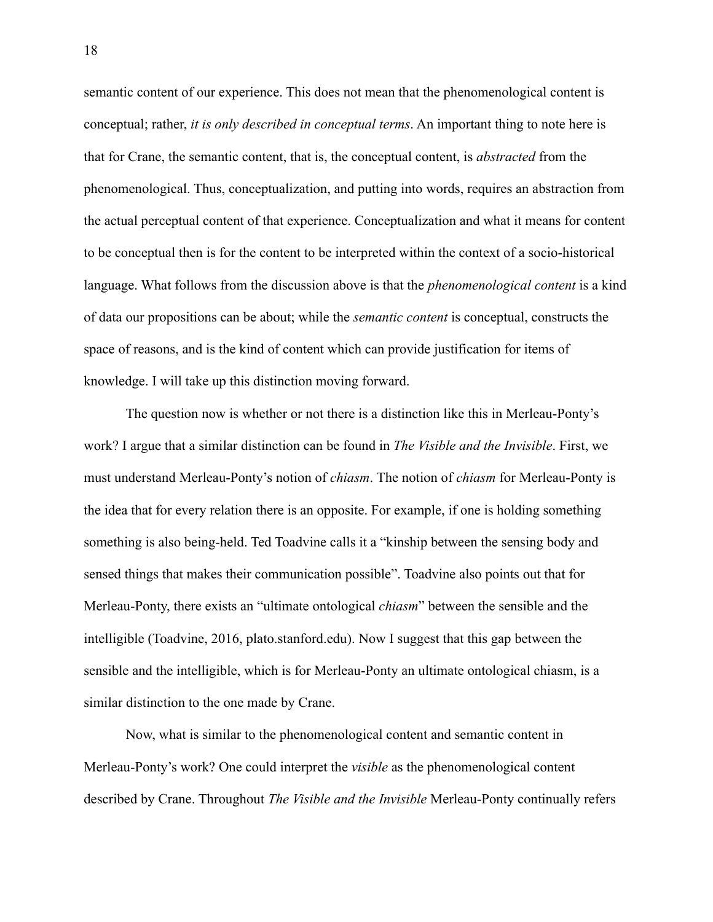semantic content of our experience. This does not mean that the phenomenological content is conceptual; rather, *it is only described in conceptual terms*. An important thing to note here is that for Crane, the semantic content, that is, the conceptual content, is *abstracted* from the phenomenological. Thus, conceptualization, and putting into words, requires an abstraction from the actual perceptual content of that experience. Conceptualization and what it means for content to be conceptual then is for the content to be interpreted within the context of a socio-historical language. What follows from the discussion above is that the *phenomenological content* is a kind of data our propositions can be about; while the *semantic content* is conceptual, constructs the space of reasons, and is the kind of content which can provide justification for items of knowledge. I will take up this distinction moving forward.

The question now is whether or not there is a distinction like this in Merleau-Ponty's work? I argue that a similar distinction can be found in *The Visible and the Invisible*. First, we must understand Merleau-Ponty's notion of *chiasm*. The notion of *chiasm* for Merleau-Ponty is the idea that for every relation there is an opposite. For example, if one is holding something something is also being-held. Ted Toadvine calls it a "kinship between the sensing body and sensed things that makes their communication possible". Toadvine also points out that for Merleau-Ponty, there exists an "ultimate ontological *chiasm*" between the sensible and the intelligible (Toadvine, 2016, plato.stanford.edu). Now I suggest that this gap between the sensible and the intelligible, which is for Merleau-Ponty an ultimate ontological chiasm, is a similar distinction to the one made by Crane.

Now, what is similar to the phenomenological content and semantic content in Merleau-Ponty's work? One could interpret the *visible* as the phenomenological content described by Crane. Throughout *The Visible and the Invisible* Merleau-Ponty continually refers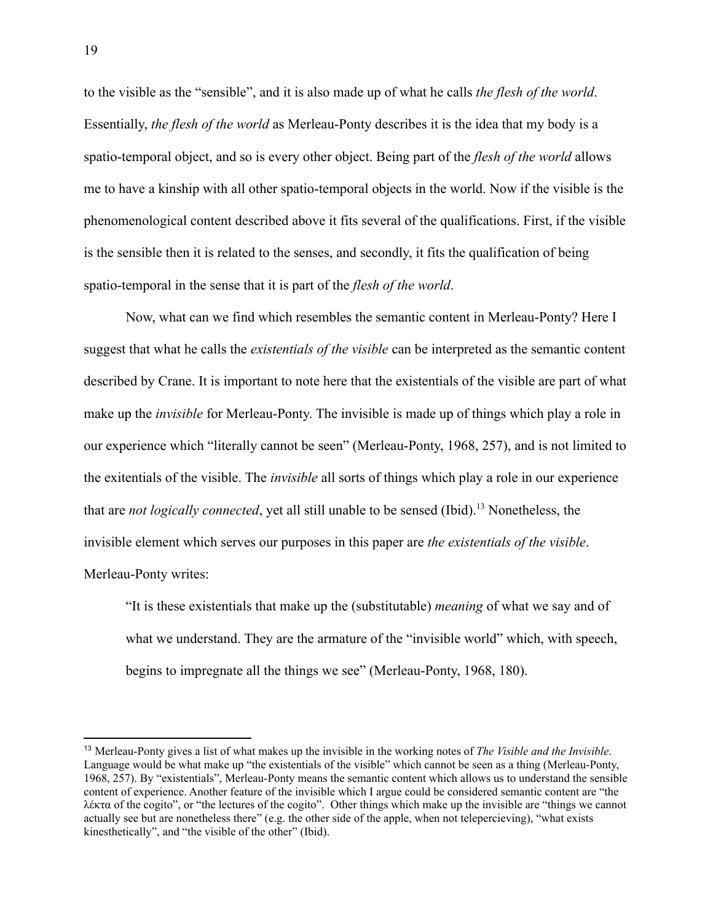to the visible as the "sensible", and it is also made up of what he calls *the flesh of the world*. Essentially, *the flesh of the world* as Merleau-Ponty describes it is the idea that my body is a spatio-temporal object, and so is every other object. Being part of the *flesh of the world* allows me to have a kinship with all other spatio-temporal objects in the world. Now if the visible is the phenomenological content described above it fits several of the qualifications. First, if the visible is the sensible then it is related to the senses, and secondly, it fits the qualification of being spatio-temporal in the sense that it is part of the *flesh of the world*.

Now, what can we find which resembles the semantic content in Merleau-Ponty? Here I suggest that what he calls the *existentials of the visible* can be interpreted as the semantic content described by Crane. It is important to note here that the existentials of the visible are part of what make up the *invisible* for Merleau-Ponty. The invisible is made up of things which play a role in our experience which "literally cannot be seen" (Merleau-Ponty, 1968, 257), and is not limited to the exitentials of the visible. The *invisible* all sorts of things which play a role in our experience that are *not logically connected*, yet all still unable to be sensed (Ibid).<sup>13</sup> Nonetheless, the invisible element which serves our purposes in this paper are *the existentials of the visible*. Merleau-Ponty writes:

"It is these existentials that make up the (substitutable) *meaning* of what we say and of what we understand. They are the armature of the "invisible world" which, with speech, begins to impregnate all the things we see" (Merleau-Ponty, 1968, 180).

<sup>13</sup> Merleau-Ponty gives a list of what makes up the invisible in the working notes of *The Visible and the Invisible*. Language would be what make up "the existentials of the visible" which cannot be seen as a thing (Merleau-Ponty, 1968, 257). By "existentials", Merleau-Ponty means the semantic content which allows us to understand the sensible content of experience. Another feature of the invisible which I argue could be considered semantic content are "the λέκτα of the cogito", or "the lectures of the cogito". Other things which make up the invisible are "things we cannot actually see but are nonetheless there" (e.g. the other side of the apple, when not telepercieving), "what exists kinesthetically", and "the visible of the other" (Ibid).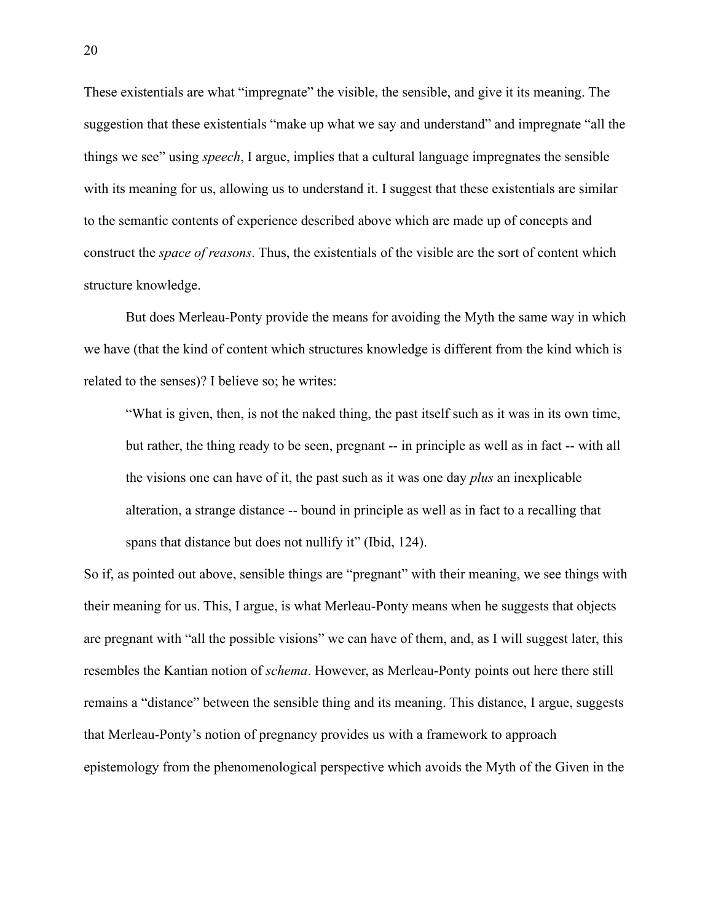These existentials are what "impregnate" the visible, the sensible, and give it its meaning. The suggestion that these existentials "make up what we say and understand" and impregnate "all the things we see" using *speech*, I argue, implies that a cultural language impregnates the sensible with its meaning for us, allowing us to understand it. I suggest that these existentials are similar to the semantic contents of experience described above which are made up of concepts and construct the *space of reasons*. Thus, the existentials of the visible are the sort of content which structure knowledge.

But does Merleau-Ponty provide the means for avoiding the Myth the same way in which we have (that the kind of content which structures knowledge is different from the kind which is related to the senses)? I believe so; he writes:

"What is given, then, is not the naked thing, the past itself such as it was in its own time, but rather, the thing ready to be seen, pregnant -- in principle as well as in fact -- with all the visions one can have of it, the past such as it was one day *plus* an inexplicable alteration, a strange distance -- bound in principle as well as in fact to a recalling that spans that distance but does not nullify it" (Ibid, 124).

So if, as pointed out above, sensible things are "pregnant" with their meaning, we see things with their meaning for us. This, I argue, is what Merleau-Ponty means when he suggests that objects are pregnant with "all the possible visions" we can have of them, and, as I will suggest later, this resembles the Kantian notion of *schema*. However, as Merleau-Ponty points out here there still remains a "distance" between the sensible thing and its meaning. This distance, I argue, suggests that Merleau-Ponty's notion of pregnancy provides us with a framework to approach epistemology from the phenomenological perspective which avoids the Myth of the Given in the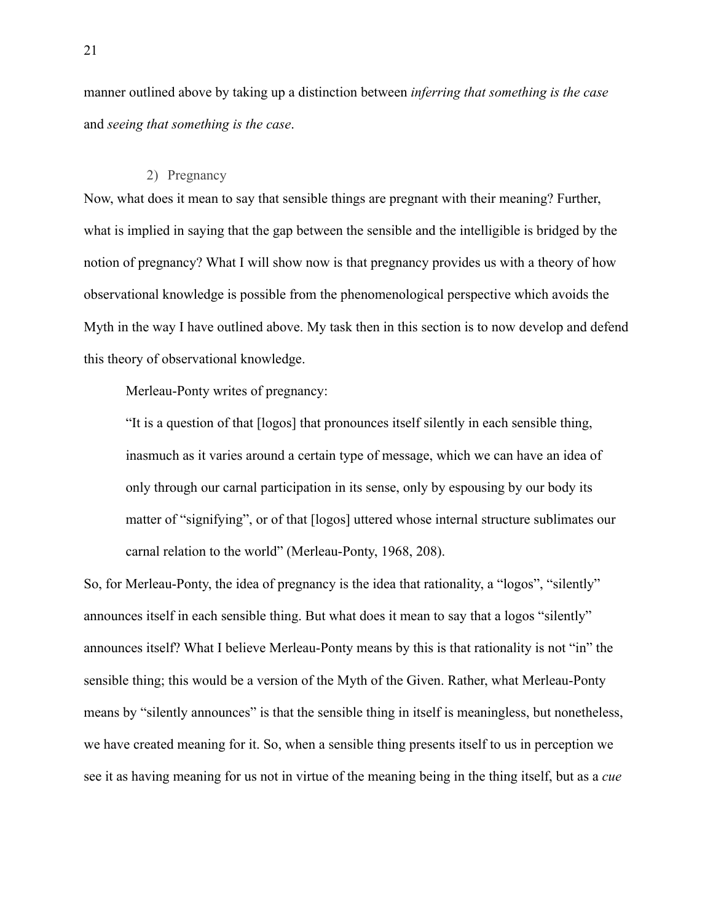manner outlined above by taking up a distinction between *inferring that something is the case* and *seeing that something is the case*.

## 2) Pregnancy

<span id="page-26-0"></span>Now, what does it mean to say that sensible things are pregnant with their meaning? Further, what is implied in saying that the gap between the sensible and the intelligible is bridged by the notion of pregnancy? What I will show now is that pregnancy provides us with a theory of how observational knowledge is possible from the phenomenological perspective which avoids the Myth in the way I have outlined above. My task then in this section is to now develop and defend this theory of observational knowledge.

Merleau-Ponty writes of pregnancy:

"It is a question of that [logos] that pronounces itself silently in each sensible thing, inasmuch as it varies around a certain type of message, which we can have an idea of only through our carnal participation in its sense, only by espousing by our body its matter of "signifying", or of that [logos] uttered whose internal structure sublimates our carnal relation to the world" (Merleau-Ponty, 1968, 208).

So, for Merleau-Ponty, the idea of pregnancy is the idea that rationality, a "logos", "silently" announces itself in each sensible thing. But what does it mean to say that a logos "silently" announces itself? What I believe Merleau-Ponty means by this is that rationality is not "in" the sensible thing; this would be a version of the Myth of the Given. Rather, what Merleau-Ponty means by "silently announces" is that the sensible thing in itself is meaningless, but nonetheless, we have created meaning for it. So, when a sensible thing presents itself to us in perception we see it as having meaning for us not in virtue of the meaning being in the thing itself, but as a *cue*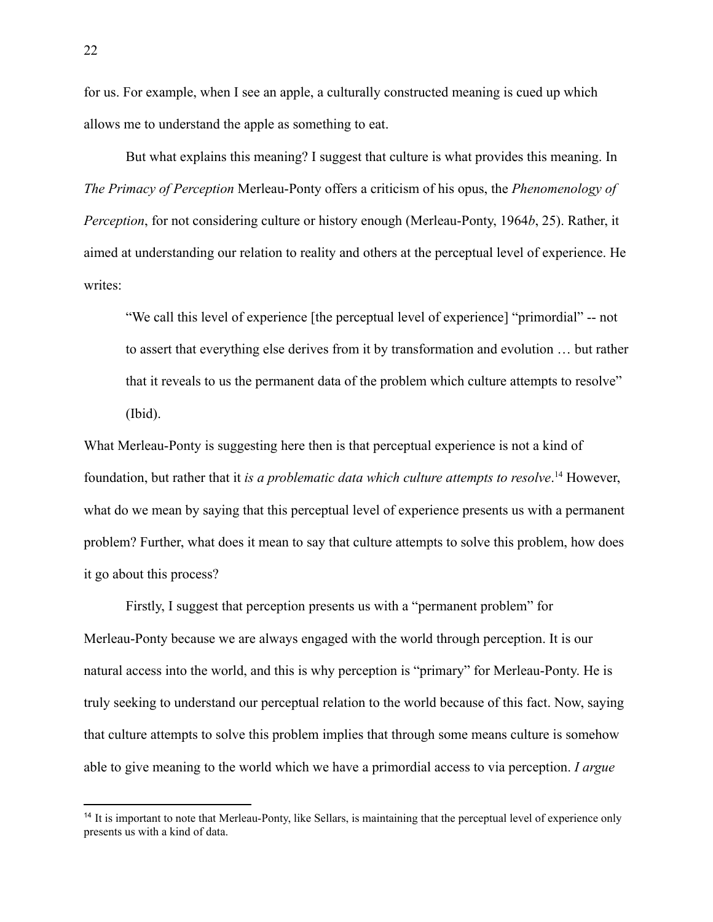for us. For example, when I see an apple, a culturally constructed meaning is cued up which allows me to understand the apple as something to eat.

But what explains this meaning? I suggest that culture is what provides this meaning. In *The Primacy of Perception* Merleau-Ponty offers a criticism of his opus, the *Phenomenology of Perception*, for not considering culture or history enough (Merleau-Ponty, 1964*b*, 25). Rather, it aimed at understanding our relation to reality and others at the perceptual level of experience. He writes:

"We call this level of experience [the perceptual level of experience] "primordial" -- not to assert that everything else derives from it by transformation and evolution … but rather that it reveals to us the permanent data of the problem which culture attempts to resolve" (Ibid).

What Merleau-Ponty is suggesting here then is that perceptual experience is not a kind of foundation, but rather that it *is a problematic data which culture attempts to resolve*. <sup>14</sup> However, what do we mean by saying that this perceptual level of experience presents us with a permanent problem? Further, what does it mean to say that culture attempts to solve this problem, how does it go about this process?

Firstly, I suggest that perception presents us with a "permanent problem" for Merleau-Ponty because we are always engaged with the world through perception. It is our natural access into the world, and this is why perception is "primary" for Merleau-Ponty. He is truly seeking to understand our perceptual relation to the world because of this fact. Now, saying that culture attempts to solve this problem implies that through some means culture is somehow able to give meaning to the world which we have a primordial access to via perception. *I argue*

<sup>&</sup>lt;sup>14</sup> It is important to note that Merleau-Ponty, like Sellars, is maintaining that the perceptual level of experience only presents us with a kind of data.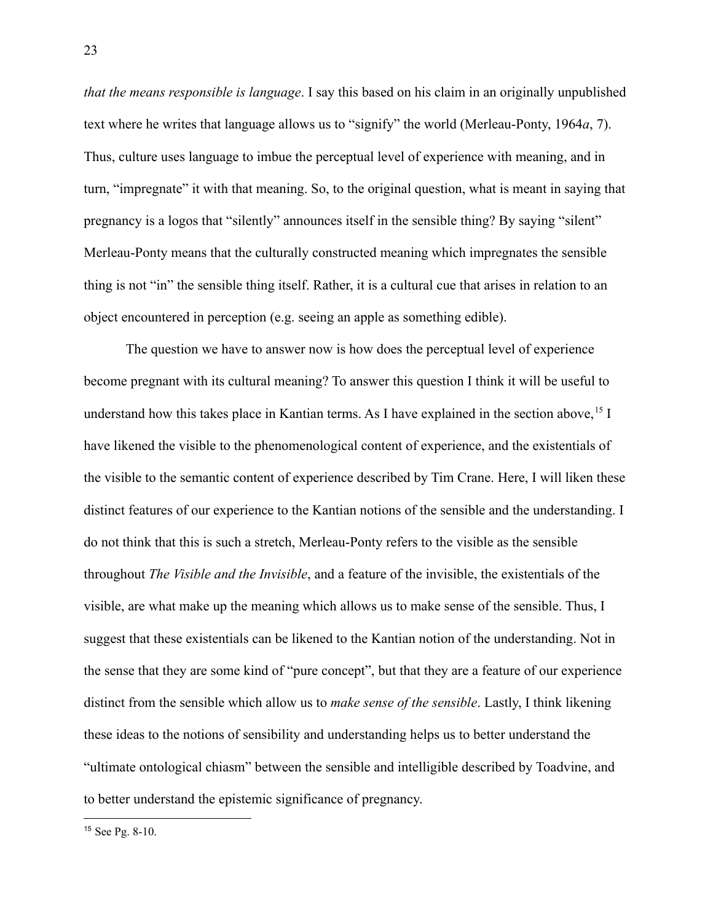*that the means responsible is language*. I say this based on his claim in an originally unpublished text where he writes that language allows us to "signify" the world (Merleau-Ponty, 1964*a*, 7). Thus, culture uses language to imbue the perceptual level of experience with meaning, and in turn, "impregnate" it with that meaning. So, to the original question, what is meant in saying that pregnancy is a logos that "silently" announces itself in the sensible thing? By saying "silent" Merleau-Ponty means that the culturally constructed meaning which impregnates the sensible thing is not "in" the sensible thing itself. Rather, it is a cultural cue that arises in relation to an object encountered in perception (e.g. seeing an apple as something edible).

The question we have to answer now is how does the perceptual level of experience become pregnant with its cultural meaning? To answer this question I think it will be useful to understand how this takes place in Kantian terms. As I have explained in the section above,  $15$  I have likened the visible to the phenomenological content of experience, and the existentials of the visible to the semantic content of experience described by Tim Crane. Here, I will liken these distinct features of our experience to the Kantian notions of the sensible and the understanding. I do not think that this is such a stretch, Merleau-Ponty refers to the visible as the sensible throughout *The Visible and the Invisible*, and a feature of the invisible, the existentials of the visible, are what make up the meaning which allows us to make sense of the sensible. Thus, I suggest that these existentials can be likened to the Kantian notion of the understanding. Not in the sense that they are some kind of "pure concept", but that they are a feature of our experience distinct from the sensible which allow us to *make sense of the sensible*. Lastly, I think likening these ideas to the notions of sensibility and understanding helps us to better understand the "ultimate ontological chiasm" between the sensible and intelligible described by Toadvine, and to better understand the epistemic significance of pregnancy.

<sup>15</sup> See Pg. 8-10.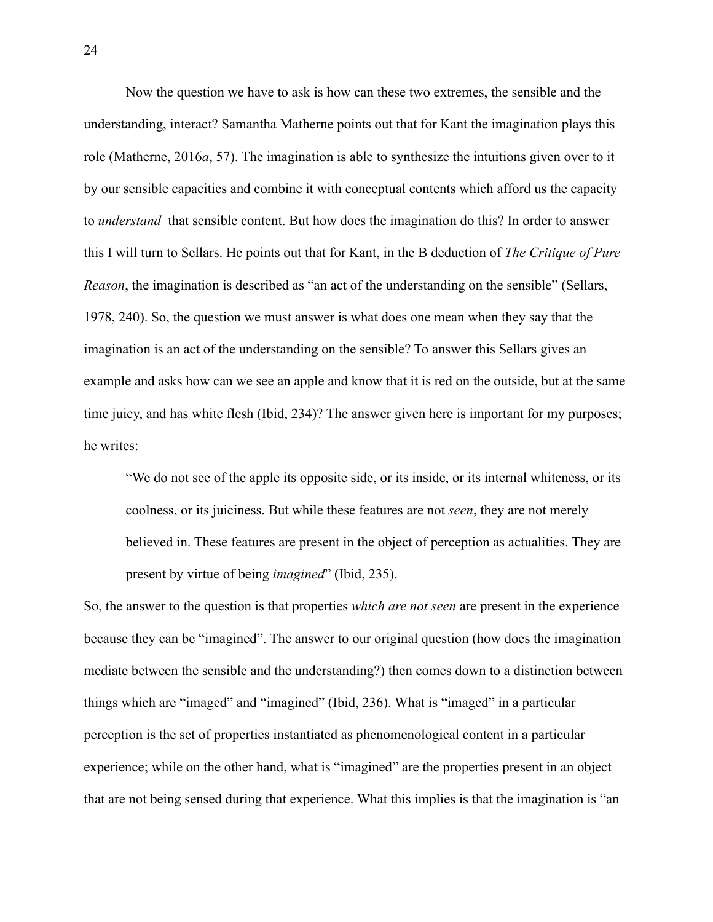Now the question we have to ask is how can these two extremes, the sensible and the understanding, interact? Samantha Matherne points out that for Kant the imagination plays this role (Matherne, 2016*a*, 57). The imagination is able to synthesize the intuitions given over to it by our sensible capacities and combine it with conceptual contents which afford us the capacity to *understand* that sensible content. But how does the imagination do this? In order to answer this I will turn to Sellars. He points out that for Kant, in the B deduction of *The Critique of Pure Reason*, the imagination is described as "an act of the understanding on the sensible" (Sellars, 1978, 240). So, the question we must answer is what does one mean when they say that the imagination is an act of the understanding on the sensible? To answer this Sellars gives an example and asks how can we see an apple and know that it is red on the outside, but at the same time juicy, and has white flesh (Ibid, 234)? The answer given here is important for my purposes; he writes:

"We do not see of the apple its opposite side, or its inside, or its internal whiteness, or its coolness, or its juiciness. But while these features are not *seen*, they are not merely believed in. These features are present in the object of perception as actualities. They are present by virtue of being *imagined*" (Ibid, 235).

So, the answer to the question is that properties *which are not seen* are present in the experience because they can be "imagined". The answer to our original question (how does the imagination mediate between the sensible and the understanding?) then comes down to a distinction between things which are "imaged" and "imagined" (Ibid, 236). What is "imaged" in a particular perception is the set of properties instantiated as phenomenological content in a particular experience; while on the other hand, what is "imagined" are the properties present in an object that are not being sensed during that experience. What this implies is that the imagination is "an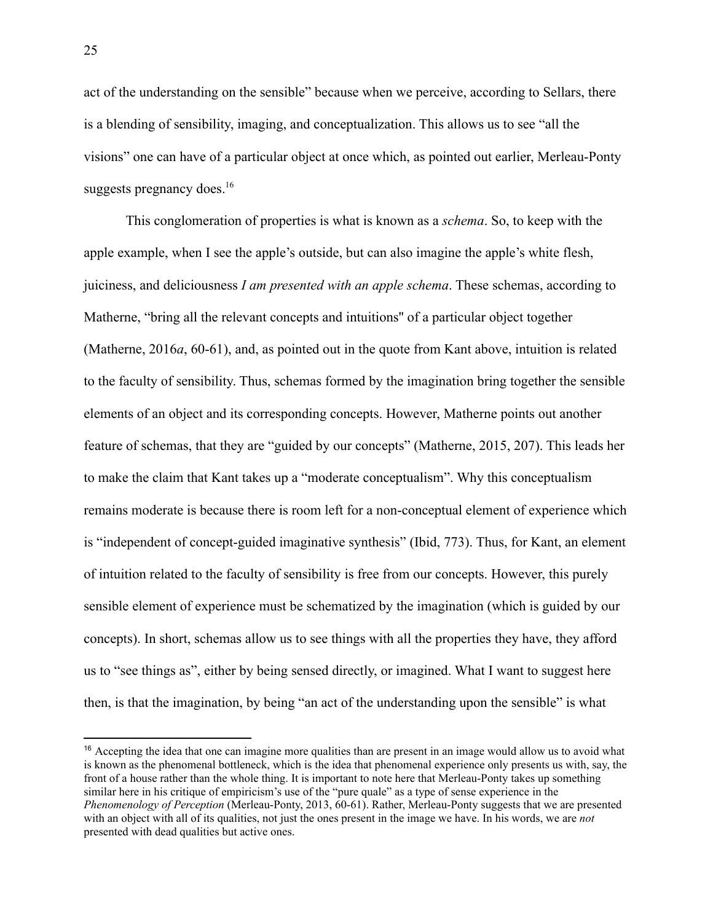act of the understanding on the sensible" because when we perceive, according to Sellars, there is a blending of sensibility, imaging, and conceptualization. This allows us to see "all the visions" one can have of a particular object at once which, as pointed out earlier, Merleau-Ponty suggests pregnancy does.<sup>16</sup>

This conglomeration of properties is what is known as a *schema*. So, to keep with the apple example, when I see the apple's outside, but can also imagine the apple's white flesh, juiciness, and deliciousness *I am presented with an apple schema*. These schemas, according to Matherne, "bring all the relevant concepts and intuitions'' of a particular object together (Matherne, 2016*a*, 60-61), and, as pointed out in the quote from Kant above, intuition is related to the faculty of sensibility. Thus, schemas formed by the imagination bring together the sensible elements of an object and its corresponding concepts. However, Matherne points out another feature of schemas, that they are "guided by our concepts" (Matherne, 2015, 207). This leads her to make the claim that Kant takes up a "moderate conceptualism". Why this conceptualism remains moderate is because there is room left for a non-conceptual element of experience which is "independent of concept-guided imaginative synthesis" (Ibid, 773). Thus, for Kant, an element of intuition related to the faculty of sensibility is free from our concepts. However, this purely sensible element of experience must be schematized by the imagination (which is guided by our concepts). In short, schemas allow us to see things with all the properties they have, they afford us to "see things as", either by being sensed directly, or imagined. What I want to suggest here then, is that the imagination, by being "an act of the understanding upon the sensible" is what

<sup>&</sup>lt;sup>16</sup> Accepting the idea that one can imagine more qualities than are present in an image would allow us to avoid what is known as the phenomenal bottleneck, which is the idea that phenomenal experience only presents us with, say, the front of a house rather than the whole thing. It is important to note here that Merleau-Ponty takes up something similar here in his critique of empiricism's use of the "pure quale" as a type of sense experience in the *Phenomenology of Perception* (Merleau-Ponty, 2013, 60-61). Rather, Merleau-Ponty suggests that we are presented with an object with all of its qualities, not just the ones present in the image we have. In his words, we are *not* presented with dead qualities but active ones.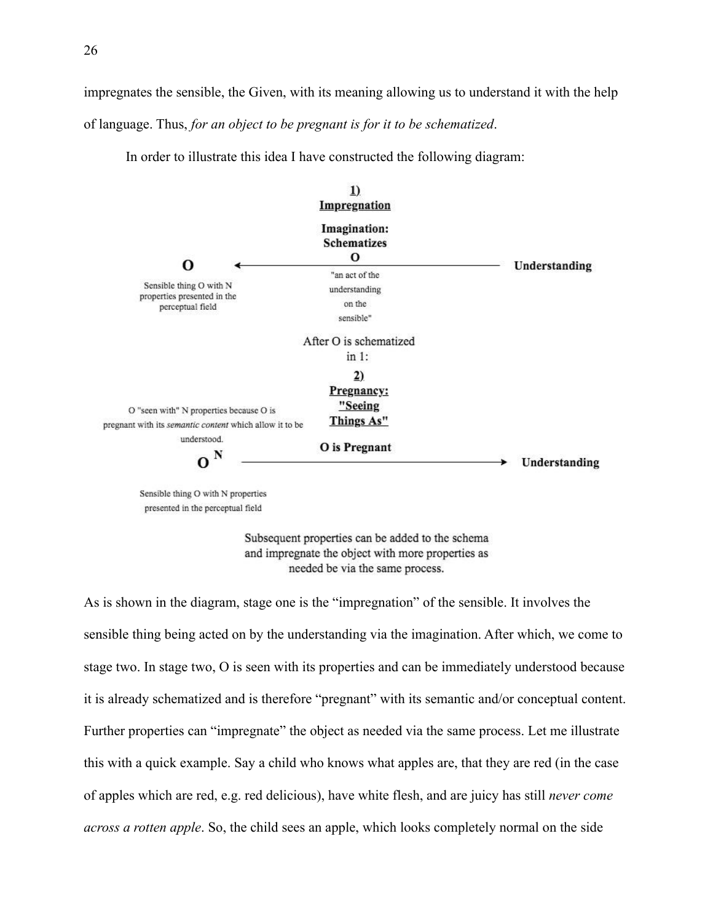impregnates the sensible, the Given, with its meaning allowing us to understand it with the help of language. Thus, *for an object to be pregnant is for it to be schematized*.

In order to illustrate this idea I have constructed the following diagram:



Sensible thing O with N properties presented in the perceptual field

> Subsequent properties can be added to the schema and impregnate the object with more properties as needed be via the same process.

As is shown in the diagram, stage one is the "impregnation" of the sensible. It involves the sensible thing being acted on by the understanding via the imagination. After which, we come to stage two. In stage two, O is seen with its properties and can be immediately understood because it is already schematized and is therefore "pregnant" with its semantic and/or conceptual content. Further properties can "impregnate" the object as needed via the same process. Let me illustrate this with a quick example. Say a child who knows what apples are, that they are red (in the case of apples which are red, e.g. red delicious), have white flesh, and are juicy has still *never come across a rotten apple*. So, the child sees an apple, which looks completely normal on the side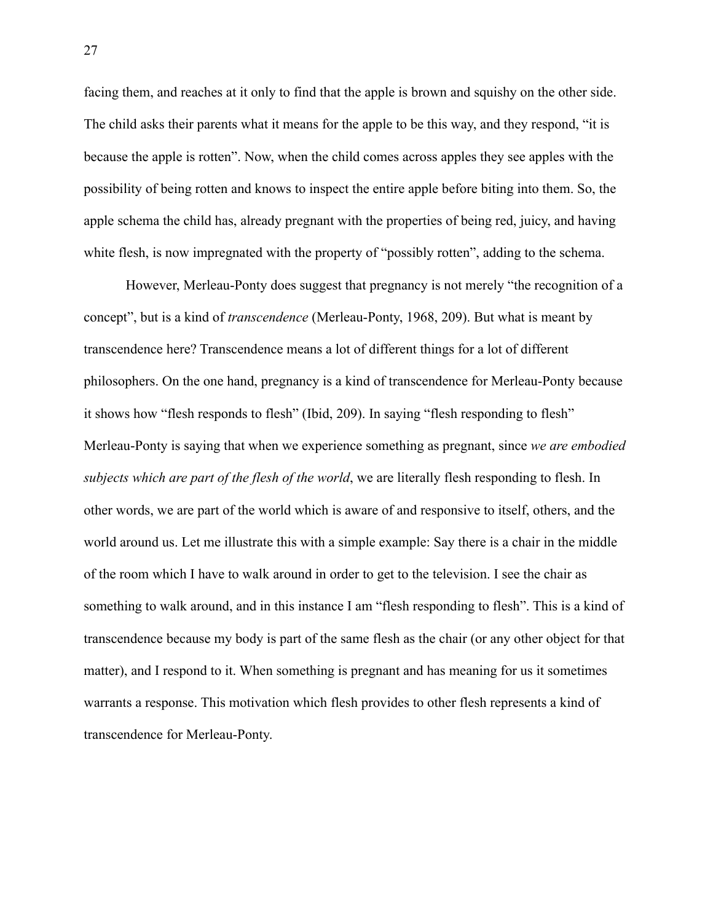facing them, and reaches at it only to find that the apple is brown and squishy on the other side. The child asks their parents what it means for the apple to be this way, and they respond, "it is because the apple is rotten". Now, when the child comes across apples they see apples with the possibility of being rotten and knows to inspect the entire apple before biting into them. So, the apple schema the child has, already pregnant with the properties of being red, juicy, and having white flesh, is now impregnated with the property of "possibly rotten", adding to the schema.

However, Merleau-Ponty does suggest that pregnancy is not merely "the recognition of a concept", but is a kind of *transcendence* (Merleau-Ponty, 1968, 209). But what is meant by transcendence here? Transcendence means a lot of different things for a lot of different philosophers. On the one hand, pregnancy is a kind of transcendence for Merleau-Ponty because it shows how "flesh responds to flesh" (Ibid, 209). In saying "flesh responding to flesh" Merleau-Ponty is saying that when we experience something as pregnant, since *we are embodied subjects which are part of the flesh of the world*, we are literally flesh responding to flesh. In other words, we are part of the world which is aware of and responsive to itself, others, and the world around us. Let me illustrate this with a simple example: Say there is a chair in the middle of the room which I have to walk around in order to get to the television. I see the chair as something to walk around, and in this instance I am "flesh responding to flesh". This is a kind of transcendence because my body is part of the same flesh as the chair (or any other object for that matter), and I respond to it. When something is pregnant and has meaning for us it sometimes warrants a response. This motivation which flesh provides to other flesh represents a kind of transcendence for Merleau-Ponty.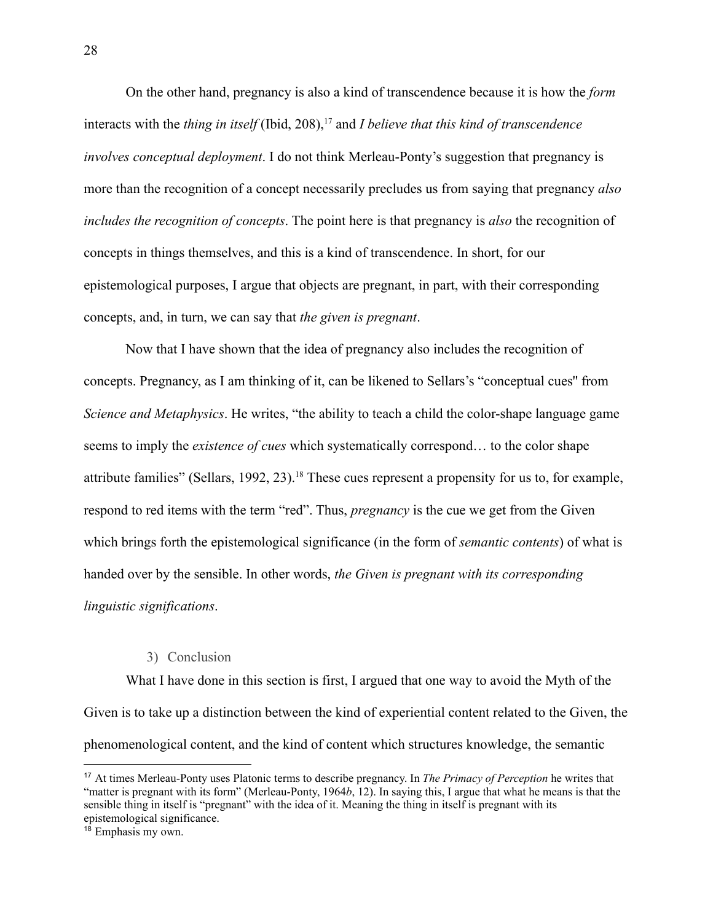On the other hand, pregnancy is also a kind of transcendence because it is how the *form* interacts with the *thing in itself* (Ibid, 208),<sup>17</sup> and *I believe that this kind of transcendence involves conceptual deployment*. I do not think Merleau-Ponty's suggestion that pregnancy is more than the recognition of a concept necessarily precludes us from saying that pregnancy *also includes the recognition of concepts*. The point here is that pregnancy is *also* the recognition of concepts in things themselves, and this is a kind of transcendence. In short, for our epistemological purposes, I argue that objects are pregnant, in part, with their corresponding concepts, and, in turn, we can say that *the given is pregnant*.

Now that I have shown that the idea of pregnancy also includes the recognition of concepts. Pregnancy, as I am thinking of it, can be likened to Sellars's "conceptual cues'' from *Science and Metaphysics*. He writes, "the ability to teach a child the color-shape language game seems to imply the *existence of cues* which systematically correspond… to the color shape attribute families" (Sellars, 1992, 23).<sup>18</sup> These cues represent a propensity for us to, for example, respond to red items with the term "red". Thus, *pregnancy* is the cue we get from the Given which brings forth the epistemological significance (in the form of *semantic contents*) of what is handed over by the sensible. In other words, *the Given is pregnant with its corresponding linguistic significations*.

#### 3) Conclusion

<span id="page-33-0"></span>What I have done in this section is first, I argued that one way to avoid the Myth of the Given is to take up a distinction between the kind of experiential content related to the Given, the phenomenological content, and the kind of content which structures knowledge, the semantic

<sup>17</sup> At times Merleau-Ponty uses Platonic terms to describe pregnancy. In *The Primacy of Perception* he writes that "matter is pregnant with its form" (Merleau-Ponty, 1964*b*, 12). In saying this, I argue that what he means is that the sensible thing in itself is "pregnant" with the idea of it. Meaning the thing in itself is pregnant with its epistemological significance.

<sup>&</sup>lt;sup>18</sup> Emphasis my own.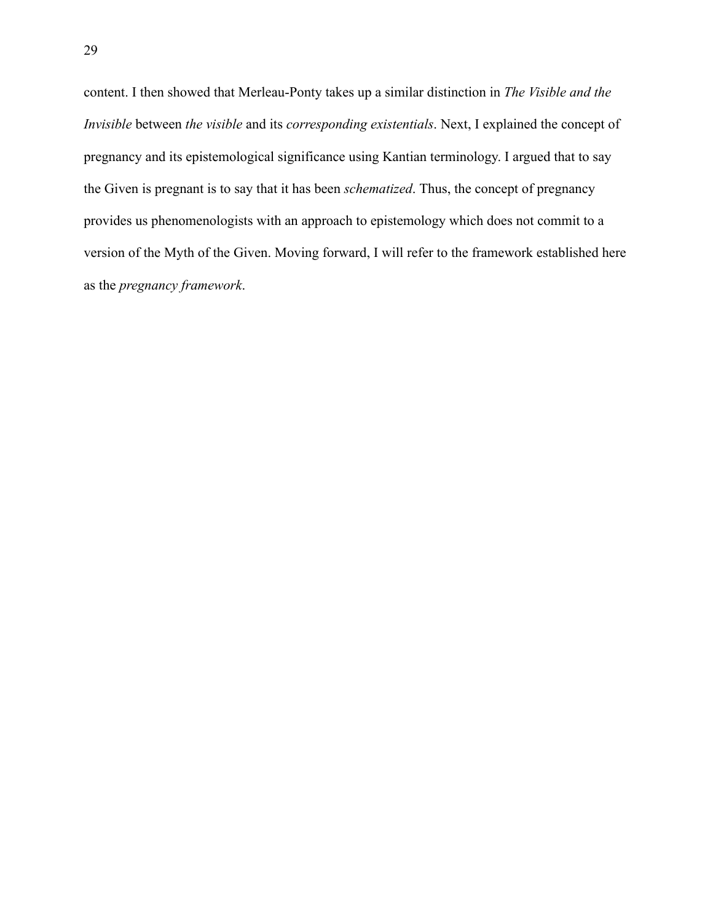content. I then showed that Merleau-Ponty takes up a similar distinction in *The Visible and the Invisible* between *the visible* and its *corresponding existentials*. Next, I explained the concept of pregnancy and its epistemological significance using Kantian terminology. I argued that to say the Given is pregnant is to say that it has been *schematized*. Thus, the concept of pregnancy provides us phenomenologists with an approach to epistemology which does not commit to a version of the Myth of the Given. Moving forward, I will refer to the framework established here as the *pregnancy framework*.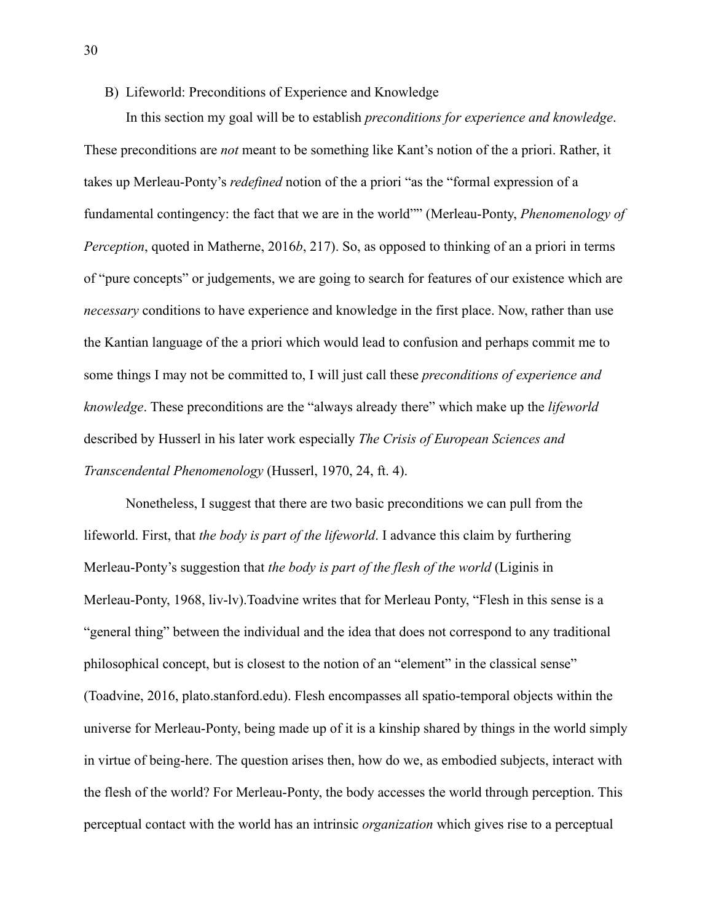## <span id="page-35-0"></span>B) Lifeworld: Preconditions of Experience and Knowledge

In this section my goal will be to establish *preconditions for experience and knowledge*. These preconditions are *not* meant to be something like Kant's notion of the a priori. Rather, it takes up Merleau-Ponty's *redefined* notion of the a priori "as the "formal expression of a fundamental contingency: the fact that we are in the world"" (Merleau-Ponty, *Phenomenology of Perception*, quoted in Matherne, 2016*b*, 217). So, as opposed to thinking of an a priori in terms of "pure concepts" or judgements, we are going to search for features of our existence which are *necessary* conditions to have experience and knowledge in the first place. Now, rather than use the Kantian language of the a priori which would lead to confusion and perhaps commit me to some things I may not be committed to, I will just call these *preconditions of experience and knowledge*. These preconditions are the "always already there" which make up the *lifeworld* described by Husserl in his later work especially *The Crisis of European Sciences and Transcendental Phenomenology* (Husserl, 1970, 24, ft. 4).

Nonetheless, I suggest that there are two basic preconditions we can pull from the lifeworld. First, that *the body is part of the lifeworld*. I advance this claim by furthering Merleau-Ponty's suggestion that *the body is part of the flesh of the world* (Liginis in Merleau-Ponty, 1968, liv-lv).Toadvine writes that for Merleau Ponty, "Flesh in this sense is a "general thing" between the individual and the idea that does not correspond to any traditional philosophical concept, but is closest to the notion of an "element" in the classical sense" (Toadvine, 2016, plato.stanford.edu). Flesh encompasses all spatio-temporal objects within the universe for Merleau-Ponty, being made up of it is a kinship shared by things in the world simply in virtue of being-here. The question arises then, how do we, as embodied subjects, interact with the flesh of the world? For Merleau-Ponty, the body accesses the world through perception. This perceptual contact with the world has an intrinsic *organization* which gives rise to a perceptual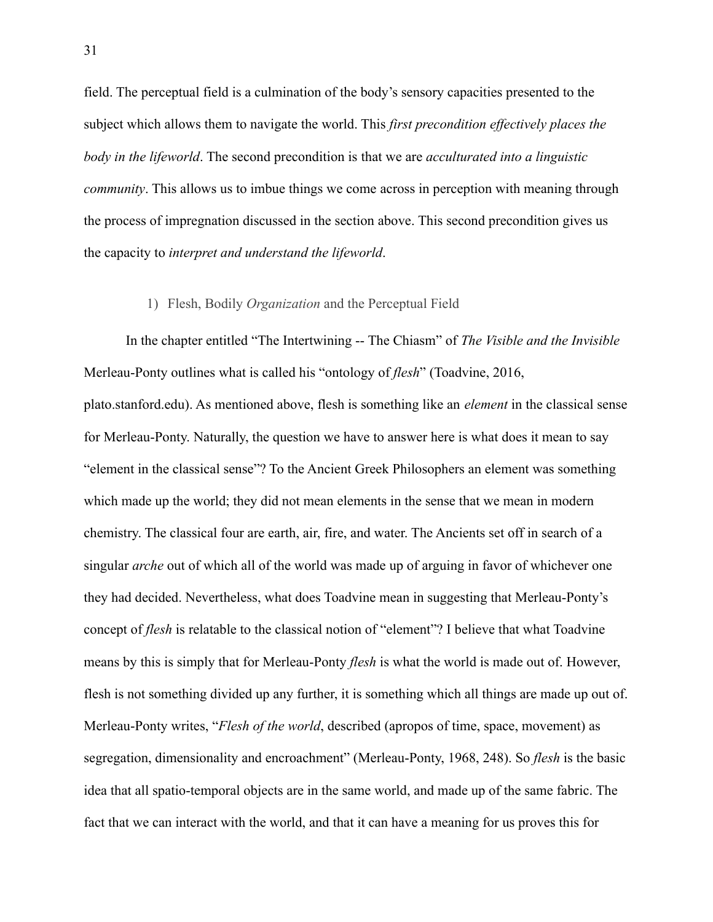field. The perceptual field is a culmination of the body's sensory capacities presented to the subject which allows them to navigate the world. This *first precondition effectively places the body in the lifeworld*. The second precondition is that we are *acculturated into a linguistic community*. This allows us to imbue things we come across in perception with meaning through the process of impregnation discussed in the section above. This second precondition gives us the capacity to *interpret and understand the lifeworld*.

#### 1) Flesh, Bodily *Organization* and the Perceptual Field

In the chapter entitled "The Intertwining -- The Chiasm" of *The Visible and the Invisible* Merleau-Ponty outlines what is called his "ontology of *flesh*" (Toadvine, 2016,

plato.stanford.edu). As mentioned above, flesh is something like an *element* in the classical sense for Merleau-Ponty. Naturally, the question we have to answer here is what does it mean to say "element in the classical sense"? To the Ancient Greek Philosophers an element was something which made up the world; they did not mean elements in the sense that we mean in modern chemistry. The classical four are earth, air, fire, and water. The Ancients set off in search of a singular *arche* out of which all of the world was made up of arguing in favor of whichever one they had decided. Nevertheless, what does Toadvine mean in suggesting that Merleau-Ponty's concept of *flesh* is relatable to the classical notion of "element"? I believe that what Toadvine means by this is simply that for Merleau-Ponty *flesh* is what the world is made out of. However, flesh is not something divided up any further, it is something which all things are made up out of. Merleau-Ponty writes, "*Flesh of the world*, described (apropos of time, space, movement) as segregation, dimensionality and encroachment" (Merleau-Ponty, 1968, 248). So *flesh* is the basic idea that all spatio-temporal objects are in the same world, and made up of the same fabric. The fact that we can interact with the world, and that it can have a meaning for us proves this for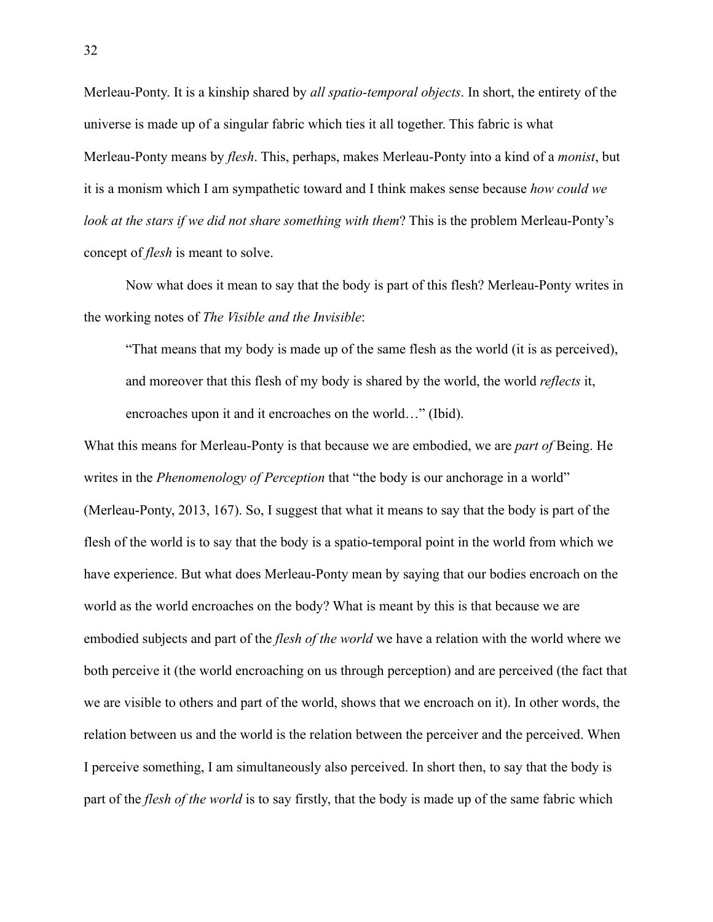Merleau-Ponty. It is a kinship shared by *all spatio-temporal objects*. In short, the entirety of the universe is made up of a singular fabric which ties it all together. This fabric is what Merleau-Ponty means by *flesh*. This, perhaps, makes Merleau-Ponty into a kind of a *monist*, but it is a monism which I am sympathetic toward and I think makes sense because *how could we look at the stars if we did not share something with them*? This is the problem Merleau-Ponty's concept of *flesh* is meant to solve.

Now what does it mean to say that the body is part of this flesh? Merleau-Ponty writes in the working notes of *The Visible and the Invisible*:

"That means that my body is made up of the same flesh as the world (it is as perceived), and moreover that this flesh of my body is shared by the world, the world *reflects* it, encroaches upon it and it encroaches on the world…" (Ibid).

What this means for Merleau-Ponty is that because we are embodied, we are *part of* Being. He writes in the *Phenomenology of Perception* that "the body is our anchorage in a world" (Merleau-Ponty, 2013, 167). So, I suggest that what it means to say that the body is part of the flesh of the world is to say that the body is a spatio-temporal point in the world from which we have experience. But what does Merleau-Ponty mean by saying that our bodies encroach on the world as the world encroaches on the body? What is meant by this is that because we are embodied subjects and part of the *flesh of the world* we have a relation with the world where we both perceive it (the world encroaching on us through perception) and are perceived (the fact that we are visible to others and part of the world, shows that we encroach on it). In other words, the relation between us and the world is the relation between the perceiver and the perceived. When I perceive something, I am simultaneously also perceived. In short then, to say that the body is part of the *flesh of the world* is to say firstly, that the body is made up of the same fabric which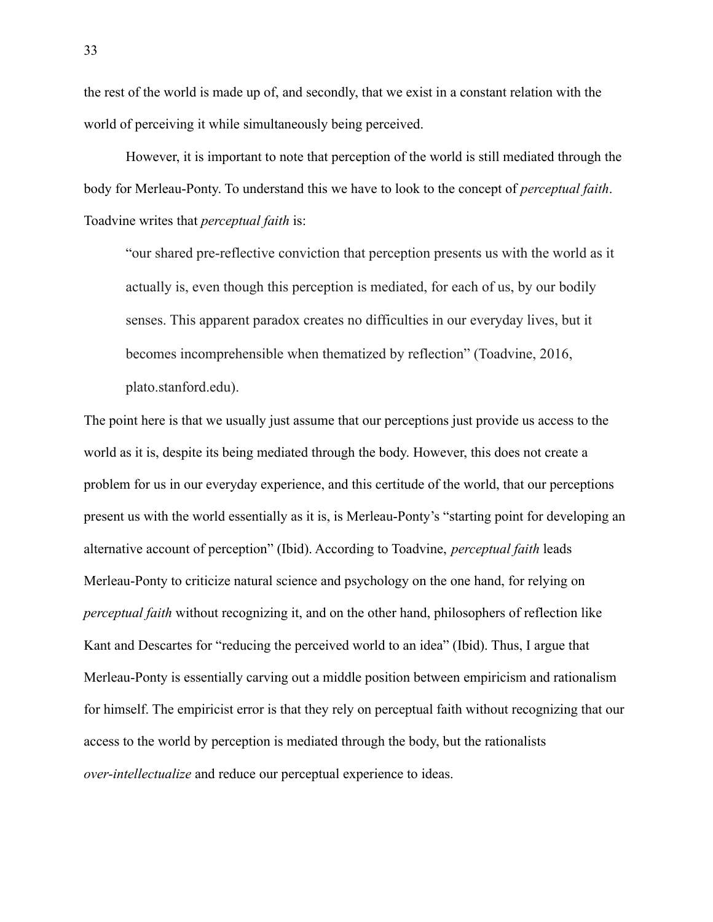the rest of the world is made up of, and secondly, that we exist in a constant relation with the world of perceiving it while simultaneously being perceived.

However, it is important to note that perception of the world is still mediated through the body for Merleau-Ponty. To understand this we have to look to the concept of *perceptual faith*. Toadvine writes that *perceptual faith* is:

"our shared pre-reflective conviction that perception presents us with the world as it actually is, even though this perception is mediated, for each of us, by our bodily senses. This apparent paradox creates no difficulties in our everyday lives, but it becomes incomprehensible when thematized by reflection" (Toadvine, 2016, plato.stanford.edu).

The point here is that we usually just assume that our perceptions just provide us access to the world as it is, despite its being mediated through the body. However, this does not create a problem for us in our everyday experience, and this certitude of the world, that our perceptions present us with the world essentially as it is, is Merleau-Ponty's "starting point for developing an alternative account of perception" (Ibid). According to Toadvine, *perceptual faith* leads Merleau-Ponty to criticize natural science and psychology on the one hand, for relying on *perceptual faith* without recognizing it, and on the other hand, philosophers of reflection like Kant and Descartes for "reducing the perceived world to an idea" (Ibid). Thus, I argue that Merleau-Ponty is essentially carving out a middle position between empiricism and rationalism for himself. The empiricist error is that they rely on perceptual faith without recognizing that our access to the world by perception is mediated through the body, but the rationalists *over-intellectualize* and reduce our perceptual experience to ideas.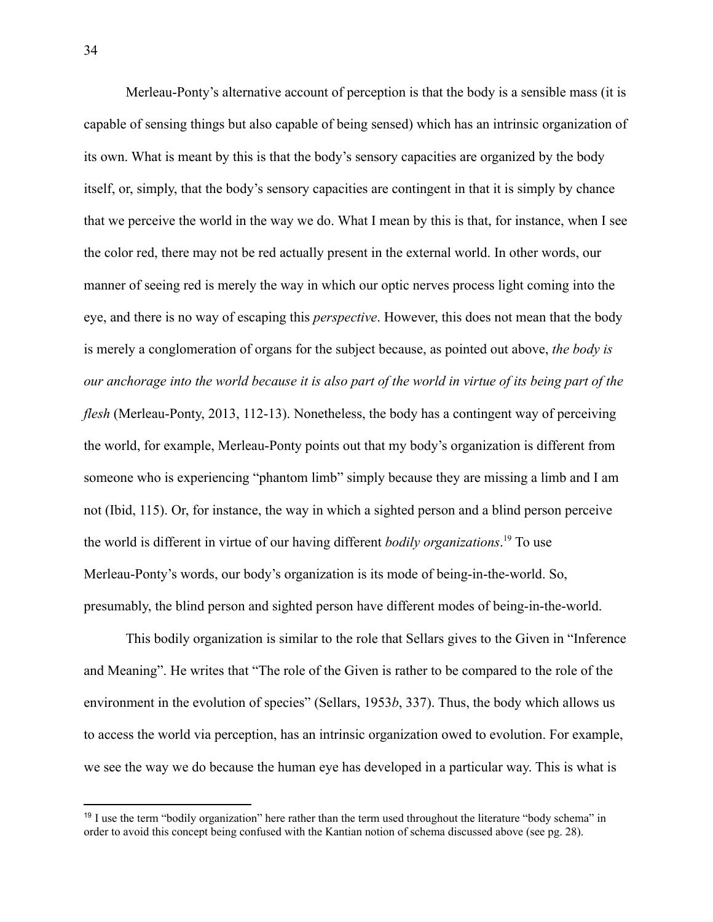Merleau-Ponty's alternative account of perception is that the body is a sensible mass (it is capable of sensing things but also capable of being sensed) which has an intrinsic organization of its own. What is meant by this is that the body's sensory capacities are organized by the body itself, or, simply, that the body's sensory capacities are contingent in that it is simply by chance that we perceive the world in the way we do. What I mean by this is that, for instance, when I see the color red, there may not be red actually present in the external world. In other words, our manner of seeing red is merely the way in which our optic nerves process light coming into the eye, and there is no way of escaping this *perspective*. However, this does not mean that the body is merely a conglomeration of organs for the subject because, as pointed out above, *the body is our anchorage into the world because it is also part of the world in virtue of its being part of the flesh* (Merleau-Ponty, 2013, 112-13). Nonetheless, the body has a contingent way of perceiving the world, for example, Merleau-Ponty points out that my body's organization is different from someone who is experiencing "phantom limb" simply because they are missing a limb and I am not (Ibid, 115). Or, for instance, the way in which a sighted person and a blind person perceive the world is different in virtue of our having different *bodily organizations*. <sup>19</sup> To use Merleau-Ponty's words, our body's organization is its mode of being-in-the-world. So, presumably, the blind person and sighted person have different modes of being-in-the-world.

This bodily organization is similar to the role that Sellars gives to the Given in "Inference and Meaning". He writes that "The role of the Given is rather to be compared to the role of the environment in the evolution of species" (Sellars, 1953*b*, 337). Thus, the body which allows us to access the world via perception, has an intrinsic organization owed to evolution. For example, we see the way we do because the human eye has developed in a particular way. This is what is

 $19$  I use the term "bodily organization" here rather than the term used throughout the literature "body schema" in order to avoid this concept being confused with the Kantian notion of schema discussed above (see pg. 28).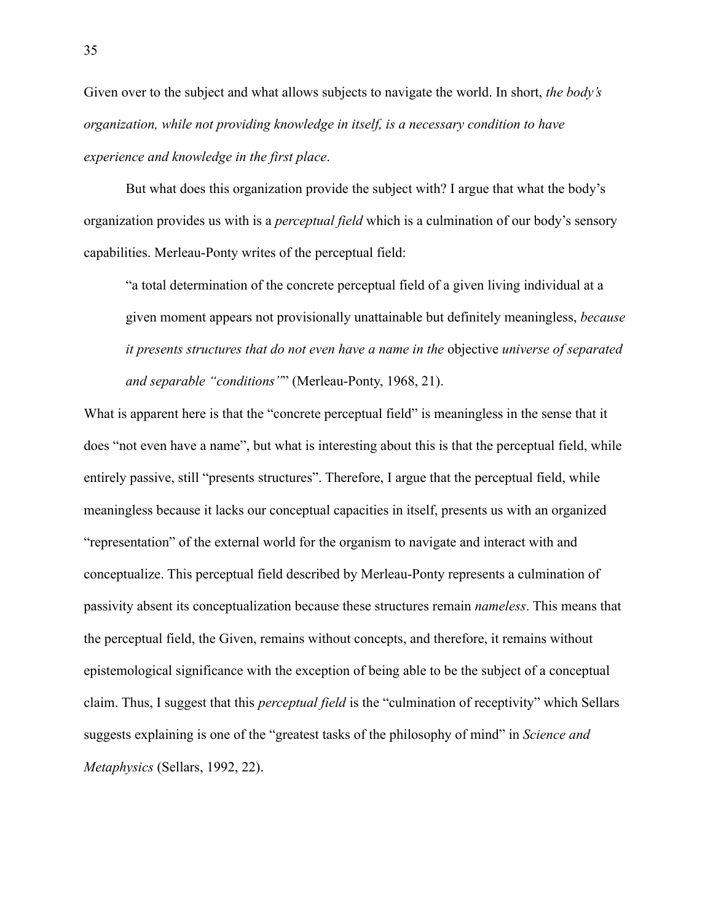Given over to the subject and what allows subjects to navigate the world. In short, *the body's organization, while not providing knowledge in itself, is a necessary condition to have experience and knowledge in the first place*.

But what does this organization provide the subject with? I argue that what the body's organization provides us with is a *perceptual field* which is a culmination of our body's sensory capabilities. Merleau-Ponty writes of the perceptual field:

"a total determination of the concrete perceptual field of a given living individual at a given moment appears not provisionally unattainable but definitely meaningless, *because it presents structures that do not even have a name in the* objective *universe of separated and separable "conditions"*" (Merleau-Ponty, 1968, 21).

What is apparent here is that the "concrete perceptual field" is meaningless in the sense that it does "not even have a name", but what is interesting about this is that the perceptual field, while entirely passive, still "presents structures". Therefore, I argue that the perceptual field, while meaningless because it lacks our conceptual capacities in itself, presents us with an organized "representation" of the external world for the organism to navigate and interact with and conceptualize. This perceptual field described by Merleau-Ponty represents a culmination of passivity absent its conceptualization because these structures remain *nameless*. This means that the perceptual field, the Given, remains without concepts, and therefore, it remains without epistemological significance with the exception of being able to be the subject of a conceptual claim. Thus, I suggest that this *perceptual field* is the "culmination of receptivity" which Sellars suggests explaining is one of the "greatest tasks of the philosophy of mind" in *Science and Metaphysics* (Sellars, 1992, 22).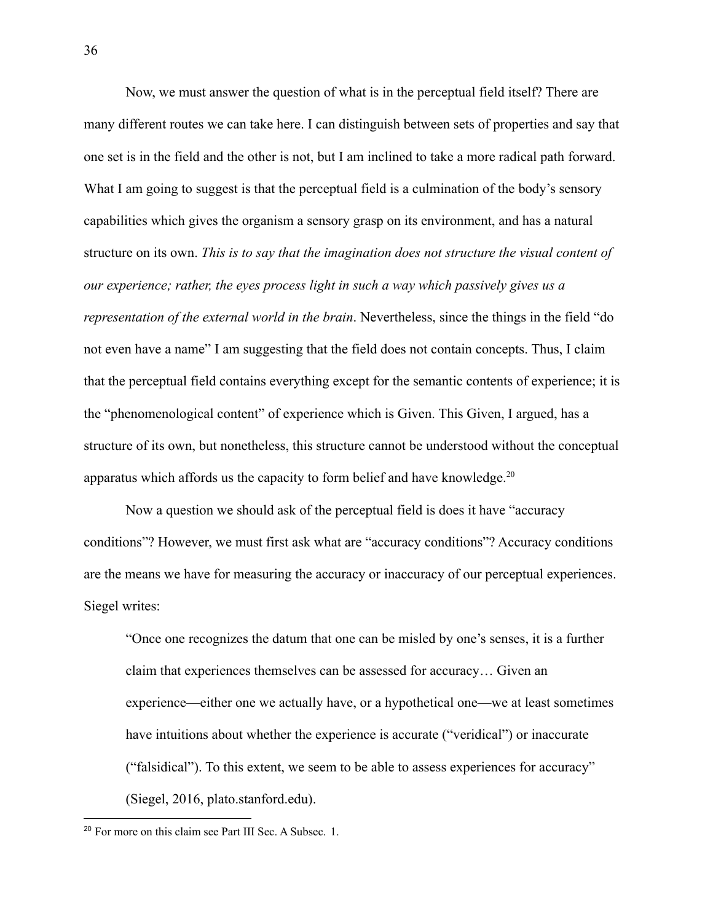Now, we must answer the question of what is in the perceptual field itself? There are many different routes we can take here. I can distinguish between sets of properties and say that one set is in the field and the other is not, but I am inclined to take a more radical path forward. What I am going to suggest is that the perceptual field is a culmination of the body's sensory capabilities which gives the organism a sensory grasp on its environment, and has a natural structure on its own. *This is to say that the imagination does not structure the visual content of our experience; rather, the eyes process light in such a way which passively gives us a representation of the external world in the brain*. Nevertheless, since the things in the field "do not even have a name" I am suggesting that the field does not contain concepts. Thus, I claim that the perceptual field contains everything except for the semantic contents of experience; it is the "phenomenological content" of experience which is Given. This Given, I argued, has a structure of its own, but nonetheless, this structure cannot be understood without the conceptual apparatus which affords us the capacity to form belief and have knowledge. $20$ 

Now a question we should ask of the perceptual field is does it have "accuracy conditions"? However, we must first ask what are "accuracy conditions"? Accuracy conditions are the means we have for measuring the accuracy or inaccuracy of our perceptual experiences. Siegel writes:

"Once one recognizes the datum that one can be misled by one's senses, it is a further claim that experiences themselves can be assessed for accuracy… Given an experience—either one we actually have, or a hypothetical one—we at least sometimes have intuitions about whether the experience is accurate ("veridical") or inaccurate ("falsidical"). To this extent, we seem to be able to assess experiences for accuracy" (Siegel, 2016, plato.stanford.edu).

<sup>20</sup> For more on this claim see Part III Sec. A Subsec. 1.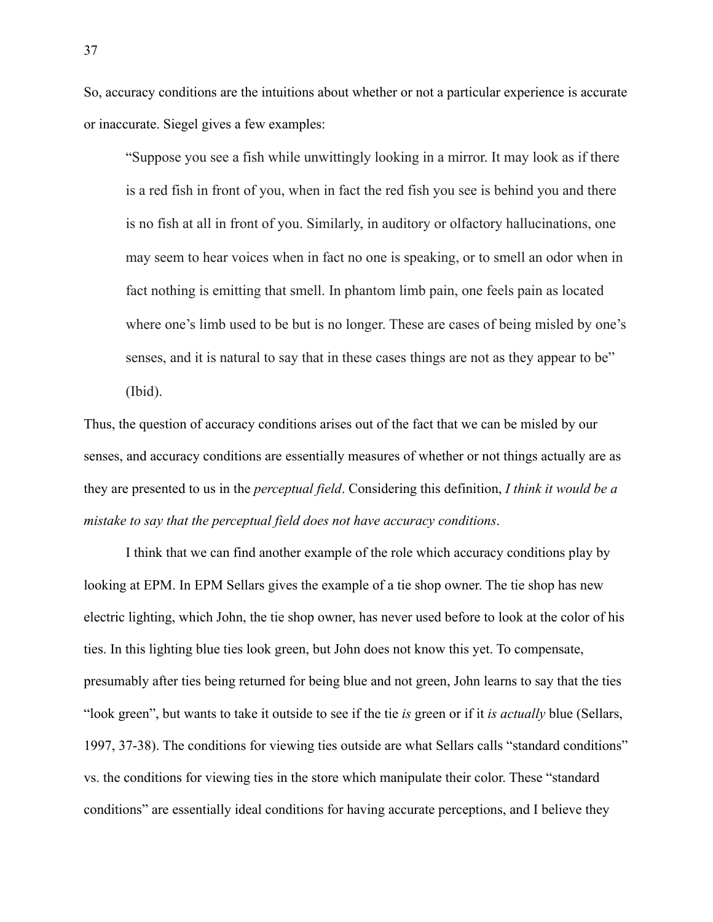So, accuracy conditions are the intuitions about whether or not a particular experience is accurate or inaccurate. Siegel gives a few examples:

"Suppose you see a fish while unwittingly looking in a mirror. It may look as if there is a red fish in front of you, when in fact the red fish you see is behind you and there is no fish at all in front of you. Similarly, in auditory or olfactory hallucinations, one may seem to hear voices when in fact no one is speaking, or to smell an odor when in fact nothing is emitting that smell. In phantom limb pain, one feels pain as located where one's limb used to be but is no longer. These are cases of being misled by one's senses, and it is natural to say that in these cases things are not as they appear to be" (Ibid).

Thus, the question of accuracy conditions arises out of the fact that we can be misled by our senses, and accuracy conditions are essentially measures of whether or not things actually are as they are presented to us in the *perceptual field*. Considering this definition, *I think it would be a mistake to say that the perceptual field does not have accuracy conditions*.

I think that we can find another example of the role which accuracy conditions play by looking at EPM. In EPM Sellars gives the example of a tie shop owner. The tie shop has new electric lighting, which John, the tie shop owner, has never used before to look at the color of his ties. In this lighting blue ties look green, but John does not know this yet. To compensate, presumably after ties being returned for being blue and not green, John learns to say that the ties "look green", but wants to take it outside to see if the tie *is* green or if it *is actually* blue (Sellars, 1997, 37-38). The conditions for viewing ties outside are what Sellars calls "standard conditions" vs. the conditions for viewing ties in the store which manipulate their color. These "standard conditions" are essentially ideal conditions for having accurate perceptions, and I believe they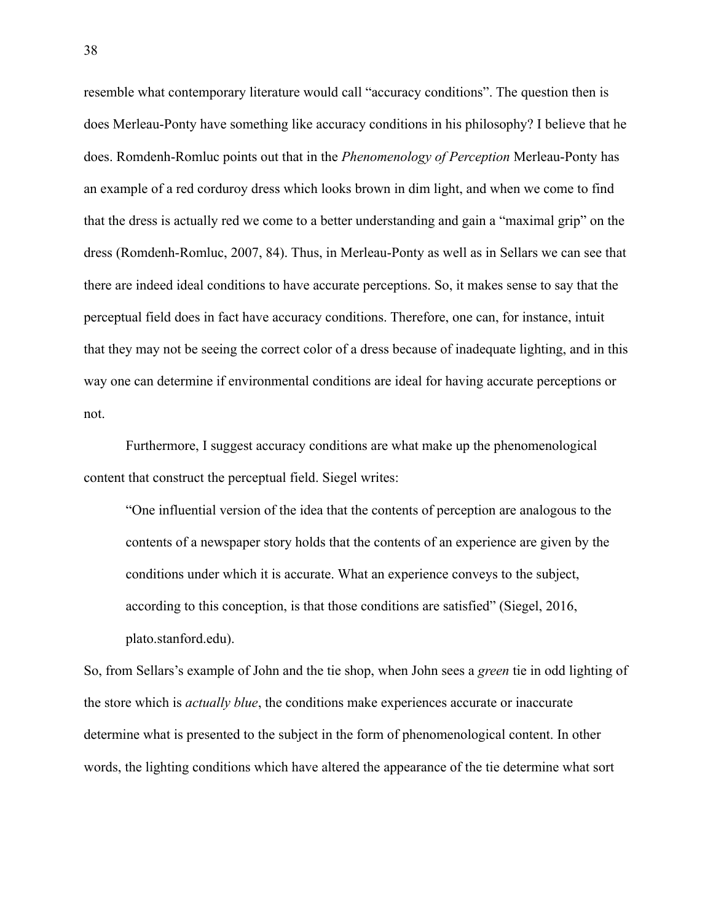resemble what contemporary literature would call "accuracy conditions". The question then is does Merleau-Ponty have something like accuracy conditions in his philosophy? I believe that he does. Romdenh-Romluc points out that in the *Phenomenology of Perception* Merleau-Ponty has an example of a red corduroy dress which looks brown in dim light, and when we come to find that the dress is actually red we come to a better understanding and gain a "maximal grip" on the dress (Romdenh-Romluc, 2007, 84). Thus, in Merleau-Ponty as well as in Sellars we can see that there are indeed ideal conditions to have accurate perceptions. So, it makes sense to say that the perceptual field does in fact have accuracy conditions. Therefore, one can, for instance, intuit that they may not be seeing the correct color of a dress because of inadequate lighting, and in this way one can determine if environmental conditions are ideal for having accurate perceptions or not.

Furthermore, I suggest accuracy conditions are what make up the phenomenological content that construct the perceptual field. Siegel writes:

"One influential version of the idea that the contents of perception are analogous to the contents of a newspaper story holds that the contents of an experience are given by the conditions under which it is accurate. What an experience conveys to the subject, according to this conception, is that those conditions are satisfied" (Siegel, 2016, plato.stanford.edu).

So, from Sellars's example of John and the tie shop, when John sees a *green* tie in odd lighting of the store which is *actually blue*, the conditions make experiences accurate or inaccurate determine what is presented to the subject in the form of phenomenological content. In other words, the lighting conditions which have altered the appearance of the tie determine what sort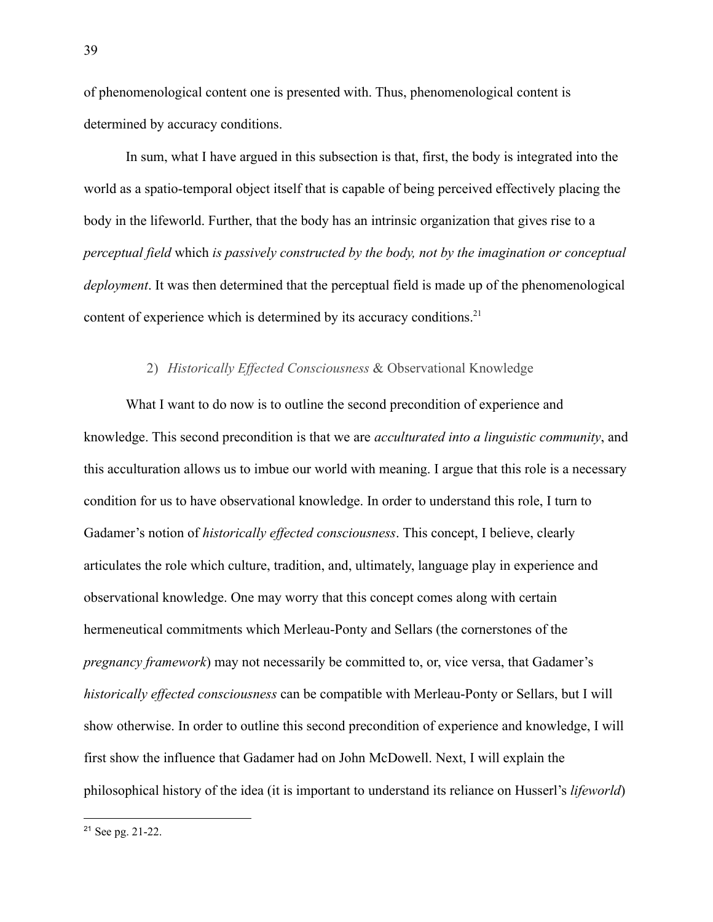of phenomenological content one is presented with. Thus, phenomenological content is determined by accuracy conditions.

In sum, what I have argued in this subsection is that, first, the body is integrated into the world as a spatio-temporal object itself that is capable of being perceived effectively placing the body in the lifeworld. Further, that the body has an intrinsic organization that gives rise to a *perceptual field* which *is passively constructed by the body, not by the imagination or conceptual deployment*. It was then determined that the perceptual field is made up of the phenomenological content of experience which is determined by its accuracy conditions.<sup>21</sup>

# 2) *Historically Effected Consciousness* & Observational Knowledge

What I want to do now is to outline the second precondition of experience and knowledge. This second precondition is that we are *acculturated into a linguistic community*, and this acculturation allows us to imbue our world with meaning. I argue that this role is a necessary condition for us to have observational knowledge. In order to understand this role, I turn to Gadamer's notion of *historically effected consciousness*. This concept, I believe, clearly articulates the role which culture, tradition, and, ultimately, language play in experience and observational knowledge. One may worry that this concept comes along with certain hermeneutical commitments which Merleau-Ponty and Sellars (the cornerstones of the *pregnancy framework*) may not necessarily be committed to, or, vice versa, that Gadamer's *historically effected consciousness* can be compatible with Merleau-Ponty or Sellars, but I will show otherwise. In order to outline this second precondition of experience and knowledge, I will first show the influence that Gadamer had on John McDowell. Next, I will explain the philosophical history of the idea (it is important to understand its reliance on Husserl's *lifeworld*)

<sup>21</sup> See pg. 21-22.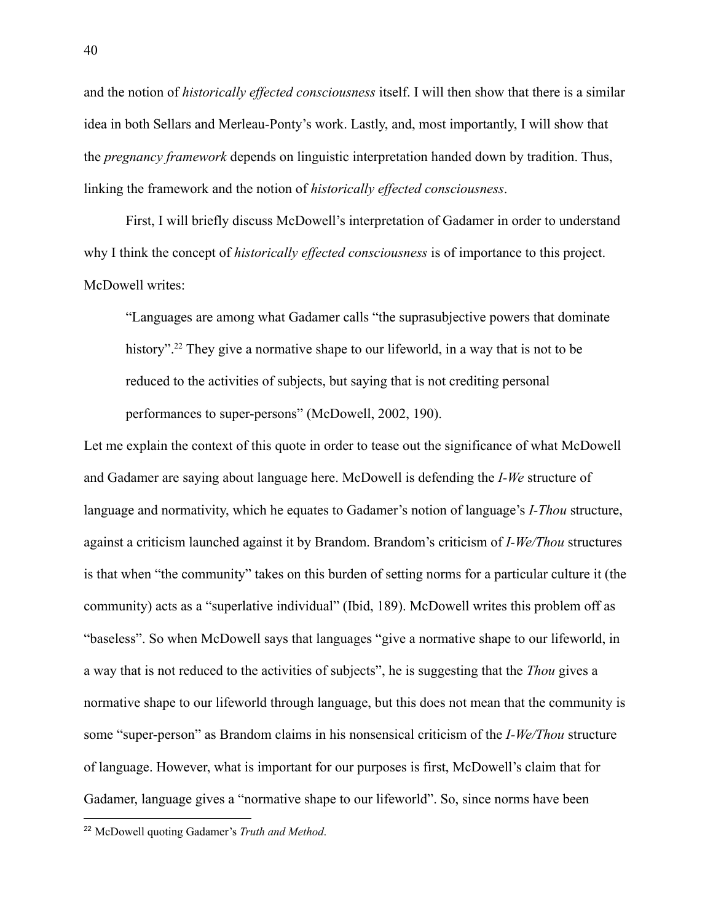and the notion of *historically effected consciousness* itself. I will then show that there is a similar idea in both Sellars and Merleau-Ponty's work. Lastly, and, most importantly, I will show that the *pregnancy framework* depends on linguistic interpretation handed down by tradition. Thus, linking the framework and the notion of *historically effected consciousness*.

First, I will briefly discuss McDowell's interpretation of Gadamer in order to understand why I think the concept of *historically effected consciousness* is of importance to this project. McDowell writes:

"Languages are among what Gadamer calls "the suprasubjective powers that dominate history"<sup>22</sup> They give a normative shape to our lifeworld, in a way that is not to be reduced to the activities of subjects, but saying that is not crediting personal performances to super-persons" (McDowell, 2002, 190).

Let me explain the context of this quote in order to tease out the significance of what McDowell and Gadamer are saying about language here. McDowell is defending the *I-We* structure of language and normativity, which he equates to Gadamer's notion of language's *I-Thou* structure, against a criticism launched against it by Brandom. Brandom's criticism of *I-We/Thou* structures is that when "the community" takes on this burden of setting norms for a particular culture it (the community) acts as a "superlative individual" (Ibid, 189). McDowell writes this problem off as "baseless". So when McDowell says that languages "give a normative shape to our lifeworld, in a way that is not reduced to the activities of subjects", he is suggesting that the *Thou* gives a normative shape to our lifeworld through language, but this does not mean that the community is some "super-person" as Brandom claims in his nonsensical criticism of the *I-We/Thou* structure of language. However, what is important for our purposes is first, McDowell's claim that for Gadamer, language gives a "normative shape to our lifeworld". So, since norms have been

<sup>22</sup> McDowell quoting Gadamer's *Truth and Method*.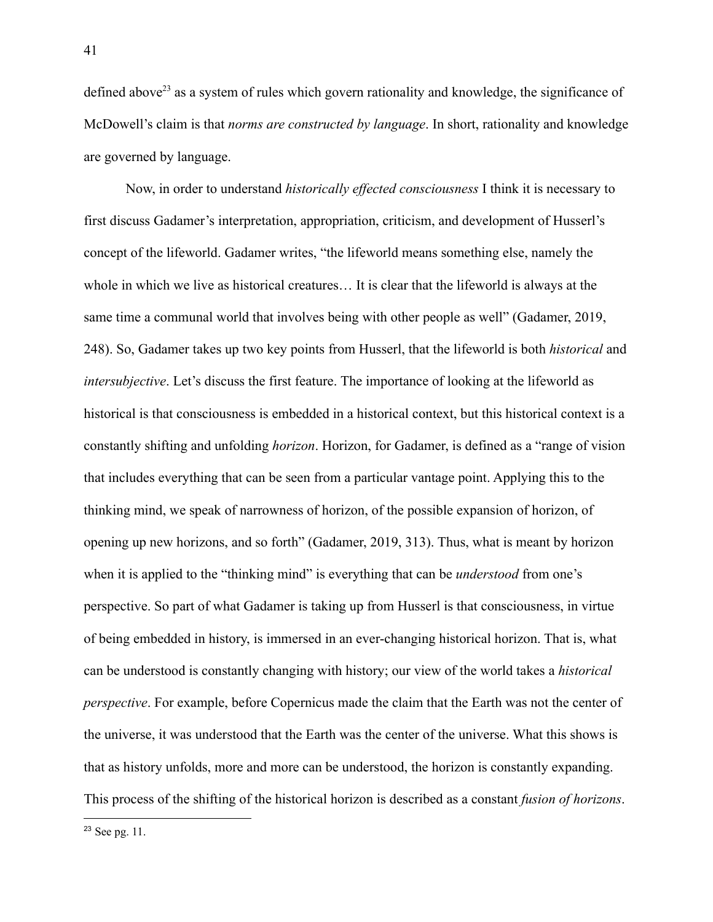defined above<sup>23</sup> as a system of rules which govern rationality and knowledge, the significance of McDowell's claim is that *norms are constructed by language*. In short, rationality and knowledge are governed by language.

Now, in order to understand *historically effected consciousness* I think it is necessary to first discuss Gadamer's interpretation, appropriation, criticism, and development of Husserl's concept of the lifeworld. Gadamer writes, "the lifeworld means something else, namely the whole in which we live as historical creatures… It is clear that the lifeworld is always at the same time a communal world that involves being with other people as well" (Gadamer, 2019, 248). So, Gadamer takes up two key points from Husserl, that the lifeworld is both *historical* and *intersubjective*. Let's discuss the first feature. The importance of looking at the lifeworld as historical is that consciousness is embedded in a historical context, but this historical context is a constantly shifting and unfolding *horizon*. Horizon, for Gadamer, is defined as a "range of vision that includes everything that can be seen from a particular vantage point. Applying this to the thinking mind, we speak of narrowness of horizon, of the possible expansion of horizon, of opening up new horizons, and so forth" (Gadamer, 2019, 313). Thus, what is meant by horizon when it is applied to the "thinking mind" is everything that can be *understood* from one's perspective. So part of what Gadamer is taking up from Husserl is that consciousness, in virtue of being embedded in history, is immersed in an ever-changing historical horizon. That is, what can be understood is constantly changing with history; our view of the world takes a *historical perspective*. For example, before Copernicus made the claim that the Earth was not the center of the universe, it was understood that the Earth was the center of the universe. What this shows is that as history unfolds, more and more can be understood, the horizon is constantly expanding. This process of the shifting of the historical horizon is described as a constant *fusion of horizons*.

<sup>23</sup> See pg. 11.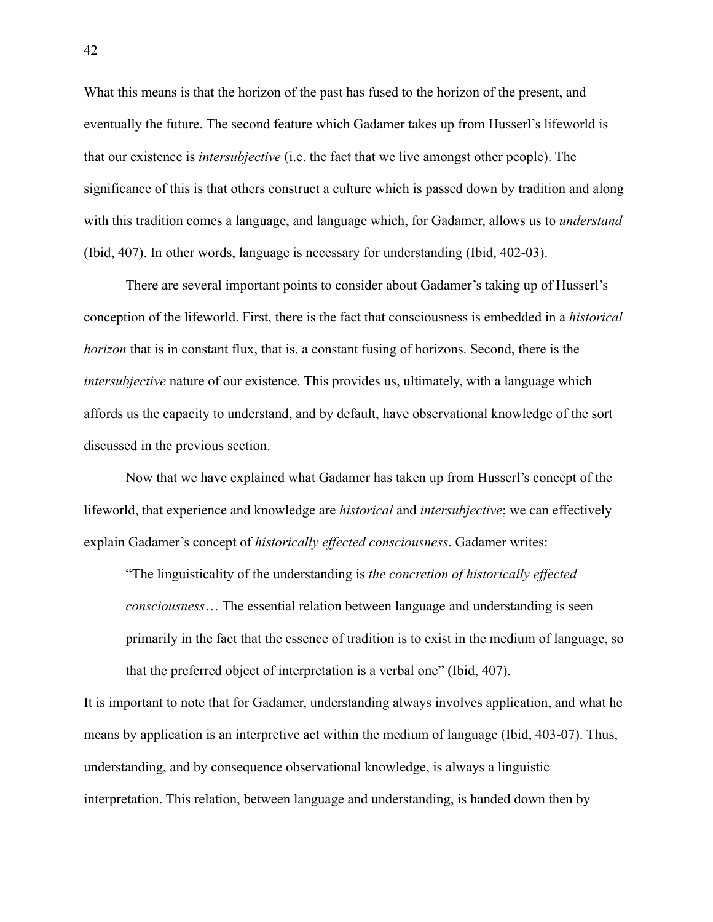What this means is that the horizon of the past has fused to the horizon of the present, and eventually the future. The second feature which Gadamer takes up from Husserl's lifeworld is that our existence is *intersubjective* (i.e. the fact that we live amongst other people). The significance of this is that others construct a culture which is passed down by tradition and along with this tradition comes a language, and language which, for Gadamer, allows us to *understand* (Ibid, 407). In other words, language is necessary for understanding (Ibid, 402-03).

There are several important points to consider about Gadamer's taking up of Husserl's conception of the lifeworld. First, there is the fact that consciousness is embedded in a *historical horizon* that is in constant flux, that is, a constant fusing of horizons. Second, there is the *intersubjective* nature of our existence. This provides us, ultimately, with a language which affords us the capacity to understand, and by default, have observational knowledge of the sort discussed in the previous section.

Now that we have explained what Gadamer has taken up from Husserl's concept of the lifeworld, that experience and knowledge are *historical* and *intersubjective*; we can effectively explain Gadamer's concept of *historically effected consciousness*. Gadamer writes:

"The linguisticality of the understanding is *the concretion of historically effected consciousness*… The essential relation between language and understanding is seen primarily in the fact that the essence of tradition is to exist in the medium of language, so that the preferred object of interpretation is a verbal one" (Ibid, 407).

It is important to note that for Gadamer, understanding always involves application, and what he means by application is an interpretive act within the medium of language (Ibid, 403-07). Thus, understanding, and by consequence observational knowledge, is always a linguistic interpretation. This relation, between language and understanding, is handed down then by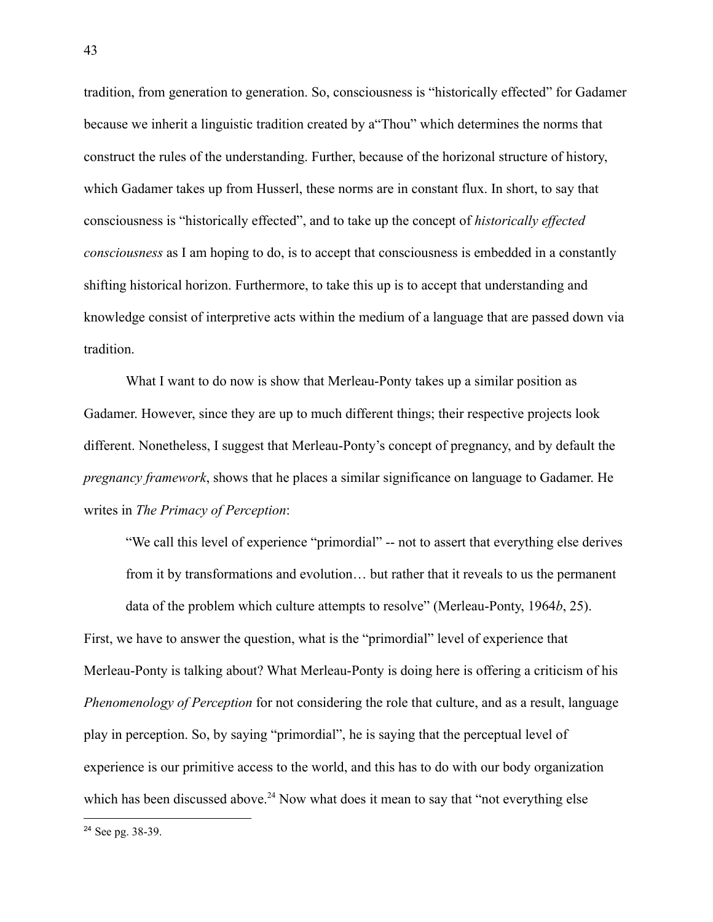tradition, from generation to generation. So, consciousness is "historically effected" for Gadamer because we inherit a linguistic tradition created by a"Thou" which determines the norms that construct the rules of the understanding. Further, because of the horizonal structure of history, which Gadamer takes up from Husserl, these norms are in constant flux. In short, to say that consciousness is "historically effected", and to take up the concept of *historically effected consciousness* as I am hoping to do, is to accept that consciousness is embedded in a constantly shifting historical horizon. Furthermore, to take this up is to accept that understanding and knowledge consist of interpretive acts within the medium of a language that are passed down via tradition.

What I want to do now is show that Merleau-Ponty takes up a similar position as Gadamer. However, since they are up to much different things; their respective projects look different. Nonetheless, I suggest that Merleau-Ponty's concept of pregnancy, and by default the *pregnancy framework*, shows that he places a similar significance on language to Gadamer. He writes in *The Primacy of Perception*:

"We call this level of experience "primordial" -- not to assert that everything else derives from it by transformations and evolution… but rather that it reveals to us the permanent data of the problem which culture attempts to resolve" (Merleau-Ponty, 1964*b*, 25). First, we have to answer the question, what is the "primordial" level of experience that Merleau-Ponty is talking about? What Merleau-Ponty is doing here is offering a criticism of his *Phenomenology of Perception* for not considering the role that culture, and as a result, language play in perception. So, by saying "primordial", he is saying that the perceptual level of experience is our primitive access to the world, and this has to do with our body organization which has been discussed above.<sup>24</sup> Now what does it mean to say that "not everything else

<sup>24</sup> See pg. 38-39.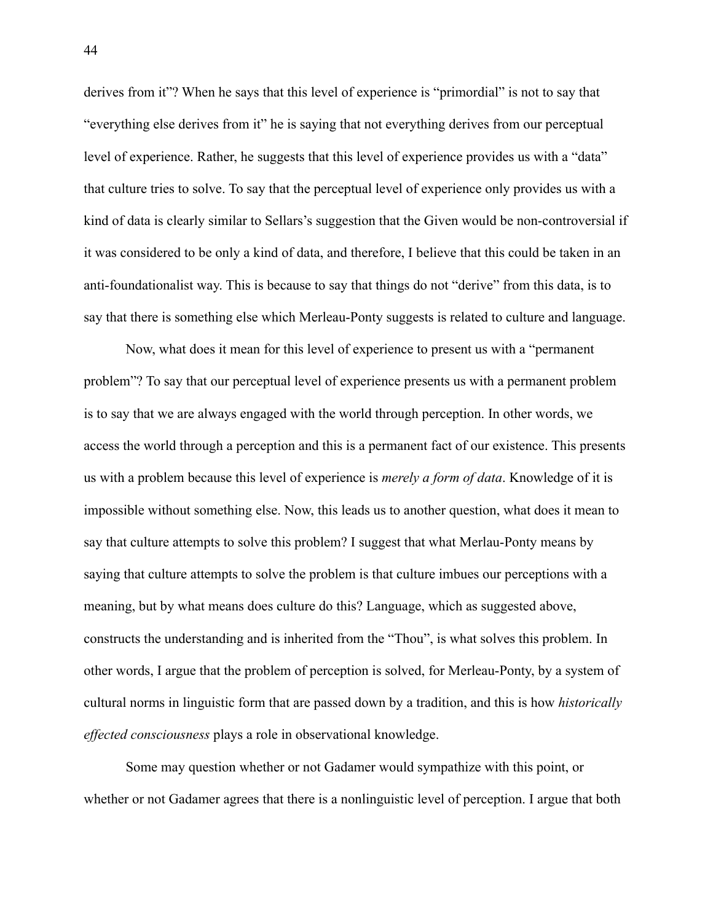derives from it"? When he says that this level of experience is "primordial" is not to say that "everything else derives from it" he is saying that not everything derives from our perceptual level of experience. Rather, he suggests that this level of experience provides us with a "data" that culture tries to solve. To say that the perceptual level of experience only provides us with a kind of data is clearly similar to Sellars's suggestion that the Given would be non-controversial if it was considered to be only a kind of data, and therefore, I believe that this could be taken in an anti-foundationalist way. This is because to say that things do not "derive" from this data, is to say that there is something else which Merleau-Ponty suggests is related to culture and language.

Now, what does it mean for this level of experience to present us with a "permanent problem"? To say that our perceptual level of experience presents us with a permanent problem is to say that we are always engaged with the world through perception. In other words, we access the world through a perception and this is a permanent fact of our existence. This presents us with a problem because this level of experience is *merely a form of data*. Knowledge of it is impossible without something else. Now, this leads us to another question, what does it mean to say that culture attempts to solve this problem? I suggest that what Merlau-Ponty means by saying that culture attempts to solve the problem is that culture imbues our perceptions with a meaning, but by what means does culture do this? Language, which as suggested above, constructs the understanding and is inherited from the "Thou", is what solves this problem. In other words, I argue that the problem of perception is solved, for Merleau-Ponty, by a system of cultural norms in linguistic form that are passed down by a tradition, and this is how *historically effected consciousness* plays a role in observational knowledge.

Some may question whether or not Gadamer would sympathize with this point, or whether or not Gadamer agrees that there is a nonlinguistic level of perception. I argue that both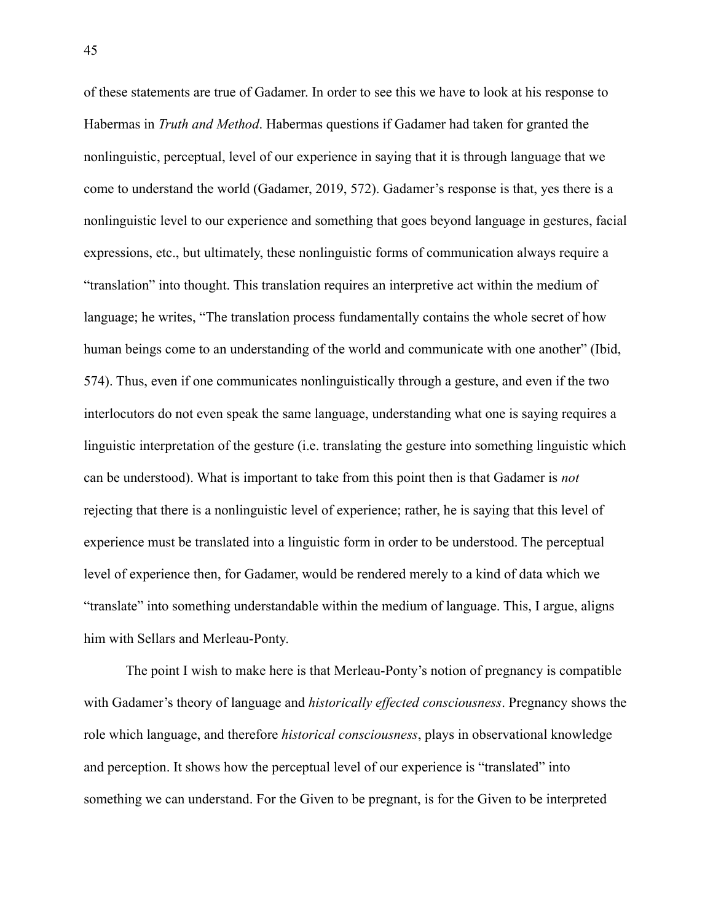of these statements are true of Gadamer. In order to see this we have to look at his response to Habermas in *Truth and Method*. Habermas questions if Gadamer had taken for granted the nonlinguistic, perceptual, level of our experience in saying that it is through language that we come to understand the world (Gadamer, 2019, 572). Gadamer's response is that, yes there is a nonlinguistic level to our experience and something that goes beyond language in gestures, facial expressions, etc., but ultimately, these nonlinguistic forms of communication always require a "translation" into thought. This translation requires an interpretive act within the medium of language; he writes, "The translation process fundamentally contains the whole secret of how human beings come to an understanding of the world and communicate with one another" (Ibid, 574). Thus, even if one communicates nonlinguistically through a gesture, and even if the two interlocutors do not even speak the same language, understanding what one is saying requires a linguistic interpretation of the gesture (i.e. translating the gesture into something linguistic which can be understood). What is important to take from this point then is that Gadamer is *not* rejecting that there is a nonlinguistic level of experience; rather, he is saying that this level of experience must be translated into a linguistic form in order to be understood. The perceptual level of experience then, for Gadamer, would be rendered merely to a kind of data which we "translate" into something understandable within the medium of language. This, I argue, aligns him with Sellars and Merleau-Ponty.

The point I wish to make here is that Merleau-Ponty's notion of pregnancy is compatible with Gadamer's theory of language and *historically effected consciousness*. Pregnancy shows the role which language, and therefore *historical consciousness*, plays in observational knowledge and perception. It shows how the perceptual level of our experience is "translated" into something we can understand. For the Given to be pregnant, is for the Given to be interpreted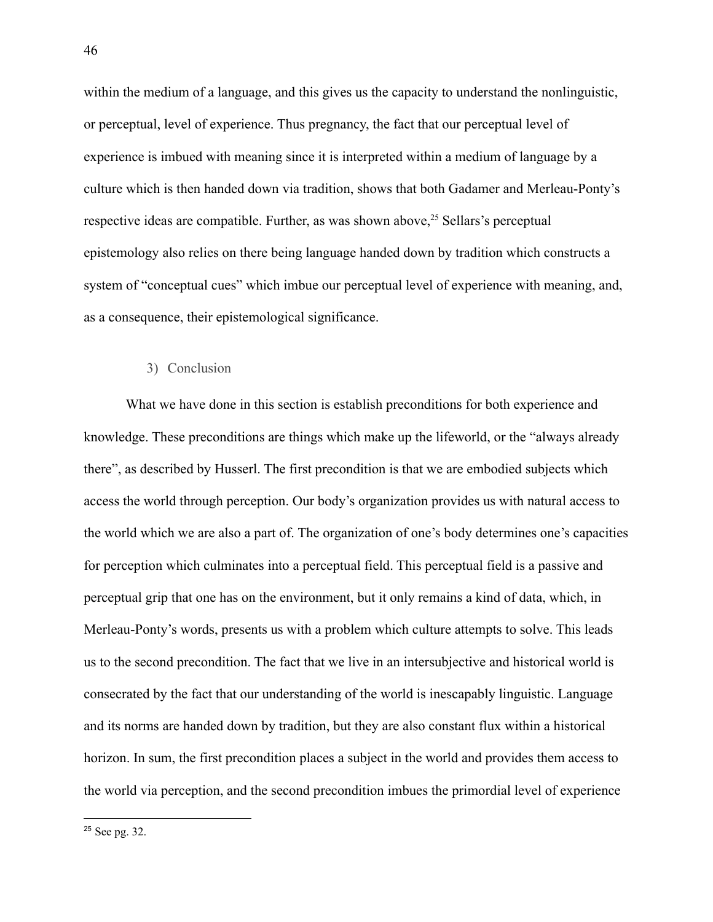within the medium of a language, and this gives us the capacity to understand the nonlinguistic, or perceptual, level of experience. Thus pregnancy, the fact that our perceptual level of experience is imbued with meaning since it is interpreted within a medium of language by a culture which is then handed down via tradition, shows that both Gadamer and Merleau-Ponty's respective ideas are compatible. Further, as was shown above,  $25$  Sellars's perceptual epistemology also relies on there being language handed down by tradition which constructs a system of "conceptual cues" which imbue our perceptual level of experience with meaning, and, as a consequence, their epistemological significance.

# 3) Conclusion

What we have done in this section is establish preconditions for both experience and knowledge. These preconditions are things which make up the lifeworld, or the "always already there", as described by Husserl. The first precondition is that we are embodied subjects which access the world through perception. Our body's organization provides us with natural access to the world which we are also a part of. The organization of one's body determines one's capacities for perception which culminates into a perceptual field. This perceptual field is a passive and perceptual grip that one has on the environment, but it only remains a kind of data, which, in Merleau-Ponty's words, presents us with a problem which culture attempts to solve. This leads us to the second precondition. The fact that we live in an intersubjective and historical world is consecrated by the fact that our understanding of the world is inescapably linguistic. Language and its norms are handed down by tradition, but they are also constant flux within a historical horizon. In sum, the first precondition places a subject in the world and provides them access to the world via perception, and the second precondition imbues the primordial level of experience

<sup>25</sup> See pg. 32.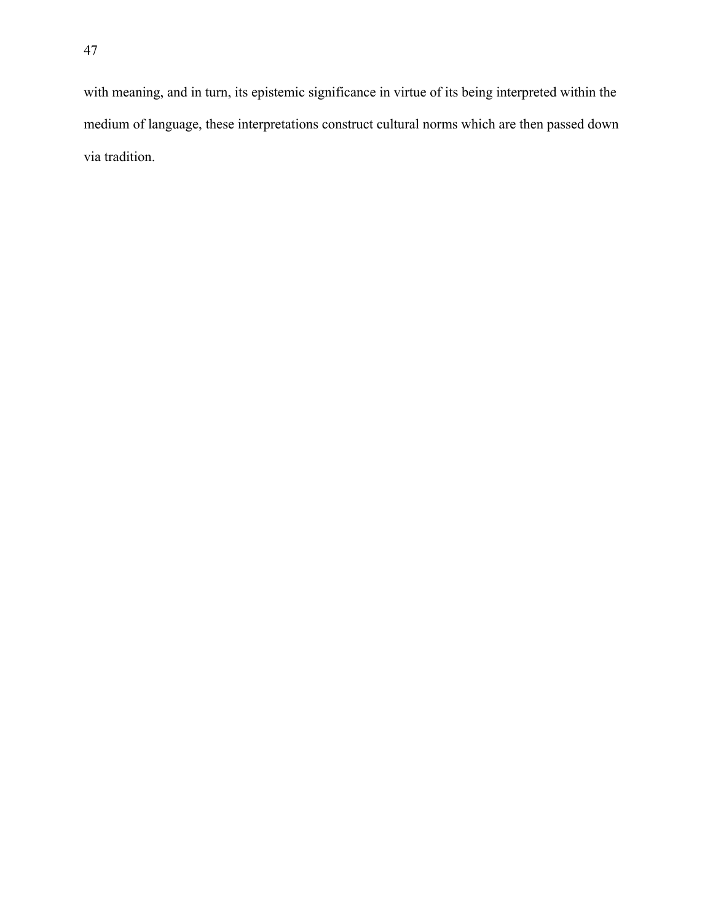with meaning, and in turn, its epistemic significance in virtue of its being interpreted within the medium of language, these interpretations construct cultural norms which are then passed down via tradition.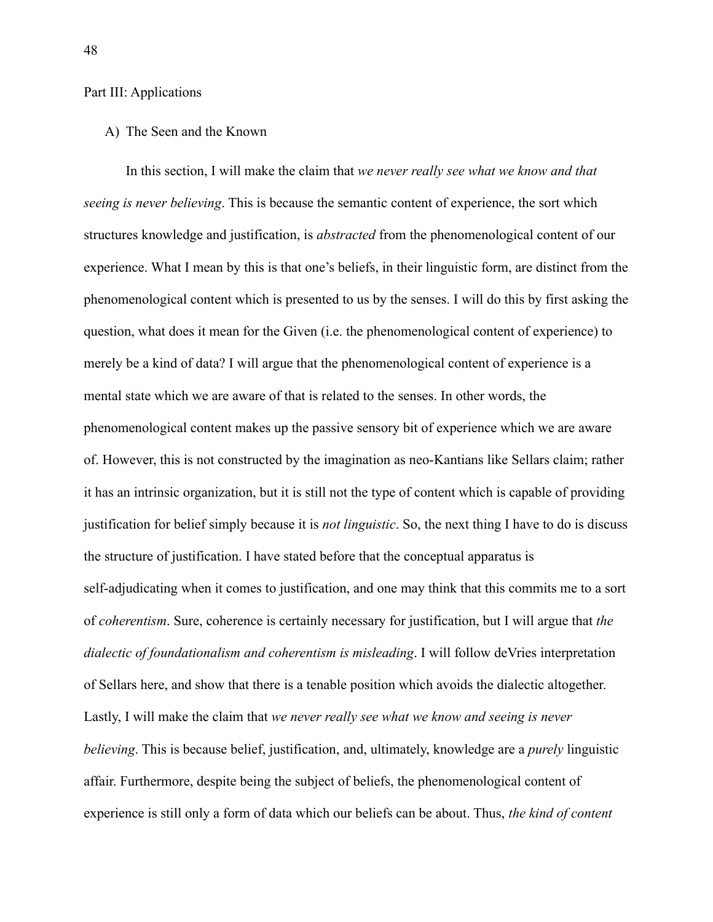# Part III: Applications

A) The Seen and the Known

In this section, I will make the claim that *we never really see what we know and that seeing is never believing*. This is because the semantic content of experience, the sort which structures knowledge and justification, is *abstracted* from the phenomenological content of our experience. What I mean by this is that one's beliefs, in their linguistic form, are distinct from the phenomenological content which is presented to us by the senses. I will do this by first asking the question, what does it mean for the Given (i.e. the phenomenological content of experience) to merely be a kind of data? I will argue that the phenomenological content of experience is a mental state which we are aware of that is related to the senses. In other words, the phenomenological content makes up the passive sensory bit of experience which we are aware of. However, this is not constructed by the imagination as neo-Kantians like Sellars claim; rather it has an intrinsic organization, but it is still not the type of content which is capable of providing justification for belief simply because it is *not linguistic*. So, the next thing I have to do is discuss the structure of justification. I have stated before that the conceptual apparatus is self-adjudicating when it comes to justification, and one may think that this commits me to a sort of *coherentism*. Sure, coherence is certainly necessary for justification, but I will argue that *the dialectic of foundationalism and coherentism is misleading*. I will follow deVries interpretation of Sellars here, and show that there is a tenable position which avoids the dialectic altogether. Lastly, I will make the claim that *we never really see what we know and seeing is never believing*. This is because belief, justification, and, ultimately, knowledge are a *purely* linguistic affair. Furthermore, despite being the subject of beliefs, the phenomenological content of experience is still only a form of data which our beliefs can be about. Thus, *the kind of content*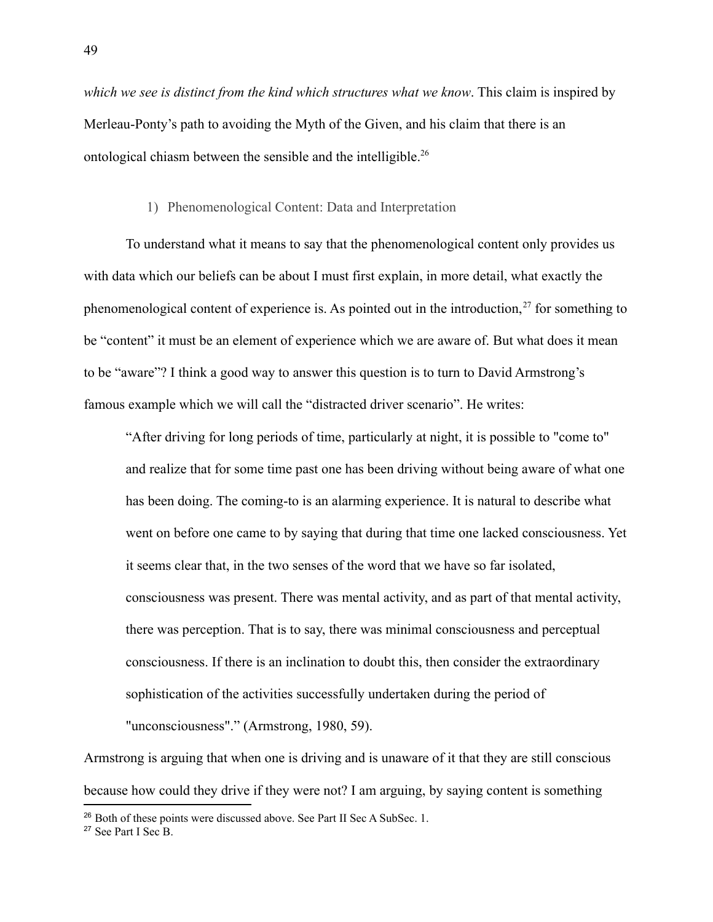*which we see is distinct from the kind which structures what we know*. This claim is inspired by Merleau-Ponty's path to avoiding the Myth of the Given, and his claim that there is an ontological chiasm between the sensible and the intelligible.<sup>26</sup>

## 1) Phenomenological Content: Data and Interpretation

To understand what it means to say that the phenomenological content only provides us with data which our beliefs can be about I must first explain, in more detail, what exactly the phenomenological content of experience is. As pointed out in the introduction, $27$  for something to be "content" it must be an element of experience which we are aware of. But what does it mean to be "aware"? I think a good way to answer this question is to turn to David Armstrong's famous example which we will call the "distracted driver scenario". He writes:

"After driving for long periods of time, particularly at night, it is possible to "come to" and realize that for some time past one has been driving without being aware of what one has been doing. The coming-to is an alarming experience. It is natural to describe what went on before one came to by saying that during that time one lacked consciousness. Yet it seems clear that, in the two senses of the word that we have so far isolated, consciousness was present. There was mental activity, and as part of that mental activity, there was perception. That is to say, there was minimal consciousness and perceptual consciousness. If there is an inclination to doubt this, then consider the extraordinary sophistication of the activities successfully undertaken during the period of "unconsciousness"." (Armstrong, 1980, 59).

Armstrong is arguing that when one is driving and is unaware of it that they are still conscious because how could they drive if they were not? I am arguing, by saying content is something

<sup>&</sup>lt;sup>26</sup> Both of these points were discussed above. See Part II Sec A SubSec. 1.

<sup>27</sup> See Part I Sec B.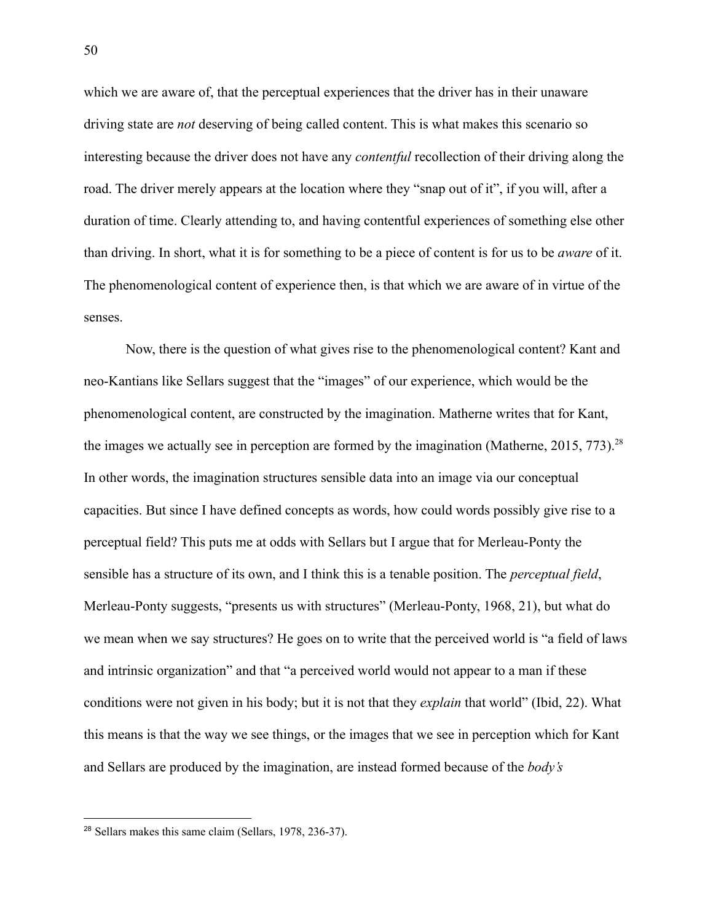which we are aware of, that the perceptual experiences that the driver has in their unaware driving state are *not* deserving of being called content. This is what makes this scenario so interesting because the driver does not have any *contentful* recollection of their driving along the road. The driver merely appears at the location where they "snap out of it", if you will, after a duration of time. Clearly attending to, and having contentful experiences of something else other than driving. In short, what it is for something to be a piece of content is for us to be *aware* of it. The phenomenological content of experience then, is that which we are aware of in virtue of the senses.

Now, there is the question of what gives rise to the phenomenological content? Kant and neo-Kantians like Sellars suggest that the "images" of our experience, which would be the phenomenological content, are constructed by the imagination. Matherne writes that for Kant, the images we actually see in perception are formed by the imagination (Matherne, 2015, 773).<sup>28</sup> In other words, the imagination structures sensible data into an image via our conceptual capacities. But since I have defined concepts as words, how could words possibly give rise to a perceptual field? This puts me at odds with Sellars but I argue that for Merleau-Ponty the sensible has a structure of its own, and I think this is a tenable position. The *perceptual field*, Merleau-Ponty suggests, "presents us with structures" (Merleau-Ponty, 1968, 21), but what do we mean when we say structures? He goes on to write that the perceived world is "a field of laws and intrinsic organization" and that "a perceived world would not appear to a man if these conditions were not given in his body; but it is not that they *explain* that world" (Ibid, 22). What this means is that the way we see things, or the images that we see in perception which for Kant and Sellars are produced by the imagination, are instead formed because of the *body's*

<sup>28</sup> Sellars makes this same claim (Sellars, 1978, 236-37).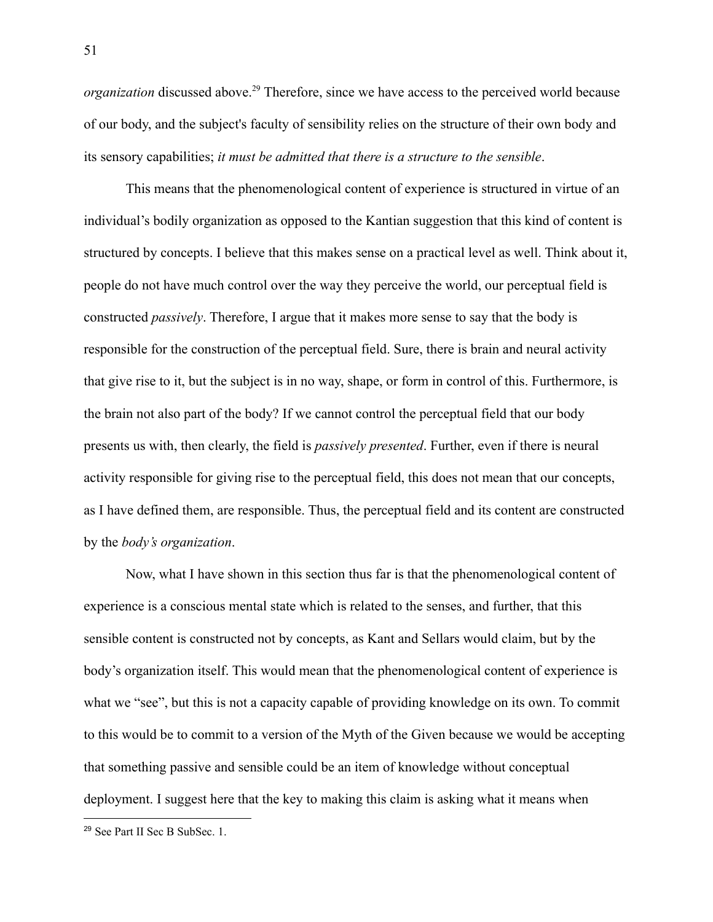*organization* discussed above.<sup>29</sup> Therefore, since we have access to the perceived world because of our body, and the subject's faculty of sensibility relies on the structure of their own body and its sensory capabilities; *it must be admitted that there is a structure to the sensible*.

This means that the phenomenological content of experience is structured in virtue of an individual's bodily organization as opposed to the Kantian suggestion that this kind of content is structured by concepts. I believe that this makes sense on a practical level as well. Think about it, people do not have much control over the way they perceive the world, our perceptual field is constructed *passively*. Therefore, I argue that it makes more sense to say that the body is responsible for the construction of the perceptual field. Sure, there is brain and neural activity that give rise to it, but the subject is in no way, shape, or form in control of this. Furthermore, is the brain not also part of the body? If we cannot control the perceptual field that our body presents us with, then clearly, the field is *passively presented*. Further, even if there is neural activity responsible for giving rise to the perceptual field, this does not mean that our concepts, as I have defined them, are responsible. Thus, the perceptual field and its content are constructed by the *body's organization*.

Now, what I have shown in this section thus far is that the phenomenological content of experience is a conscious mental state which is related to the senses, and further, that this sensible content is constructed not by concepts, as Kant and Sellars would claim, but by the body's organization itself. This would mean that the phenomenological content of experience is what we "see", but this is not a capacity capable of providing knowledge on its own. To commit to this would be to commit to a version of the Myth of the Given because we would be accepting that something passive and sensible could be an item of knowledge without conceptual deployment. I suggest here that the key to making this claim is asking what it means when

<sup>29</sup> See Part II Sec B SubSec. 1.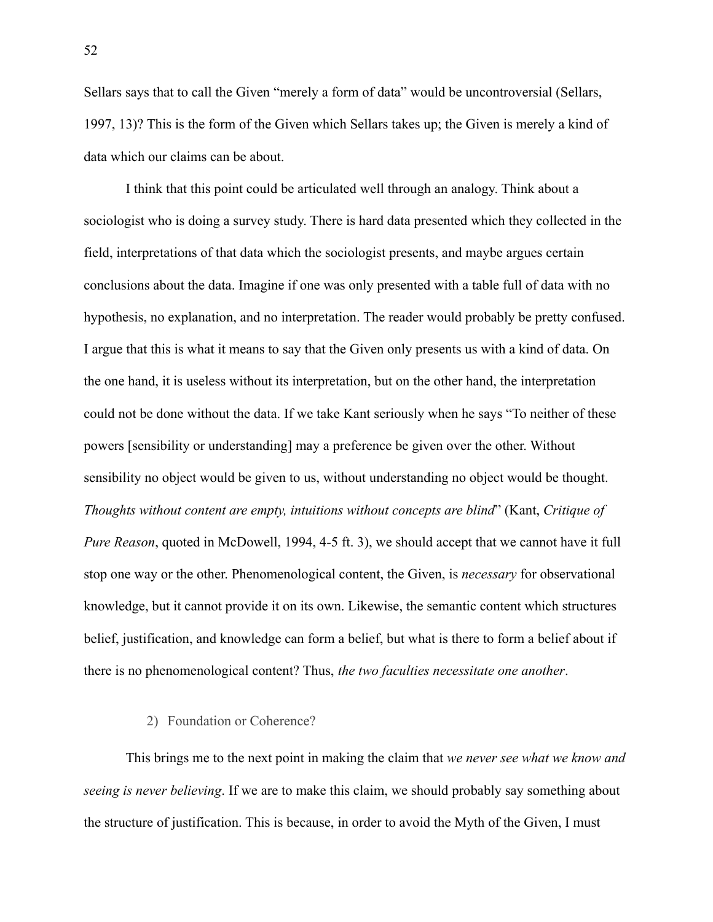Sellars says that to call the Given "merely a form of data" would be uncontroversial (Sellars, 1997, 13)? This is the form of the Given which Sellars takes up; the Given is merely a kind of data which our claims can be about.

I think that this point could be articulated well through an analogy. Think about a sociologist who is doing a survey study. There is hard data presented which they collected in the field, interpretations of that data which the sociologist presents, and maybe argues certain conclusions about the data. Imagine if one was only presented with a table full of data with no hypothesis, no explanation, and no interpretation. The reader would probably be pretty confused. I argue that this is what it means to say that the Given only presents us with a kind of data. On the one hand, it is useless without its interpretation, but on the other hand, the interpretation could not be done without the data. If we take Kant seriously when he says "To neither of these powers [sensibility or understanding] may a preference be given over the other. Without sensibility no object would be given to us, without understanding no object would be thought. *Thoughts without content are empty, intuitions without concepts are blind*" (Kant, *Critique of Pure Reason*, quoted in McDowell, 1994, 4-5 ft. 3), we should accept that we cannot have it full stop one way or the other. Phenomenological content, the Given, is *necessary* for observational knowledge, but it cannot provide it on its own. Likewise, the semantic content which structures belief, justification, and knowledge can form a belief, but what is there to form a belief about if there is no phenomenological content? Thus, *the two faculties necessitate one another*.

#### 2) Foundation or Coherence?

This brings me to the next point in making the claim that *we never see what we know and seeing is never believing*. If we are to make this claim, we should probably say something about the structure of justification. This is because, in order to avoid the Myth of the Given, I must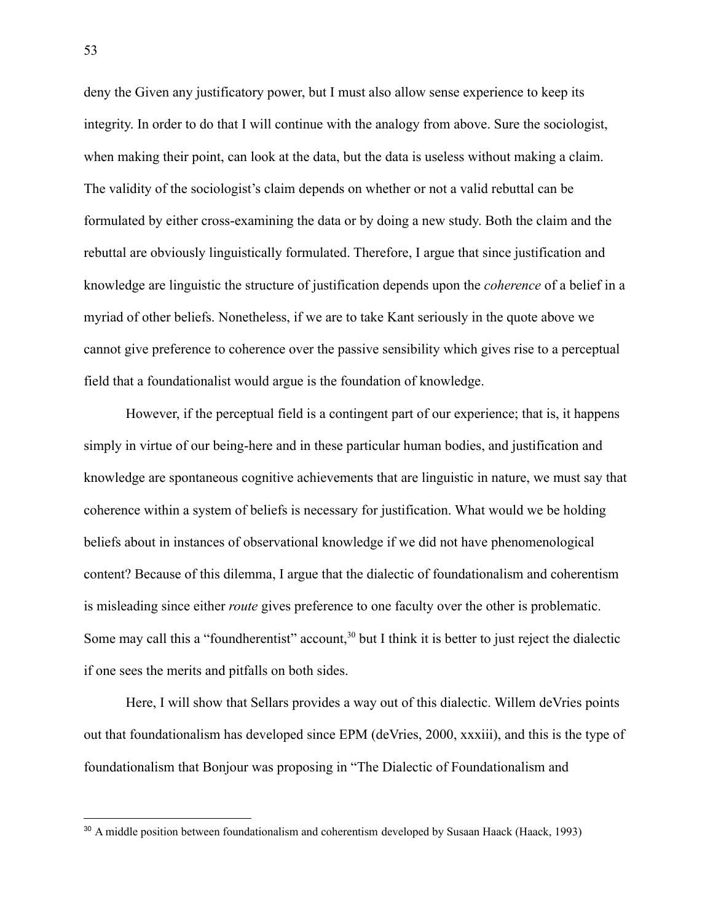deny the Given any justificatory power, but I must also allow sense experience to keep its integrity. In order to do that I will continue with the analogy from above. Sure the sociologist, when making their point, can look at the data, but the data is useless without making a claim. The validity of the sociologist's claim depends on whether or not a valid rebuttal can be formulated by either cross-examining the data or by doing a new study. Both the claim and the rebuttal are obviously linguistically formulated. Therefore, I argue that since justification and knowledge are linguistic the structure of justification depends upon the *coherence* of a belief in a myriad of other beliefs. Nonetheless, if we are to take Kant seriously in the quote above we cannot give preference to coherence over the passive sensibility which gives rise to a perceptual field that a foundationalist would argue is the foundation of knowledge.

However, if the perceptual field is a contingent part of our experience; that is, it happens simply in virtue of our being-here and in these particular human bodies, and justification and knowledge are spontaneous cognitive achievements that are linguistic in nature, we must say that coherence within a system of beliefs is necessary for justification. What would we be holding beliefs about in instances of observational knowledge if we did not have phenomenological content? Because of this dilemma, I argue that the dialectic of foundationalism and coherentism is misleading since either *route* gives preference to one faculty over the other is problematic. Some may call this a "foundherentist" account,<sup>30</sup> but I think it is better to just reject the dialectic if one sees the merits and pitfalls on both sides.

Here, I will show that Sellars provides a way out of this dialectic. Willem deVries points out that foundationalism has developed since EPM (deVries, 2000, xxxiii), and this is the type of foundationalism that Bonjour was proposing in "The Dialectic of Foundationalism and

<sup>&</sup>lt;sup>30</sup> A middle position between foundationalism and coherentism developed by Susaan Haack (Haack, 1993)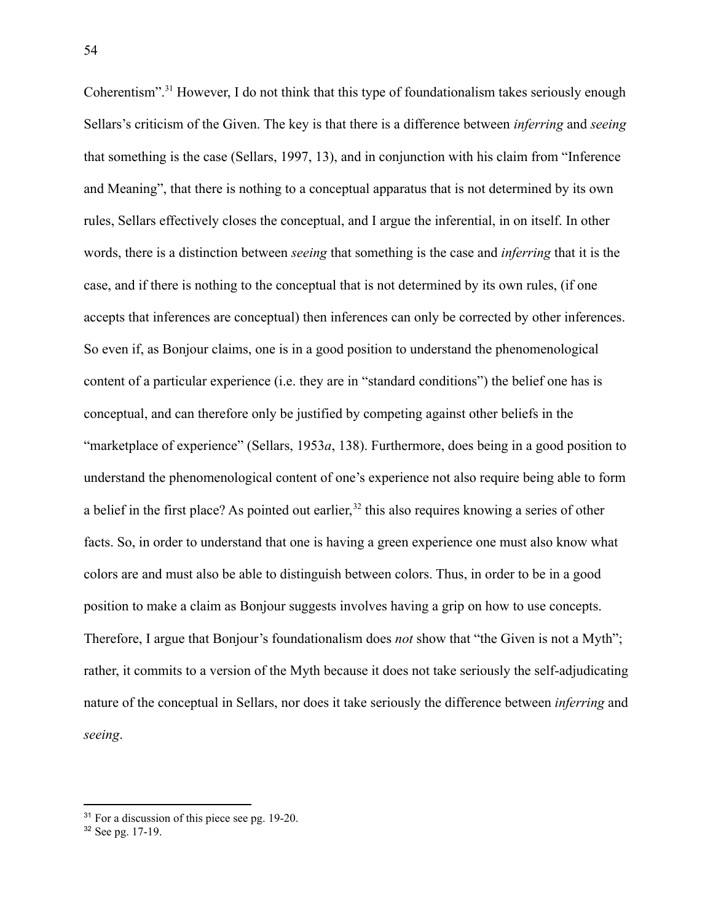Coherentism".<sup>31</sup> However, I do not think that this type of foundationalism takes seriously enough Sellars's criticism of the Given. The key is that there is a difference between *inferring* and *seeing* that something is the case (Sellars, 1997, 13), and in conjunction with his claim from "Inference and Meaning", that there is nothing to a conceptual apparatus that is not determined by its own rules, Sellars effectively closes the conceptual, and I argue the inferential, in on itself. In other words, there is a distinction between *seeing* that something is the case and *inferring* that it is the case, and if there is nothing to the conceptual that is not determined by its own rules, (if one accepts that inferences are conceptual) then inferences can only be corrected by other inferences. So even if, as Bonjour claims, one is in a good position to understand the phenomenological content of a particular experience (i.e. they are in "standard conditions") the belief one has is conceptual, and can therefore only be justified by competing against other beliefs in the "marketplace of experience" (Sellars, 1953*a*, 138). Furthermore, does being in a good position to understand the phenomenological content of one's experience not also require being able to form a belief in the first place? As pointed out earlier,<sup>32</sup> this also requires knowing a series of other facts. So, in order to understand that one is having a green experience one must also know what colors are and must also be able to distinguish between colors. Thus, in order to be in a good position to make a claim as Bonjour suggests involves having a grip on how to use concepts. Therefore, I argue that Bonjour's foundationalism does *not* show that "the Given is not a Myth"; rather, it commits to a version of the Myth because it does not take seriously the self-adjudicating nature of the conceptual in Sellars, nor does it take seriously the difference between *inferring* and *seeing*.

<sup>&</sup>lt;sup>31</sup> For a discussion of this piece see pg. 19-20.

<sup>32</sup> See pg. 17-19.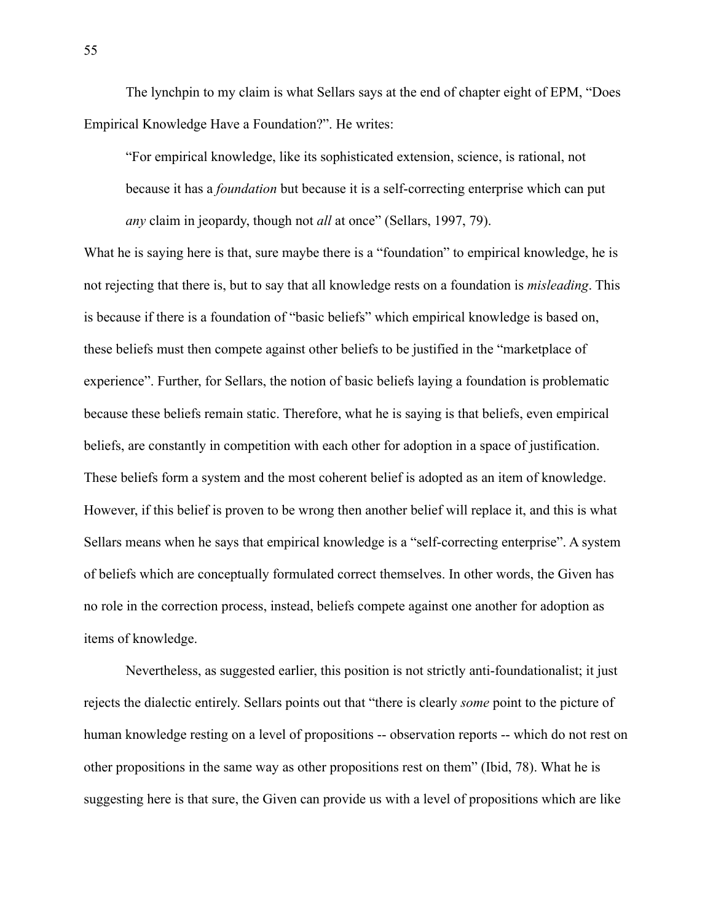The lynchpin to my claim is what Sellars says at the end of chapter eight of EPM, "Does Empirical Knowledge Have a Foundation?". He writes:

"For empirical knowledge, like its sophisticated extension, science, is rational, not because it has a *foundation* but because it is a self-correcting enterprise which can put *any* claim in jeopardy, though not *all* at once" (Sellars, 1997, 79).

What he is saying here is that, sure maybe there is a "foundation" to empirical knowledge, he is not rejecting that there is, but to say that all knowledge rests on a foundation is *misleading*. This is because if there is a foundation of "basic beliefs" which empirical knowledge is based on, these beliefs must then compete against other beliefs to be justified in the "marketplace of experience". Further, for Sellars, the notion of basic beliefs laying a foundation is problematic because these beliefs remain static. Therefore, what he is saying is that beliefs, even empirical beliefs, are constantly in competition with each other for adoption in a space of justification. These beliefs form a system and the most coherent belief is adopted as an item of knowledge. However, if this belief is proven to be wrong then another belief will replace it, and this is what Sellars means when he says that empirical knowledge is a "self-correcting enterprise". A system of beliefs which are conceptually formulated correct themselves. In other words, the Given has no role in the correction process, instead, beliefs compete against one another for adoption as items of knowledge.

Nevertheless, as suggested earlier, this position is not strictly anti-foundationalist; it just rejects the dialectic entirely. Sellars points out that "there is clearly *some* point to the picture of human knowledge resting on a level of propositions -- observation reports -- which do not rest on other propositions in the same way as other propositions rest on them" (Ibid, 78). What he is suggesting here is that sure, the Given can provide us with a level of propositions which are like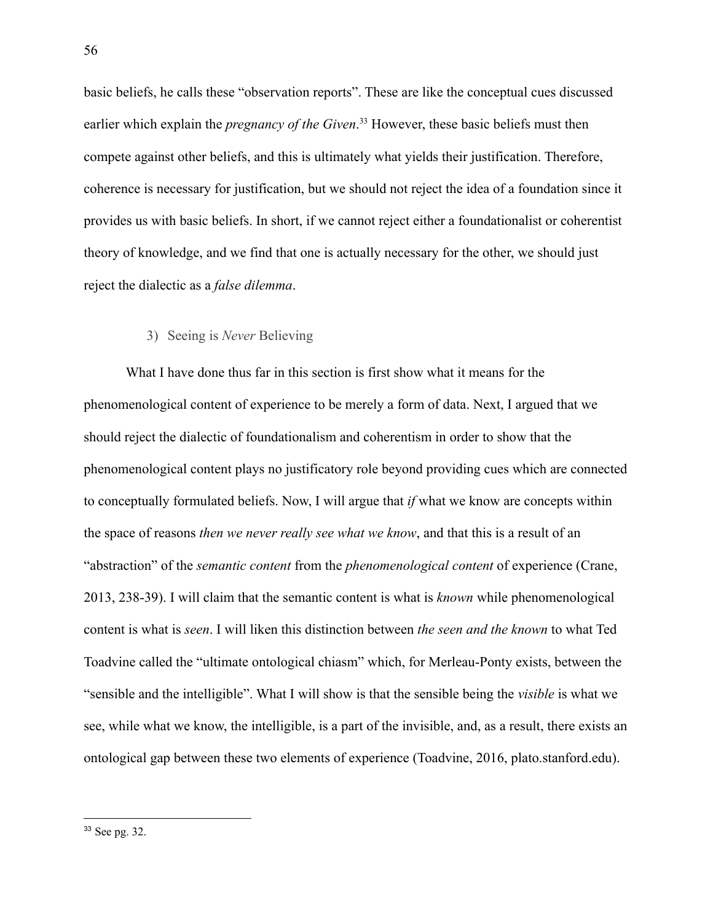basic beliefs, he calls these "observation reports". These are like the conceptual cues discussed earlier which explain the *pregnancy of the Given*. <sup>33</sup> However, these basic beliefs must then compete against other beliefs, and this is ultimately what yields their justification. Therefore, coherence is necessary for justification, but we should not reject the idea of a foundation since it provides us with basic beliefs. In short, if we cannot reject either a foundationalist or coherentist theory of knowledge, and we find that one is actually necessary for the other, we should just reject the dialectic as a *false dilemma*.

# 3) Seeing is *Never* Believing

What I have done thus far in this section is first show what it means for the phenomenological content of experience to be merely a form of data. Next, I argued that we should reject the dialectic of foundationalism and coherentism in order to show that the phenomenological content plays no justificatory role beyond providing cues which are connected to conceptually formulated beliefs. Now, I will argue that *if* what we know are concepts within the space of reasons *then we never really see what we know*, and that this is a result of an "abstraction" of the *semantic content* from the *phenomenological content* of experience (Crane, 2013, 238-39). I will claim that the semantic content is what is *known* while phenomenological content is what is *seen*. I will liken this distinction between *the seen and the known* to what Ted Toadvine called the "ultimate ontological chiasm" which, for Merleau-Ponty exists, between the "sensible and the intelligible". What I will show is that the sensible being the *visible* is what we see, while what we know, the intelligible, is a part of the invisible, and, as a result, there exists an ontological gap between these two elements of experience (Toadvine, 2016, plato.stanford.edu).

<sup>33</sup> See pg. 32.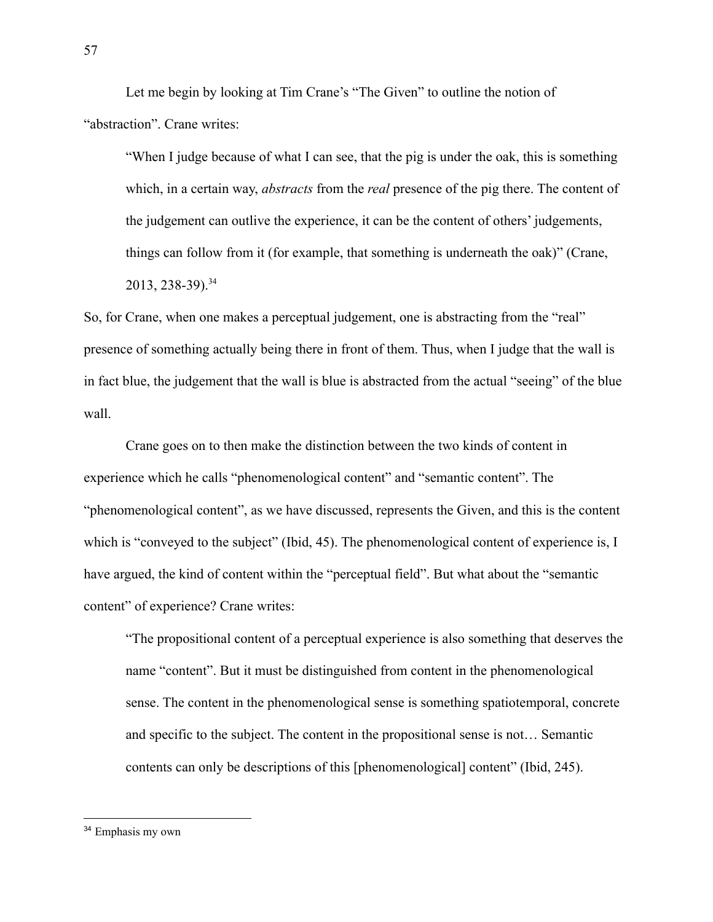Let me begin by looking at Tim Crane's "The Given" to outline the notion of "abstraction". Crane writes:

"When I judge because of what I can see, that the pig is under the oak, this is something which, in a certain way, *abstracts* from the *real* presence of the pig there. The content of the judgement can outlive the experience, it can be the content of others' judgements, things can follow from it (for example, that something is underneath the oak)" (Crane,  $2013, 238-39$ <sup>34</sup>

So, for Crane, when one makes a perceptual judgement, one is abstracting from the "real" presence of something actually being there in front of them. Thus, when I judge that the wall is in fact blue, the judgement that the wall is blue is abstracted from the actual "seeing" of the blue wall.

Crane goes on to then make the distinction between the two kinds of content in experience which he calls "phenomenological content" and "semantic content". The "phenomenological content", as we have discussed, represents the Given, and this is the content which is "conveyed to the subject" (Ibid, 45). The phenomenological content of experience is, I have argued, the kind of content within the "perceptual field". But what about the "semantic content" of experience? Crane writes:

"The propositional content of a perceptual experience is also something that deserves the name "content". But it must be distinguished from content in the phenomenological sense. The content in the phenomenological sense is something spatiotemporal, concrete and specific to the subject. The content in the propositional sense is not… Semantic contents can only be descriptions of this [phenomenological] content" (Ibid, 245).

<sup>34</sup> Emphasis my own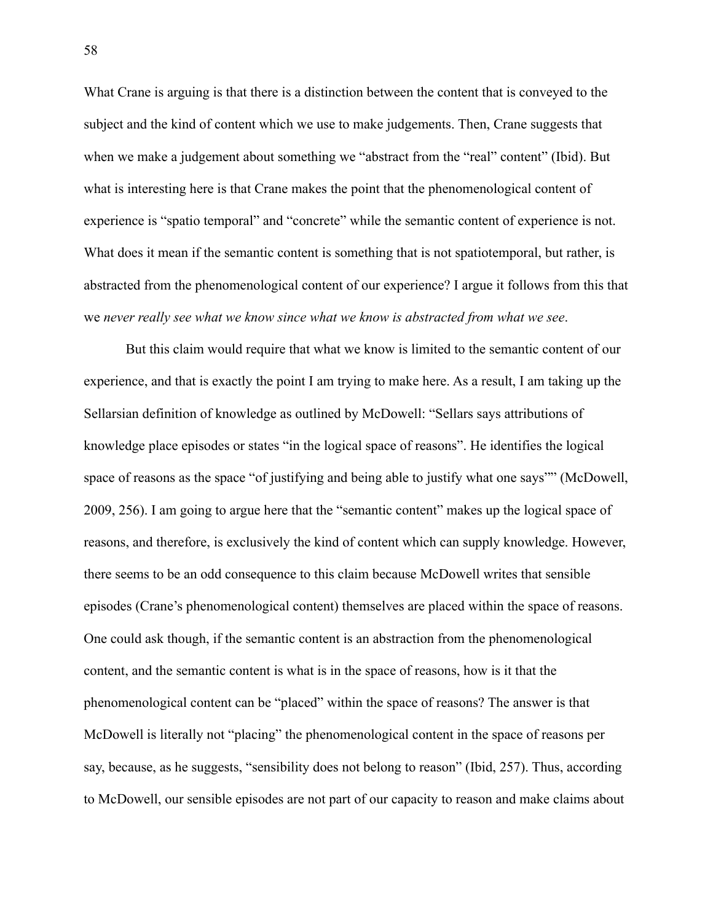What Crane is arguing is that there is a distinction between the content that is conveyed to the subject and the kind of content which we use to make judgements. Then, Crane suggests that when we make a judgement about something we "abstract from the "real" content" (Ibid). But what is interesting here is that Crane makes the point that the phenomenological content of experience is "spatio temporal" and "concrete" while the semantic content of experience is not. What does it mean if the semantic content is something that is not spatiotemporal, but rather, is abstracted from the phenomenological content of our experience? I argue it follows from this that we *never really see what we know since what we know is abstracted from what we see*.

But this claim would require that what we know is limited to the semantic content of our experience, and that is exactly the point I am trying to make here. As a result, I am taking up the Sellarsian definition of knowledge as outlined by McDowell: "Sellars says attributions of knowledge place episodes or states "in the logical space of reasons". He identifies the logical space of reasons as the space "of justifying and being able to justify what one says"" (McDowell, 2009, 256). I am going to argue here that the "semantic content" makes up the logical space of reasons, and therefore, is exclusively the kind of content which can supply knowledge. However, there seems to be an odd consequence to this claim because McDowell writes that sensible episodes (Crane's phenomenological content) themselves are placed within the space of reasons. One could ask though, if the semantic content is an abstraction from the phenomenological content, and the semantic content is what is in the space of reasons, how is it that the phenomenological content can be "placed" within the space of reasons? The answer is that McDowell is literally not "placing" the phenomenological content in the space of reasons per say, because, as he suggests, "sensibility does not belong to reason" (Ibid, 257). Thus, according to McDowell, our sensible episodes are not part of our capacity to reason and make claims about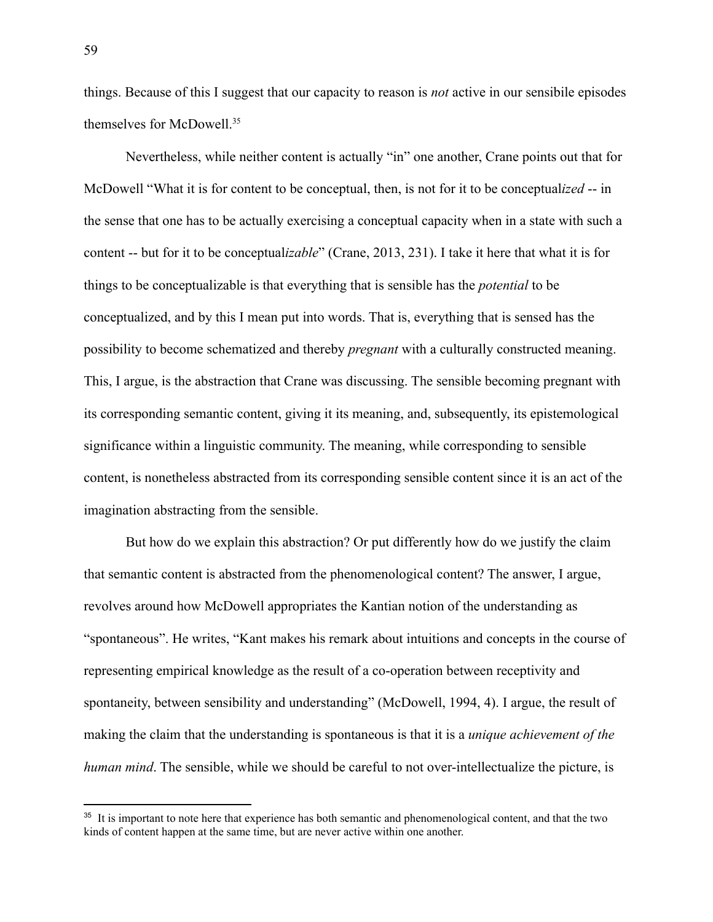things. Because of this I suggest that our capacity to reason is *not* active in our sensibile episodes themselves for McDowell.<sup>35</sup>

Nevertheless, while neither content is actually "in" one another, Crane points out that for McDowell "What it is for content to be conceptual, then, is not for it to be conceptual*ized* -- in the sense that one has to be actually exercising a conceptual capacity when in a state with such a content -- but for it to be conceptual*izable*" (Crane, 2013, 231). I take it here that what it is for things to be conceptualizable is that everything that is sensible has the *potential* to be conceptualized, and by this I mean put into words. That is, everything that is sensed has the possibility to become schematized and thereby *pregnant* with a culturally constructed meaning. This, I argue, is the abstraction that Crane was discussing. The sensible becoming pregnant with its corresponding semantic content, giving it its meaning, and, subsequently, its epistemological significance within a linguistic community. The meaning, while corresponding to sensible content, is nonetheless abstracted from its corresponding sensible content since it is an act of the imagination abstracting from the sensible.

But how do we explain this abstraction? Or put differently how do we justify the claim that semantic content is abstracted from the phenomenological content? The answer, I argue, revolves around how McDowell appropriates the Kantian notion of the understanding as "spontaneous". He writes, "Kant makes his remark about intuitions and concepts in the course of representing empirical knowledge as the result of a co-operation between receptivity and spontaneity, between sensibility and understanding" (McDowell, 1994, 4). I argue, the result of making the claim that the understanding is spontaneous is that it is a *unique achievement of the human mind*. The sensible, while we should be careful to not over-intellectualize the picture, is

<sup>&</sup>lt;sup>35</sup> It is important to note here that experience has both semantic and phenomenological content, and that the two kinds of content happen at the same time, but are never active within one another.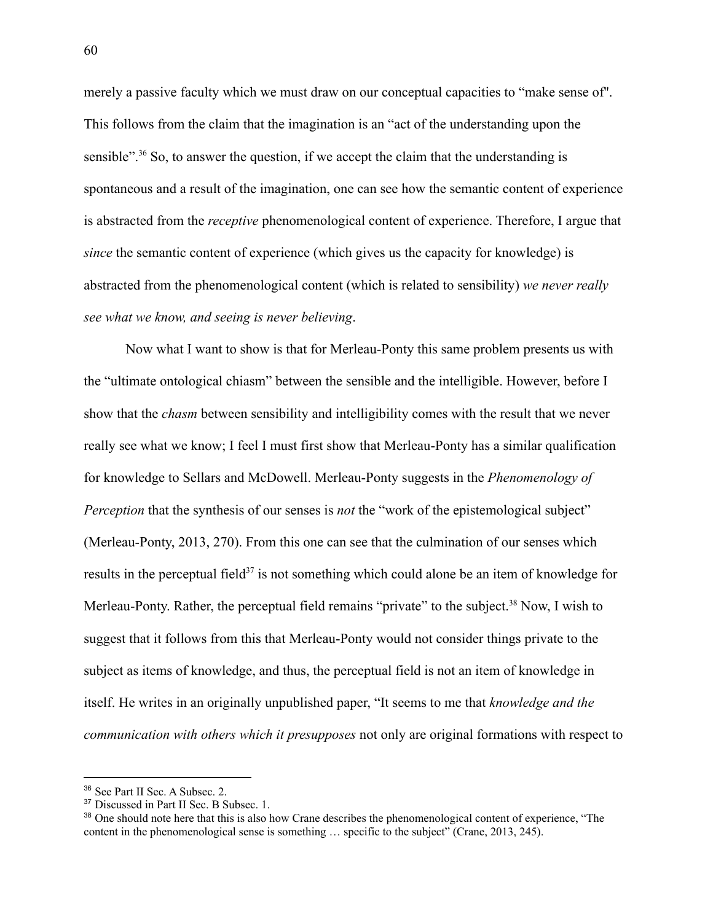merely a passive faculty which we must draw on our conceptual capacities to "make sense of''. This follows from the claim that the imagination is an "act of the understanding upon the sensible"<sup>36</sup> So, to answer the question, if we accept the claim that the understanding is spontaneous and a result of the imagination, one can see how the semantic content of experience is abstracted from the *receptive* phenomenological content of experience. Therefore, I argue that *since* the semantic content of experience (which gives us the capacity for knowledge) is abstracted from the phenomenological content (which is related to sensibility) *we never really see what we know, and seeing is never believing*.

Now what I want to show is that for Merleau-Ponty this same problem presents us with the "ultimate ontological chiasm" between the sensible and the intelligible. However, before I show that the *chasm* between sensibility and intelligibility comes with the result that we never really see what we know; I feel I must first show that Merleau-Ponty has a similar qualification for knowledge to Sellars and McDowell. Merleau-Ponty suggests in the *Phenomenology of Perception* that the synthesis of our senses is *not* the "work of the epistemological subject" (Merleau-Ponty, 2013, 270). From this one can see that the culmination of our senses which results in the perceptual field<sup>37</sup> is not something which could alone be an item of knowledge for Merleau-Ponty. Rather, the perceptual field remains "private" to the subject.<sup>38</sup> Now, I wish to suggest that it follows from this that Merleau-Ponty would not consider things private to the subject as items of knowledge, and thus, the perceptual field is not an item of knowledge in itself. He writes in an originally unpublished paper, "It seems to me that *knowledge and the communication with others which it presupposes* not only are original formations with respect to

<sup>36</sup> See Part II Sec. A Subsec. 2.

<sup>&</sup>lt;sup>37</sup> Discussed in Part II Sec. B Subsec. 1.

<sup>&</sup>lt;sup>38</sup> One should note here that this is also how Crane describes the phenomenological content of experience, "The content in the phenomenological sense is something … specific to the subject" (Crane, 2013, 245).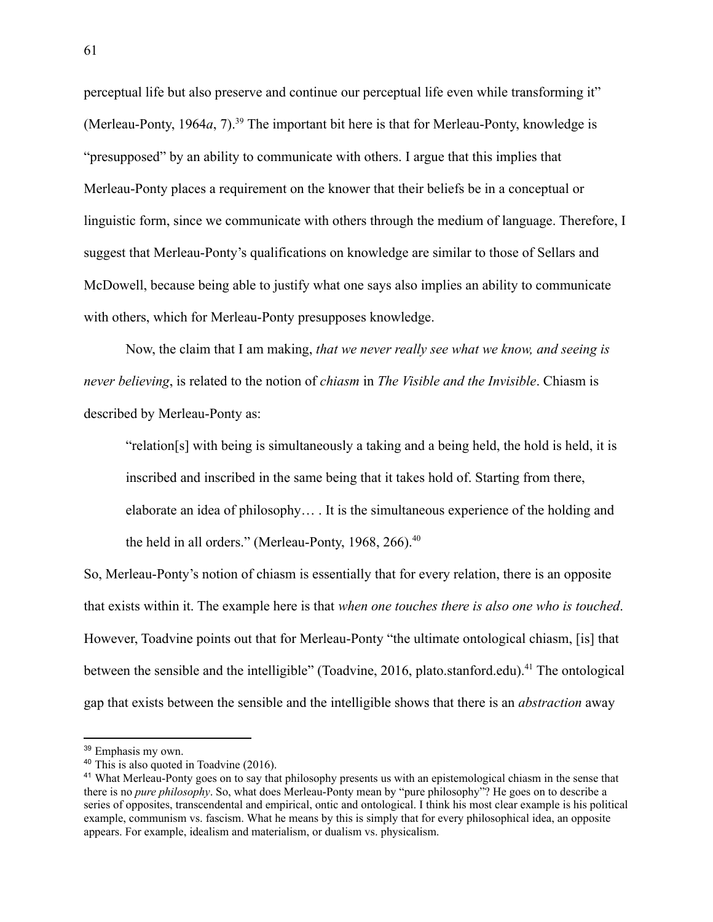perceptual life but also preserve and continue our perceptual life even while transforming it" (Merleau-Ponty, 1964*a*, 7).<sup>39</sup> The important bit here is that for Merleau-Ponty, knowledge is "presupposed" by an ability to communicate with others. I argue that this implies that Merleau-Ponty places a requirement on the knower that their beliefs be in a conceptual or linguistic form, since we communicate with others through the medium of language. Therefore, I suggest that Merleau-Ponty's qualifications on knowledge are similar to those of Sellars and McDowell, because being able to justify what one says also implies an ability to communicate with others, which for Merleau-Ponty presupposes knowledge.

Now, the claim that I am making, *that we never really see what we know, and seeing is never believing*, is related to the notion of *chiasm* in *The Visible and the Invisible*. Chiasm is described by Merleau-Ponty as:

"relation[s] with being is simultaneously a taking and a being held, the hold is held, it is inscribed and inscribed in the same being that it takes hold of. Starting from there, elaborate an idea of philosophy… . It is the simultaneous experience of the holding and the held in all orders." (Merleau-Ponty, 1968, 266).<sup>40</sup>

So, Merleau-Ponty's notion of chiasm is essentially that for every relation, there is an opposite that exists within it. The example here is that *when one touches there is also one who is touched*. However, Toadvine points out that for Merleau-Ponty "the ultimate ontological chiasm, [is] that between the sensible and the intelligible" (Toadvine, 2016, plato.stanford.edu).<sup>41</sup> The ontological gap that exists between the sensible and the intelligible shows that there is an *abstraction* away

<sup>39</sup> Emphasis my own.

<sup>40</sup> This is also quoted in Toadvine (2016).

<sup>&</sup>lt;sup>41</sup> What Merleau-Ponty goes on to say that philosophy presents us with an epistemological chiasm in the sense that there is no *pure philosophy*. So, what does Merleau-Ponty mean by "pure philosophy"? He goes on to describe a series of opposites, transcendental and empirical, ontic and ontological. I think his most clear example is his political example, communism vs. fascism. What he means by this is simply that for every philosophical idea, an opposite appears. For example, idealism and materialism, or dualism vs. physicalism.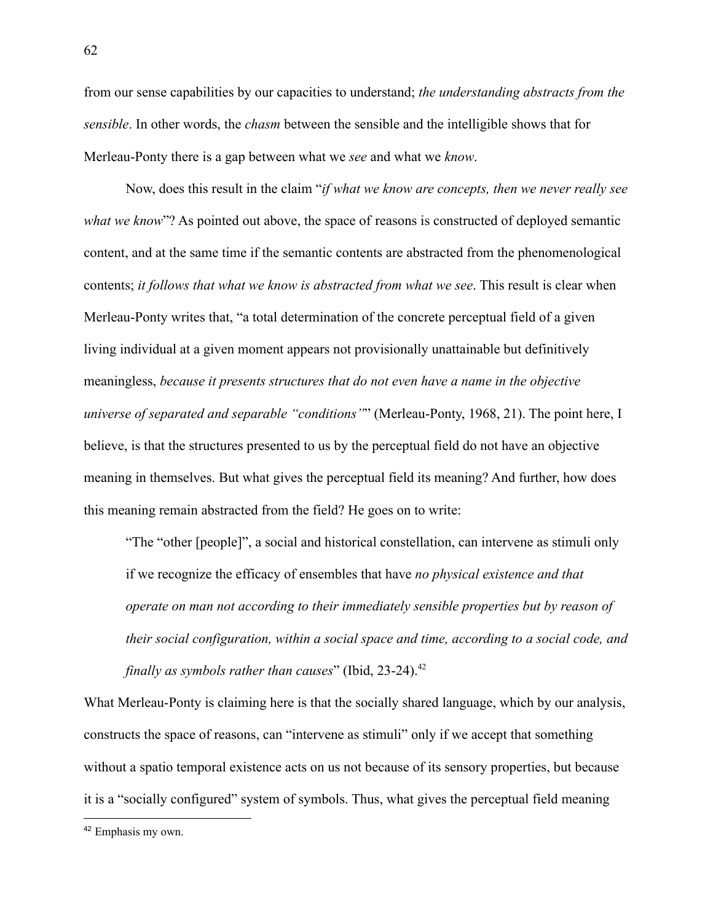from our sense capabilities by our capacities to understand; *the understanding abstracts from the sensible*. In other words, the *chasm* between the sensible and the intelligible shows that for Merleau-Ponty there is a gap between what we *see* and what we *know*.

Now, does this result in the claim "*if what we know are concepts, then we never really see what we know*"? As pointed out above, the space of reasons is constructed of deployed semantic content, and at the same time if the semantic contents are abstracted from the phenomenological contents; *it follows that what we know is abstracted from what we see*. This result is clear when Merleau-Ponty writes that, "a total determination of the concrete perceptual field of a given living individual at a given moment appears not provisionally unattainable but definitively meaningless, *because it presents structures that do not even have a name in the objective universe of separated and separable "conditions"*" (Merleau-Ponty, 1968, 21). The point here, I believe, is that the structures presented to us by the perceptual field do not have an objective meaning in themselves. But what gives the perceptual field its meaning? And further, how does this meaning remain abstracted from the field? He goes on to write:

"The "other [people]", a social and historical constellation, can intervene as stimuli only if we recognize the efficacy of ensembles that have *no physical existence and that operate on man not according to their immediately sensible properties but by reason of their social configuration, within a social space and time, according to a social code, and finally as symbols rather than causes*" (Ibid, 23-24).<sup>42</sup>

What Merleau-Ponty is claiming here is that the socially shared language, which by our analysis, constructs the space of reasons, can "intervene as stimuli" only if we accept that something without a spatio temporal existence acts on us not because of its sensory properties, but because it is a "socially configured" system of symbols. Thus, what gives the perceptual field meaning

<sup>42</sup> Emphasis my own.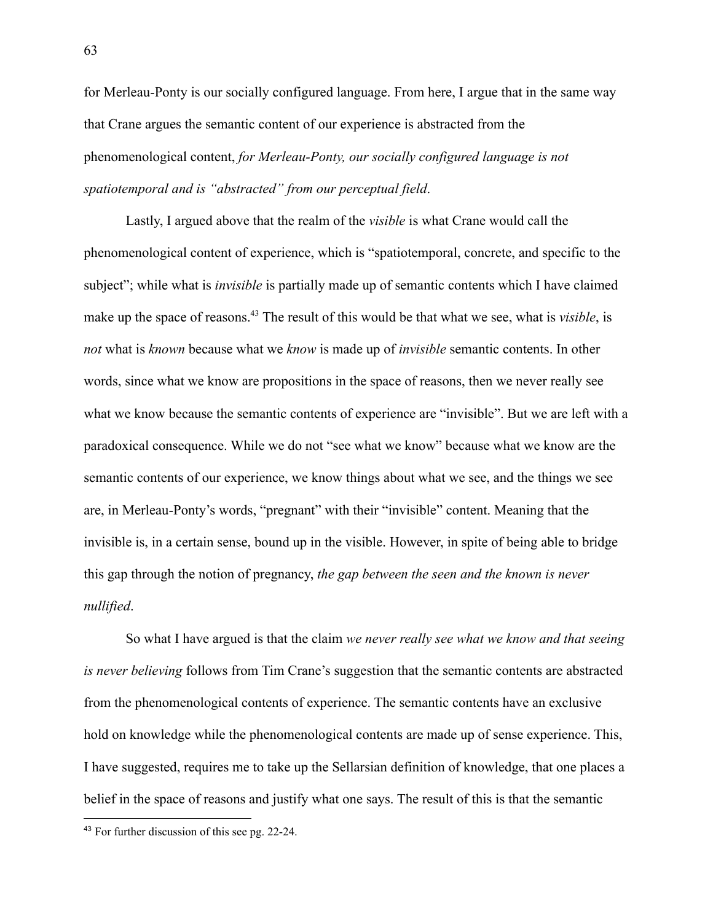for Merleau-Ponty is our socially configured language. From here, I argue that in the same way that Crane argues the semantic content of our experience is abstracted from the phenomenological content, *for Merleau-Ponty, our socially configured language is not spatiotemporal and is "abstracted" from our perceptual field*.

Lastly, I argued above that the realm of the *visible* is what Crane would call the phenomenological content of experience, which is "spatiotemporal, concrete, and specific to the subject"; while what is *invisible* is partially made up of semantic contents which I have claimed make up the space of reasons.<sup>43</sup> The result of this would be that what we see, what is *visible*, is *not* what is *known* because what we *know* is made up of *invisible* semantic contents. In other words, since what we know are propositions in the space of reasons, then we never really see what we know because the semantic contents of experience are "invisible". But we are left with a paradoxical consequence. While we do not "see what we know" because what we know are the semantic contents of our experience, we know things about what we see, and the things we see are, in Merleau-Ponty's words, "pregnant" with their "invisible" content. Meaning that the invisible is, in a certain sense, bound up in the visible. However, in spite of being able to bridge this gap through the notion of pregnancy, *the gap between the seen and the known is never nullified*.

So what I have argued is that the claim *we never really see what we know and that seeing is never believing* follows from Tim Crane's suggestion that the semantic contents are abstracted from the phenomenological contents of experience. The semantic contents have an exclusive hold on knowledge while the phenomenological contents are made up of sense experience. This, I have suggested, requires me to take up the Sellarsian definition of knowledge, that one places a belief in the space of reasons and justify what one says. The result of this is that the semantic

<sup>43</sup> For further discussion of this see pg. 22-24.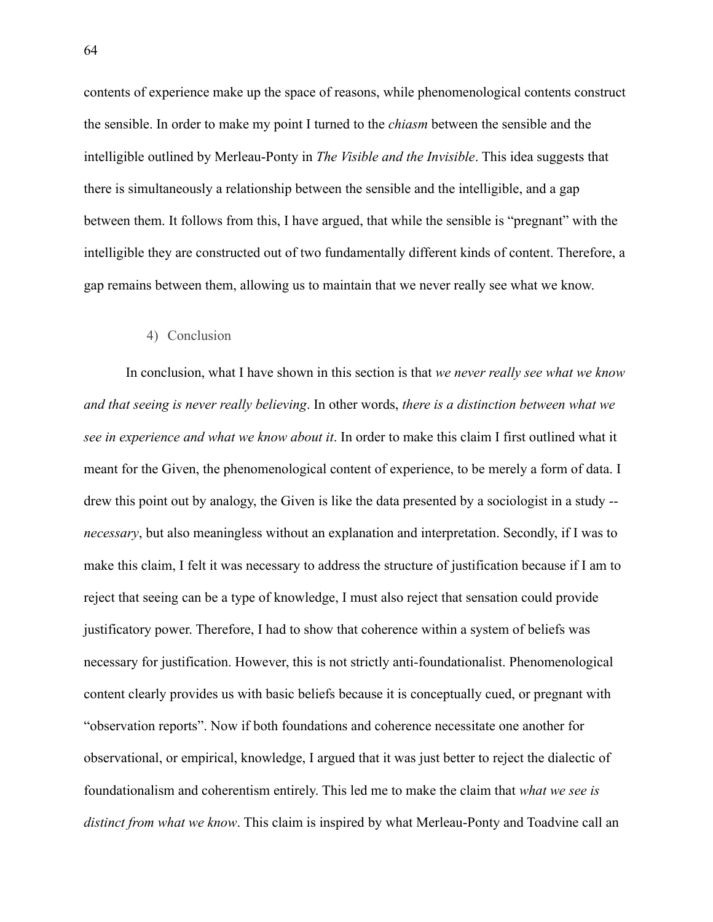contents of experience make up the space of reasons, while phenomenological contents construct the sensible. In order to make my point I turned to the *chiasm* between the sensible and the intelligible outlined by Merleau-Ponty in *The Visible and the Invisible*. This idea suggests that there is simultaneously a relationship between the sensible and the intelligible, and a gap between them. It follows from this, I have argued, that while the sensible is "pregnant" with the intelligible they are constructed out of two fundamentally different kinds of content. Therefore, a gap remains between them, allowing us to maintain that we never really see what we know.

#### 4) Conclusion

In conclusion, what I have shown in this section is that *we never really see what we know and that seeing is never really believing*. In other words, *there is a distinction between what we see in experience and what we know about it*. In order to make this claim I first outlined what it meant for the Given, the phenomenological content of experience, to be merely a form of data. I drew this point out by analogy, the Given is like the data presented by a sociologist in a study - *necessary*, but also meaningless without an explanation and interpretation. Secondly, if I was to make this claim, I felt it was necessary to address the structure of justification because if I am to reject that seeing can be a type of knowledge, I must also reject that sensation could provide justificatory power. Therefore, I had to show that coherence within a system of beliefs was necessary for justification. However, this is not strictly anti-foundationalist. Phenomenological content clearly provides us with basic beliefs because it is conceptually cued, or pregnant with "observation reports". Now if both foundations and coherence necessitate one another for observational, or empirical, knowledge, I argued that it was just better to reject the dialectic of foundationalism and coherentism entirely. This led me to make the claim that *what we see is distinct from what we know*. This claim is inspired by what Merleau-Ponty and Toadvine call an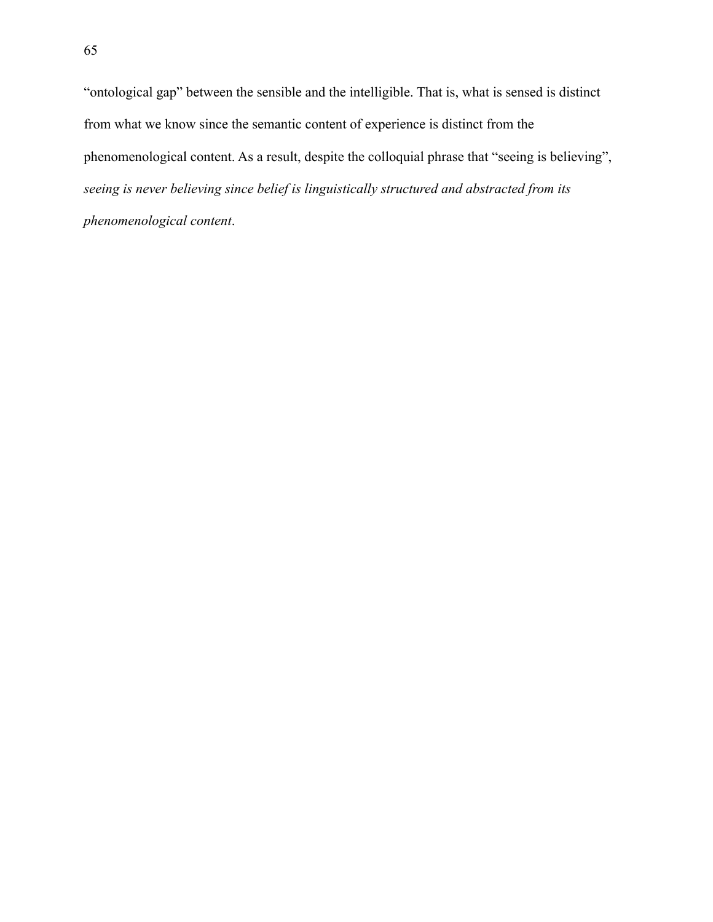"ontological gap" between the sensible and the intelligible. That is, what is sensed is distinct from what we know since the semantic content of experience is distinct from the phenomenological content. As a result, despite the colloquial phrase that "seeing is believing", *seeing is never believing since belief is linguistically structured and abstracted from its phenomenological content*.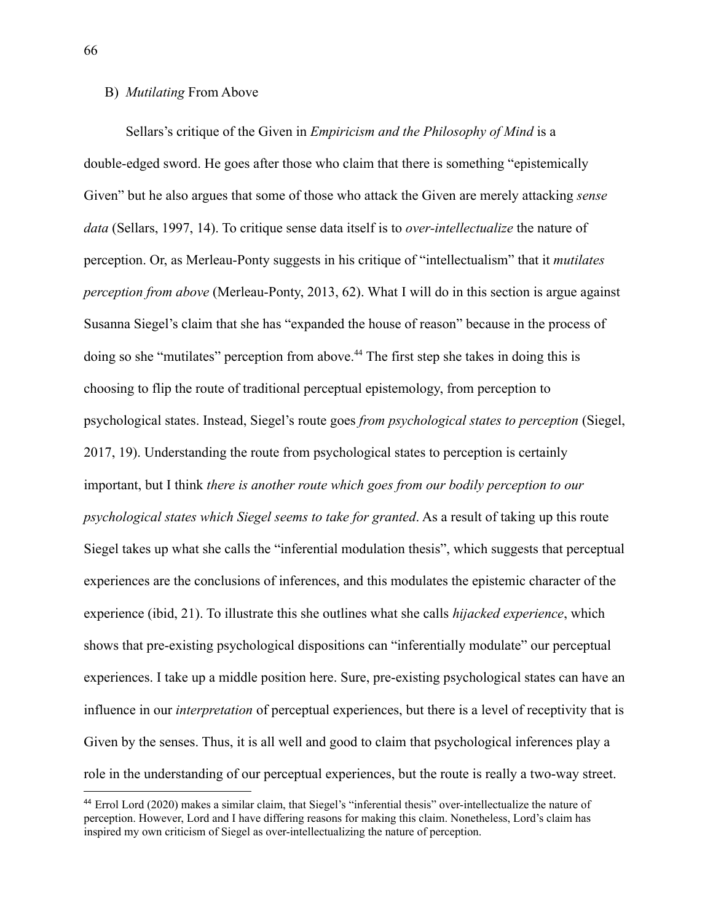### B) *Mutilating* From Above

Sellars's critique of the Given in *Empiricism and the Philosophy of Mind* is a double-edged sword. He goes after those who claim that there is something "epistemically Given" but he also argues that some of those who attack the Given are merely attacking *sense data* (Sellars, 1997, 14). To critique sense data itself is to *over-intellectualize* the nature of perception. Or, as Merleau-Ponty suggests in his critique of "intellectualism" that it *mutilates perception from above* (Merleau-Ponty, 2013, 62). What I will do in this section is argue against Susanna Siegel's claim that she has "expanded the house of reason" because in the process of doing so she "mutilates" perception from above.<sup>44</sup> The first step she takes in doing this is choosing to flip the route of traditional perceptual epistemology, from perception to psychological states. Instead, Siegel's route goes *from psychological states to perception* (Siegel, 2017, 19). Understanding the route from psychological states to perception is certainly important, but I think *there is another route which goes from our bodily perception to our psychological states which Siegel seems to take for granted*. As a result of taking up this route Siegel takes up what she calls the "inferential modulation thesis", which suggests that perceptual experiences are the conclusions of inferences, and this modulates the epistemic character of the experience (ibid, 21). To illustrate this she outlines what she calls *hijacked experience*, which shows that pre-existing psychological dispositions can "inferentially modulate" our perceptual experiences. I take up a middle position here. Sure, pre-existing psychological states can have an influence in our *interpretation* of perceptual experiences, but there is a level of receptivity that is Given by the senses. Thus, it is all well and good to claim that psychological inferences play a role in the understanding of our perceptual experiences, but the route is really a two-way street.

<sup>44</sup> Errol Lord (2020) makes a similar claim, that Siegel's "inferential thesis" over-intellectualize the nature of perception. However, Lord and I have differing reasons for making this claim. Nonetheless, Lord's claim has inspired my own criticism of Siegel as over-intellectualizing the nature of perception.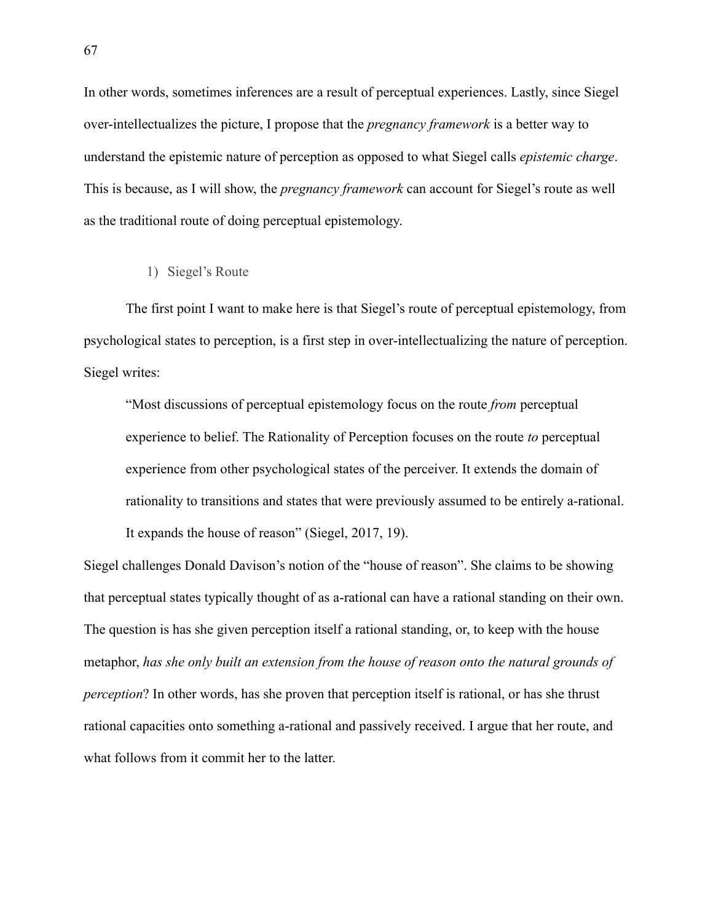In other words, sometimes inferences are a result of perceptual experiences. Lastly, since Siegel over-intellectualizes the picture, I propose that the *pregnancy framework* is a better way to understand the epistemic nature of perception as opposed to what Siegel calls *epistemic charge*. This is because, as I will show, the *pregnancy framework* can account for Siegel's route as well as the traditional route of doing perceptual epistemology.

## 1) Siegel's Route

The first point I want to make here is that Siegel's route of perceptual epistemology, from psychological states to perception, is a first step in over-intellectualizing the nature of perception. Siegel writes:

"Most discussions of perceptual epistemology focus on the route *from* perceptual experience to belief. The Rationality of Perception focuses on the route *to* perceptual experience from other psychological states of the perceiver. It extends the domain of rationality to transitions and states that were previously assumed to be entirely a-rational. It expands the house of reason" (Siegel, 2017, 19).

Siegel challenges Donald Davison's notion of the "house of reason". She claims to be showing that perceptual states typically thought of as a-rational can have a rational standing on their own. The question is has she given perception itself a rational standing, or, to keep with the house metaphor, *has she only built an extension from the house of reason onto the natural grounds of perception*? In other words, has she proven that perception itself is rational, or has she thrust rational capacities onto something a-rational and passively received. I argue that her route, and what follows from it commit her to the latter.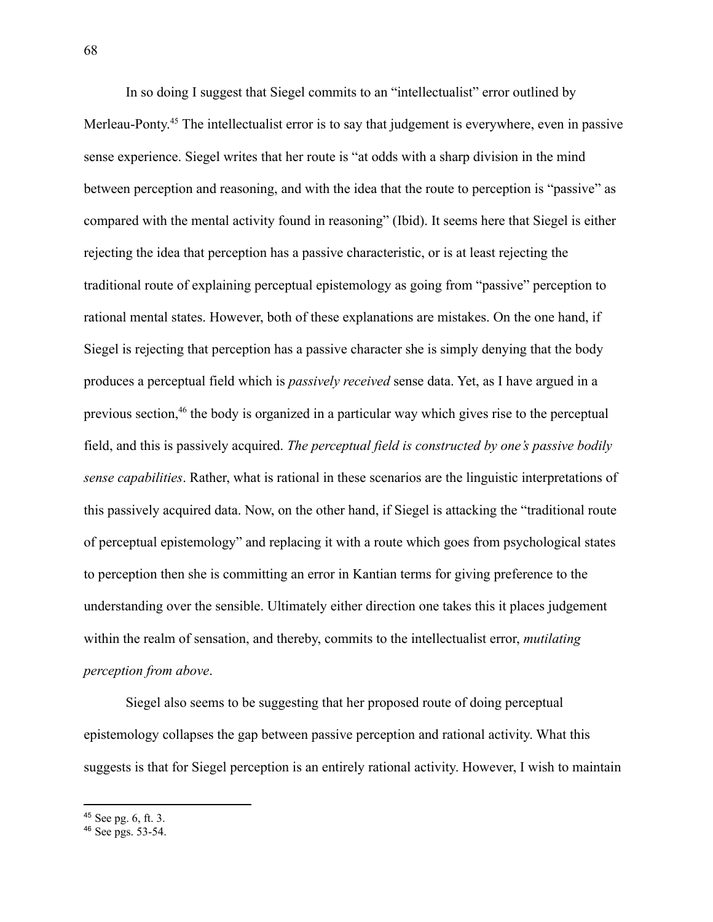In so doing I suggest that Siegel commits to an "intellectualist" error outlined by Merleau-Ponty.<sup>45</sup> The intellectualist error is to say that judgement is everywhere, even in passive sense experience. Siegel writes that her route is "at odds with a sharp division in the mind between perception and reasoning, and with the idea that the route to perception is "passive" as compared with the mental activity found in reasoning" (Ibid). It seems here that Siegel is either rejecting the idea that perception has a passive characteristic, or is at least rejecting the traditional route of explaining perceptual epistemology as going from "passive" perception to rational mental states. However, both of these explanations are mistakes. On the one hand, if Siegel is rejecting that perception has a passive character she is simply denying that the body produces a perceptual field which is *passively received* sense data. Yet, as I have argued in a previous section,<sup>46</sup> the body is organized in a particular way which gives rise to the perceptual field, and this is passively acquired. *The perceptual field is constructed by one's passive bodily sense capabilities*. Rather, what is rational in these scenarios are the linguistic interpretations of this passively acquired data. Now, on the other hand, if Siegel is attacking the "traditional route of perceptual epistemology" and replacing it with a route which goes from psychological states to perception then she is committing an error in Kantian terms for giving preference to the understanding over the sensible. Ultimately either direction one takes this it places judgement within the realm of sensation, and thereby, commits to the intellectualist error, *mutilating perception from above*.

Siegel also seems to be suggesting that her proposed route of doing perceptual epistemology collapses the gap between passive perception and rational activity. What this suggests is that for Siegel perception is an entirely rational activity. However, I wish to maintain

<sup>45</sup> See pg. 6, ft. 3.

<sup>46</sup> See pgs. 53-54.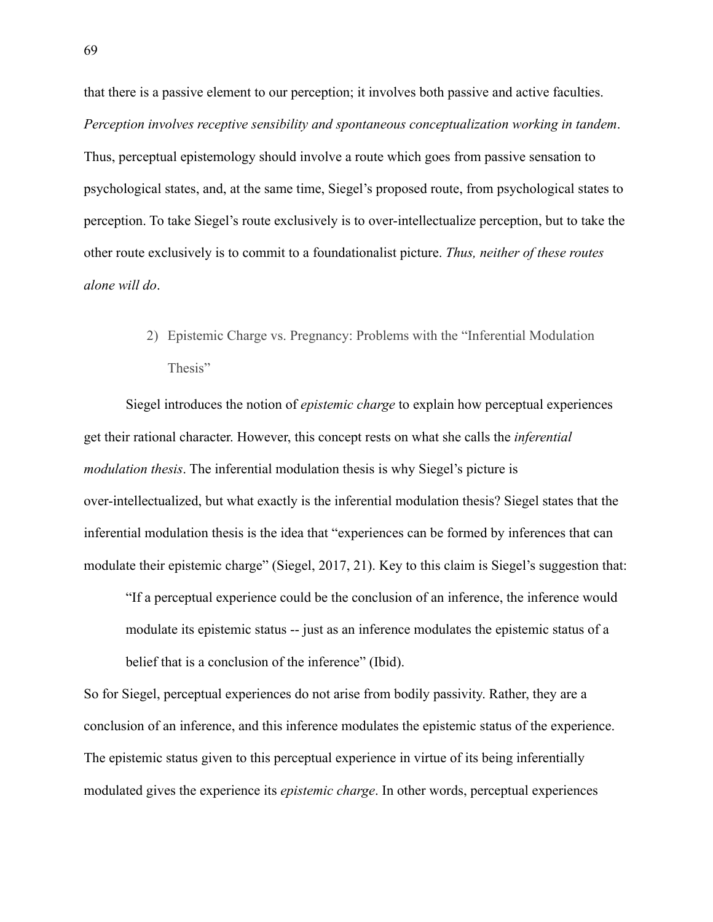that there is a passive element to our perception; it involves both passive and active faculties. *Perception involves receptive sensibility and spontaneous conceptualization working in tandem*. Thus, perceptual epistemology should involve a route which goes from passive sensation to psychological states, and, at the same time, Siegel's proposed route, from psychological states to perception. To take Siegel's route exclusively is to over-intellectualize perception, but to take the other route exclusively is to commit to a foundationalist picture. *Thus, neither of these routes alone will do*.

> 2) Epistemic Charge vs. Pregnancy: Problems with the "Inferential Modulation Thesis"

Siegel introduces the notion of *epistemic charge* to explain how perceptual experiences get their rational character. However, this concept rests on what she calls the *inferential modulation thesis*. The inferential modulation thesis is why Siegel's picture is over-intellectualized, but what exactly is the inferential modulation thesis? Siegel states that the inferential modulation thesis is the idea that "experiences can be formed by inferences that can modulate their epistemic charge" (Siegel, 2017, 21). Key to this claim is Siegel's suggestion that:

"If a perceptual experience could be the conclusion of an inference, the inference would modulate its epistemic status -- just as an inference modulates the epistemic status of a belief that is a conclusion of the inference" (Ibid).

So for Siegel, perceptual experiences do not arise from bodily passivity. Rather, they are a conclusion of an inference, and this inference modulates the epistemic status of the experience. The epistemic status given to this perceptual experience in virtue of its being inferentially modulated gives the experience its *epistemic charge*. In other words, perceptual experiences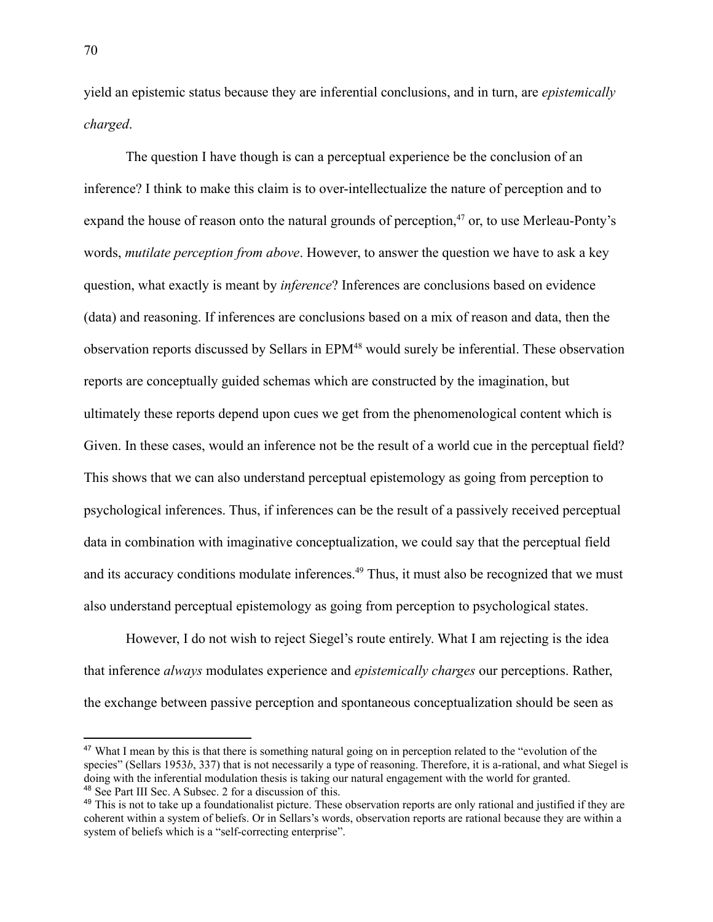yield an epistemic status because they are inferential conclusions, and in turn, are *epistemically charged*.

The question I have though is can a perceptual experience be the conclusion of an inference? I think to make this claim is to over-intellectualize the nature of perception and to expand the house of reason onto the natural grounds of perception, $47$  or, to use Merleau-Ponty's words, *mutilate perception from above*. However, to answer the question we have to ask a key question, what exactly is meant by *inference*? Inferences are conclusions based on evidence (data) and reasoning. If inferences are conclusions based on a mix of reason and data, then the observation reports discussed by Sellars in EPM<sup>48</sup> would surely be inferential. These observation reports are conceptually guided schemas which are constructed by the imagination, but ultimately these reports depend upon cues we get from the phenomenological content which is Given. In these cases, would an inference not be the result of a world cue in the perceptual field? This shows that we can also understand perceptual epistemology as going from perception to psychological inferences. Thus, if inferences can be the result of a passively received perceptual data in combination with imaginative conceptualization, we could say that the perceptual field and its accuracy conditions modulate inferences.<sup>49</sup> Thus, it must also be recognized that we must also understand perceptual epistemology as going from perception to psychological states.

However, I do not wish to reject Siegel's route entirely. What I am rejecting is the idea that inference *always* modulates experience and *epistemically charges* our perceptions. Rather, the exchange between passive perception and spontaneous conceptualization should be seen as

<sup>48</sup> See Part III Sec. A Subsec. 2 for a discussion of this. <sup>47</sup> What I mean by this is that there is something natural going on in perception related to the "evolution of the species" (Sellars 1953*b*, 337) that is not necessarily a type of reasoning. Therefore, it is a-rational, and what Siegel is doing with the inferential modulation thesis is taking our natural engagement with the world for granted.

<sup>&</sup>lt;sup>49</sup> This is not to take up a foundationalist picture. These observation reports are only rational and justified if they are coherent within a system of beliefs. Or in Sellars's words, observation reports are rational because they are within a system of beliefs which is a "self-correcting enterprise".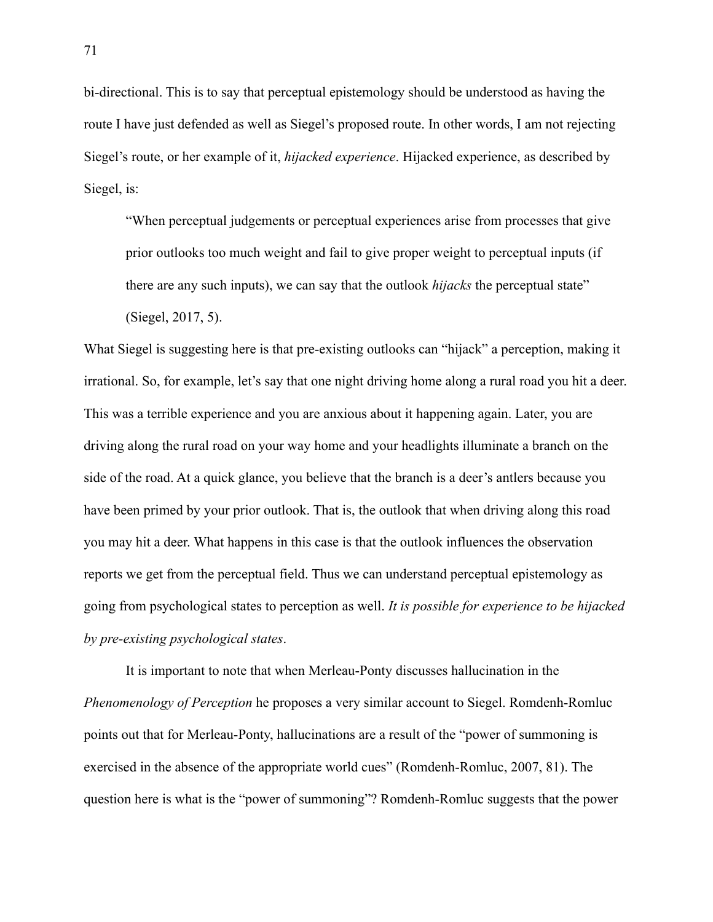bi-directional. This is to say that perceptual epistemology should be understood as having the route I have just defended as well as Siegel's proposed route. In other words, I am not rejecting Siegel's route, or her example of it, *hijacked experience*. Hijacked experience, as described by Siegel, is:

"When perceptual judgements or perceptual experiences arise from processes that give prior outlooks too much weight and fail to give proper weight to perceptual inputs (if there are any such inputs), we can say that the outlook *hijacks* the perceptual state"

(Siegel, 2017, 5).

What Siegel is suggesting here is that pre-existing outlooks can "hijack" a perception, making it irrational. So, for example, let's say that one night driving home along a rural road you hit a deer. This was a terrible experience and you are anxious about it happening again. Later, you are driving along the rural road on your way home and your headlights illuminate a branch on the side of the road. At a quick glance, you believe that the branch is a deer's antlers because you have been primed by your prior outlook. That is, the outlook that when driving along this road you may hit a deer. What happens in this case is that the outlook influences the observation reports we get from the perceptual field. Thus we can understand perceptual epistemology as going from psychological states to perception as well. *It is possible for experience to be hijacked by pre-existing psychological states*.

It is important to note that when Merleau-Ponty discusses hallucination in the *Phenomenology of Perception* he proposes a very similar account to Siegel. Romdenh-Romluc points out that for Merleau-Ponty, hallucinations are a result of the "power of summoning is exercised in the absence of the appropriate world cues" (Romdenh-Romluc, 2007, 81). The question here is what is the "power of summoning"? Romdenh-Romluc suggests that the power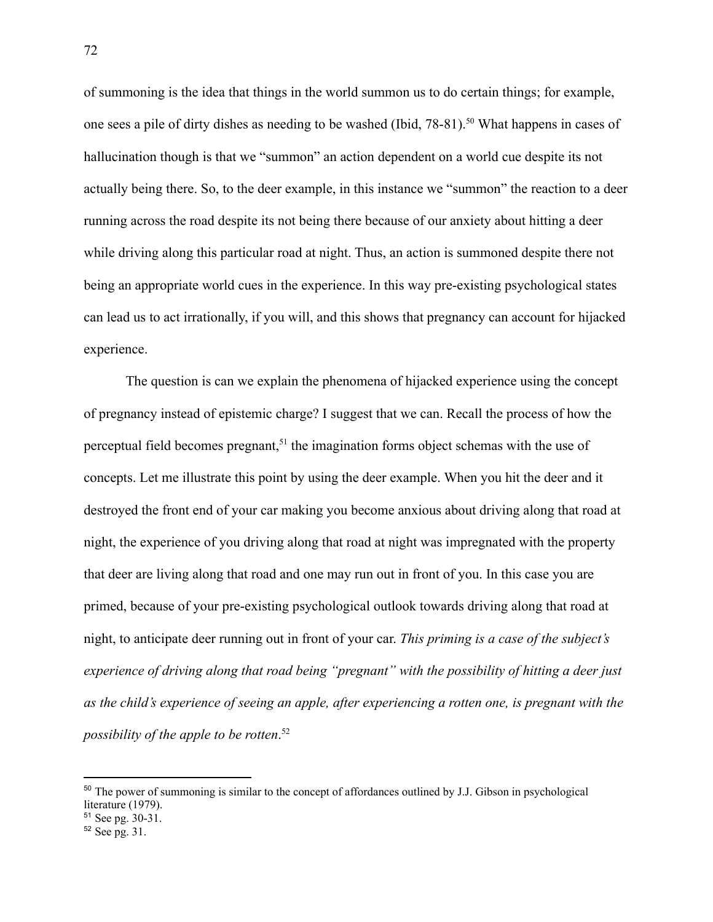of summoning is the idea that things in the world summon us to do certain things; for example, one sees a pile of dirty dishes as needing to be washed (Ibid, 78-81).<sup>50</sup> What happens in cases of hallucination though is that we "summon" an action dependent on a world cue despite its not actually being there. So, to the deer example, in this instance we "summon" the reaction to a deer running across the road despite its not being there because of our anxiety about hitting a deer while driving along this particular road at night. Thus, an action is summoned despite there not being an appropriate world cues in the experience. In this way pre-existing psychological states can lead us to act irrationally, if you will, and this shows that pregnancy can account for hijacked experience.

The question is can we explain the phenomena of hijacked experience using the concept of pregnancy instead of epistemic charge? I suggest that we can. Recall the process of how the perceptual field becomes pregnant,<sup>51</sup> the imagination forms object schemas with the use of concepts. Let me illustrate this point by using the deer example. When you hit the deer and it destroyed the front end of your car making you become anxious about driving along that road at night, the experience of you driving along that road at night was impregnated with the property that deer are living along that road and one may run out in front of you. In this case you are primed, because of your pre-existing psychological outlook towards driving along that road at night, to anticipate deer running out in front of your car. *This priming is a case of the subject's experience of driving along that road being "pregnant" with the possibility of hitting a deer just as the child's experience of seeing an apple, after experiencing a rotten one, is pregnant with the possibility of the apple to be rotten*. 52

<sup>&</sup>lt;sup>50</sup> The power of summoning is similar to the concept of affordances outlined by J.J. Gibson in psychological literature (1979).

<sup>51</sup> See pg. 30-31.

<sup>52</sup> See pg. 31.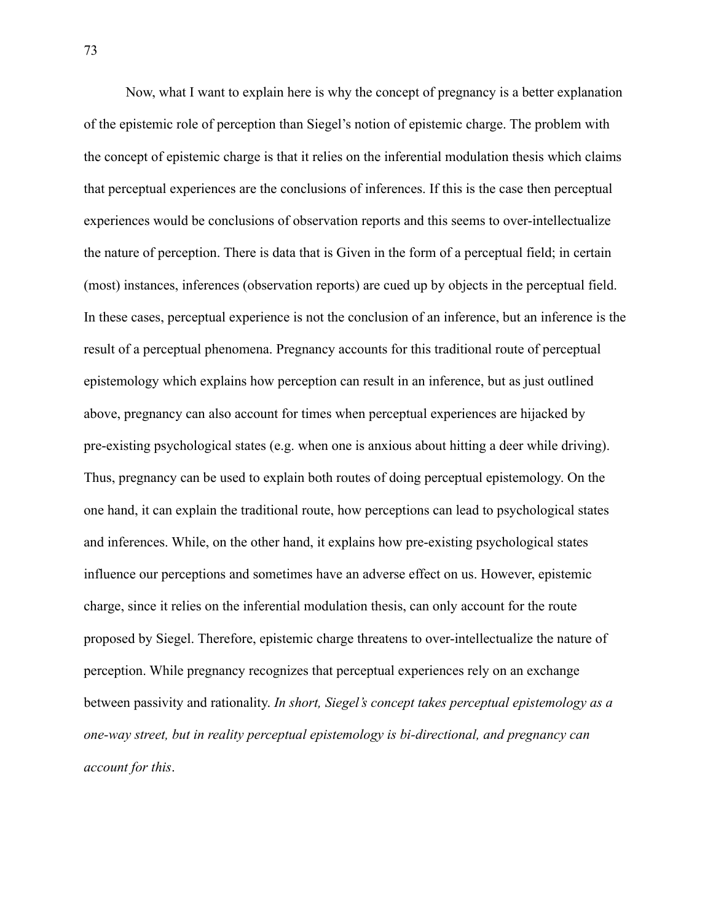Now, what I want to explain here is why the concept of pregnancy is a better explanation of the epistemic role of perception than Siegel's notion of epistemic charge. The problem with the concept of epistemic charge is that it relies on the inferential modulation thesis which claims that perceptual experiences are the conclusions of inferences. If this is the case then perceptual experiences would be conclusions of observation reports and this seems to over-intellectualize the nature of perception. There is data that is Given in the form of a perceptual field; in certain (most) instances, inferences (observation reports) are cued up by objects in the perceptual field. In these cases, perceptual experience is not the conclusion of an inference, but an inference is the result of a perceptual phenomena. Pregnancy accounts for this traditional route of perceptual epistemology which explains how perception can result in an inference, but as just outlined above, pregnancy can also account for times when perceptual experiences are hijacked by pre-existing psychological states (e.g. when one is anxious about hitting a deer while driving). Thus, pregnancy can be used to explain both routes of doing perceptual epistemology. On the one hand, it can explain the traditional route, how perceptions can lead to psychological states and inferences. While, on the other hand, it explains how pre-existing psychological states influence our perceptions and sometimes have an adverse effect on us. However, epistemic charge, since it relies on the inferential modulation thesis, can only account for the route proposed by Siegel. Therefore, epistemic charge threatens to over-intellectualize the nature of perception. While pregnancy recognizes that perceptual experiences rely on an exchange between passivity and rationality. *In short, Siegel's concept takes perceptual epistemology as a one-way street, but in reality perceptual epistemology is bi-directional, and pregnancy can account for this*.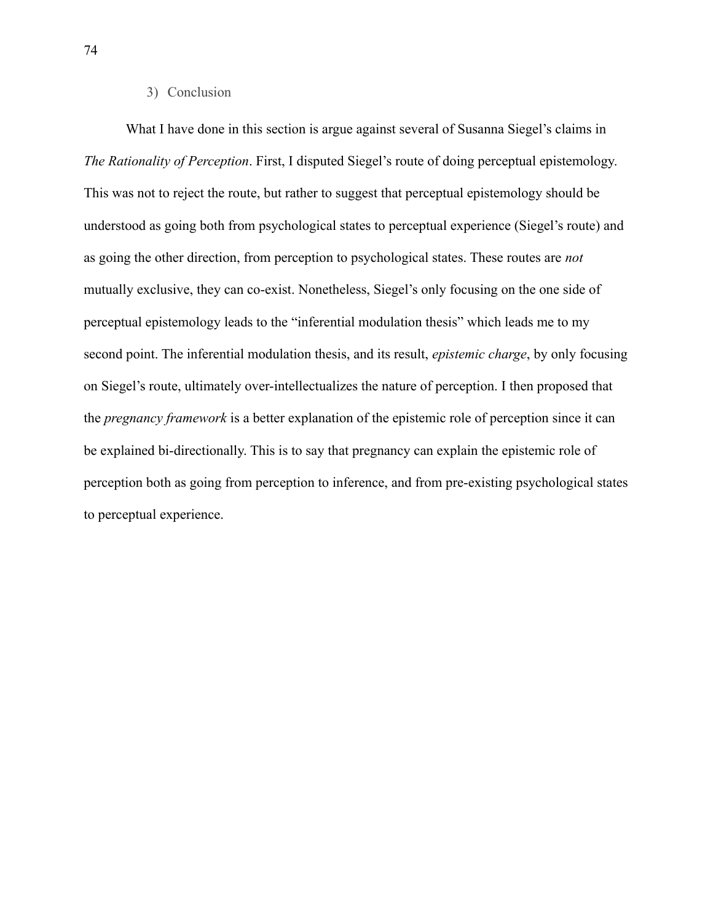## 3) Conclusion

What I have done in this section is argue against several of Susanna Siegel's claims in *The Rationality of Perception*. First, I disputed Siegel's route of doing perceptual epistemology. This was not to reject the route, but rather to suggest that perceptual epistemology should be understood as going both from psychological states to perceptual experience (Siegel's route) and as going the other direction, from perception to psychological states. These routes are *not* mutually exclusive, they can co-exist. Nonetheless, Siegel's only focusing on the one side of perceptual epistemology leads to the "inferential modulation thesis" which leads me to my second point. The inferential modulation thesis, and its result, *epistemic charge*, by only focusing on Siegel's route, ultimately over-intellectualizes the nature of perception. I then proposed that the *pregnancy framework* is a better explanation of the epistemic role of perception since it can be explained bi-directionally. This is to say that pregnancy can explain the epistemic role of perception both as going from perception to inference, and from pre-existing psychological states to perceptual experience.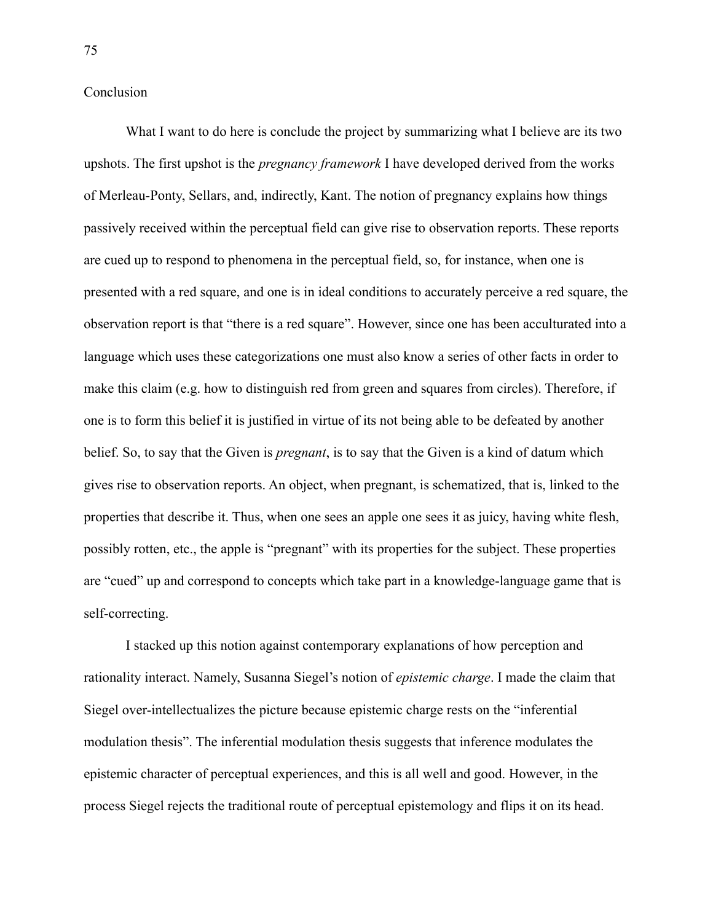Conclusion

What I want to do here is conclude the project by summarizing what I believe are its two upshots. The first upshot is the *pregnancy framework* I have developed derived from the works of Merleau-Ponty, Sellars, and, indirectly, Kant. The notion of pregnancy explains how things passively received within the perceptual field can give rise to observation reports. These reports are cued up to respond to phenomena in the perceptual field, so, for instance, when one is presented with a red square, and one is in ideal conditions to accurately perceive a red square, the observation report is that "there is a red square". However, since one has been acculturated into a language which uses these categorizations one must also know a series of other facts in order to make this claim (e.g. how to distinguish red from green and squares from circles). Therefore, if one is to form this belief it is justified in virtue of its not being able to be defeated by another belief. So, to say that the Given is *pregnant*, is to say that the Given is a kind of datum which gives rise to observation reports. An object, when pregnant, is schematized, that is, linked to the properties that describe it. Thus, when one sees an apple one sees it as juicy, having white flesh, possibly rotten, etc., the apple is "pregnant" with its properties for the subject. These properties are "cued" up and correspond to concepts which take part in a knowledge-language game that is self-correcting.

I stacked up this notion against contemporary explanations of how perception and rationality interact. Namely, Susanna Siegel's notion of *epistemic charge*. I made the claim that Siegel over-intellectualizes the picture because epistemic charge rests on the "inferential modulation thesis". The inferential modulation thesis suggests that inference modulates the epistemic character of perceptual experiences, and this is all well and good. However, in the process Siegel rejects the traditional route of perceptual epistemology and flips it on its head.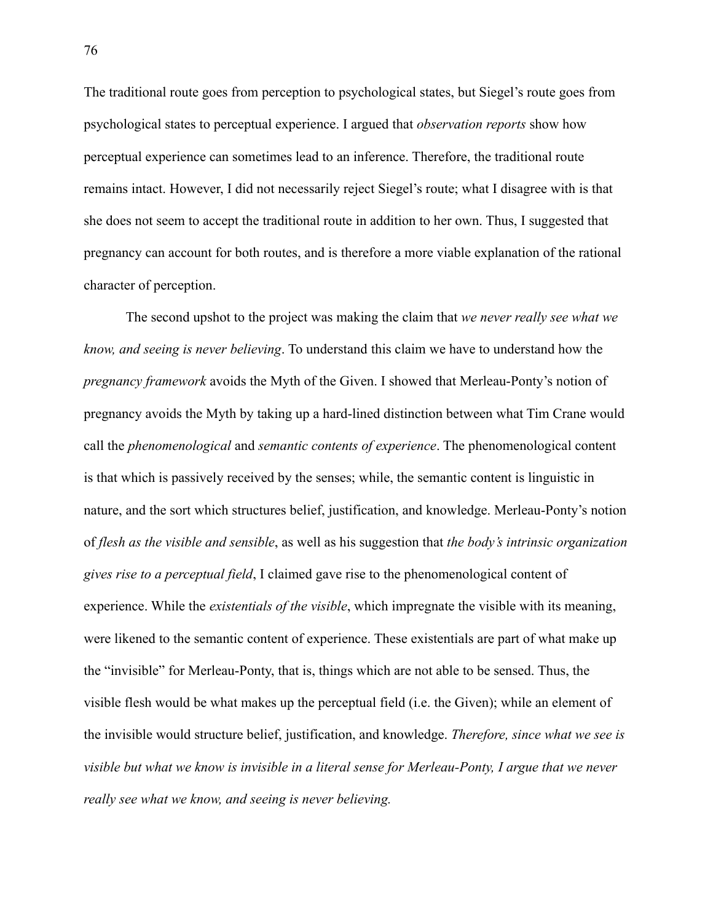The traditional route goes from perception to psychological states, but Siegel's route goes from psychological states to perceptual experience. I argued that *observation reports* show how perceptual experience can sometimes lead to an inference. Therefore, the traditional route remains intact. However, I did not necessarily reject Siegel's route; what I disagree with is that she does not seem to accept the traditional route in addition to her own. Thus, I suggested that pregnancy can account for both routes, and is therefore a more viable explanation of the rational character of perception.

The second upshot to the project was making the claim that *we never really see what we know, and seeing is never believing*. To understand this claim we have to understand how the *pregnancy framework* avoids the Myth of the Given. I showed that Merleau-Ponty's notion of pregnancy avoids the Myth by taking up a hard-lined distinction between what Tim Crane would call the *phenomenological* and *semantic contents of experience*. The phenomenological content is that which is passively received by the senses; while, the semantic content is linguistic in nature, and the sort which structures belief, justification, and knowledge. Merleau-Ponty's notion of *flesh as the visible and sensible*, as well as his suggestion that *the body's intrinsic organization gives rise to a perceptual field*, I claimed gave rise to the phenomenological content of experience. While the *existentials of the visible*, which impregnate the visible with its meaning, were likened to the semantic content of experience. These existentials are part of what make up the "invisible" for Merleau-Ponty, that is, things which are not able to be sensed. Thus, the visible flesh would be what makes up the perceptual field (i.e. the Given); while an element of the invisible would structure belief, justification, and knowledge. *Therefore, since what we see is visible but what we know is invisible in a literal sense for Merleau-Ponty, I argue that we never really see what we know, and seeing is never believing.*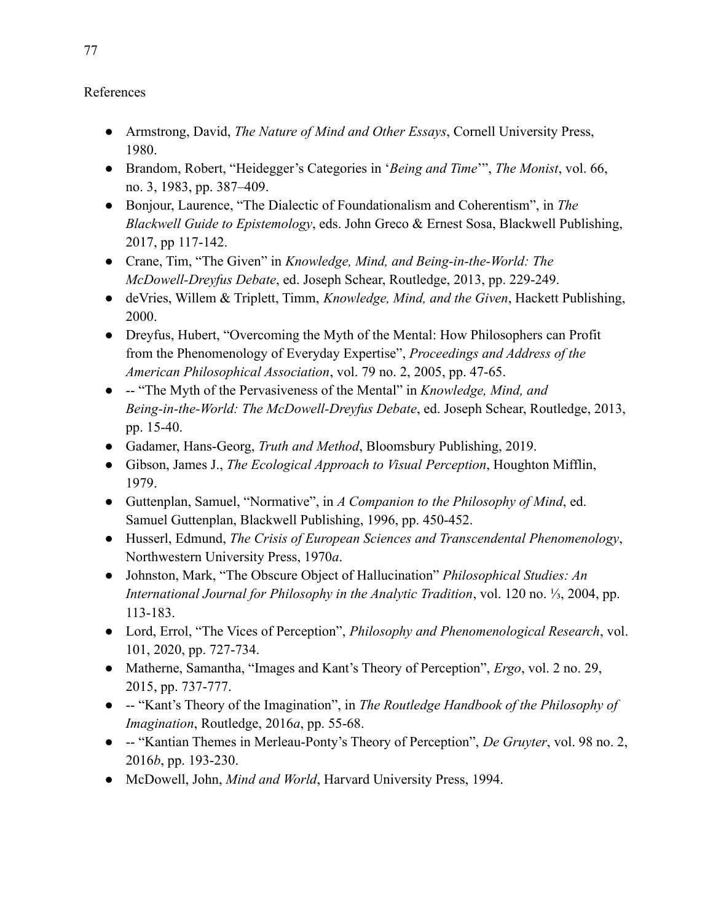## References

- Armstrong, David, *The Nature of Mind and Other Essays*, Cornell University Press, 1980.
- Brandom, Robert, "Heidegger's Categories in '*Being and Time*'", *The Monist*, vol. 66, no. 3, 1983, pp. 387–409.
- Bonjour, Laurence, "The Dialectic of Foundationalism and Coherentism", in *The Blackwell Guide to Epistemology*, eds. John Greco & Ernest Sosa, Blackwell Publishing, 2017, pp 117-142.
- Crane, Tim, "The Given" in *Knowledge, Mind, and Being-in-the-World: The McDowell-Dreyfus Debate*, ed. Joseph Schear, Routledge, 2013, pp. 229-249.
- deVries, Willem & Triplett, Timm, *Knowledge, Mind, and the Given*, Hackett Publishing, 2000.
- Dreyfus, Hubert, "Overcoming the Myth of the Mental: How Philosophers can Profit from the Phenomenology of Everyday Expertise", *Proceedings and Address of the American Philosophical Association*, vol. 79 no. 2, 2005, pp. 47-65.
- -- "The Myth of the Pervasiveness of the Mental" in *Knowledge, Mind, and Being-in-the-World: The McDowell-Dreyfus Debate*, ed. Joseph Schear, Routledge, 2013, pp. 15-40.
- Gadamer, Hans-Georg, *Truth and Method*, Bloomsbury Publishing, 2019.
- Gibson, James J., *The Ecological Approach to Visual Perception*, Houghton Mifflin, 1979.
- Guttenplan, Samuel, "Normative", in *A Companion to the Philosophy of Mind*, ed. Samuel Guttenplan, Blackwell Publishing, 1996, pp. 450-452.
- Husserl, Edmund, *The Crisis of European Sciences and Transcendental Phenomenology*, Northwestern University Press, 1970*a*.
- Johnston, Mark, "The Obscure Object of Hallucination" *Philosophical Studies: An International Journal for Philosophy in the Analytic Tradition*, vol. 120 no. ⅓, 2004, pp. 113-183.
- Lord, Errol, "The Vices of Perception", *Philosophy and Phenomenological Research*, vol. 101, 2020, pp. 727-734.
- Matherne, Samantha, "Images and Kant's Theory of Perception", *Ergo*, vol. 2 no. 29, 2015, pp. 737-777.
- -- "Kant's Theory of the Imagination", in *The Routledge Handbook of the Philosophy of Imagination*, Routledge, 2016*a*, pp. 55-68.
- -- "Kantian Themes in Merleau-Ponty's Theory of Perception", *De Gruyter*, vol. 98 no. 2, 2016*b*, pp. 193-230.
- McDowell, John, *Mind and World*, Harvard University Press, 1994.